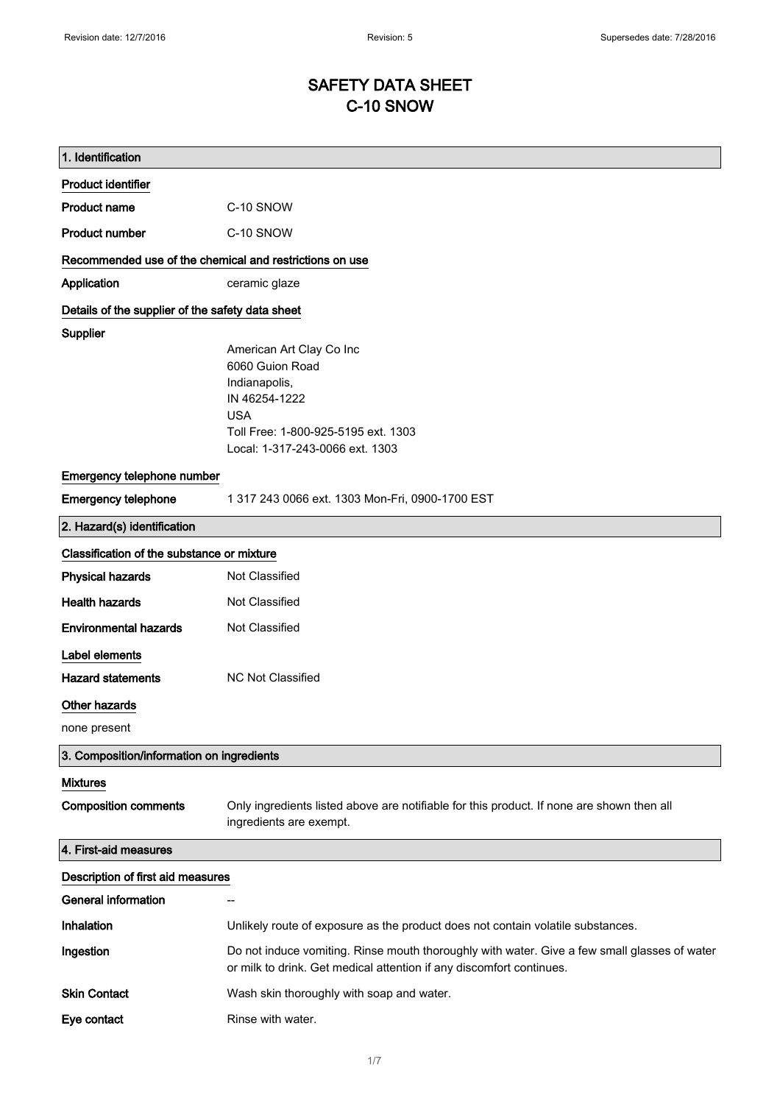# SAFETY DATA SHEET C-10 SNOW

| 1. Identification                                       |                                                                                                                                                                      |
|---------------------------------------------------------|----------------------------------------------------------------------------------------------------------------------------------------------------------------------|
| <b>Product identifier</b>                               |                                                                                                                                                                      |
| <b>Product name</b>                                     | C-10 SNOW                                                                                                                                                            |
| <b>Product number</b>                                   | C-10 SNOW                                                                                                                                                            |
| Recommended use of the chemical and restrictions on use |                                                                                                                                                                      |
| Application                                             | ceramic glaze                                                                                                                                                        |
| Details of the supplier of the safety data sheet        |                                                                                                                                                                      |
| <b>Supplier</b>                                         |                                                                                                                                                                      |
|                                                         | American Art Clay Co Inc<br>6060 Guion Road                                                                                                                          |
|                                                         | Indianapolis,                                                                                                                                                        |
|                                                         | IN 46254-1222                                                                                                                                                        |
|                                                         | <b>USA</b>                                                                                                                                                           |
|                                                         | Toll Free: 1-800-925-5195 ext. 1303                                                                                                                                  |
|                                                         | Local: 1-317-243-0066 ext. 1303                                                                                                                                      |
| Emergency telephone number                              |                                                                                                                                                                      |
| <b>Emergency telephone</b>                              | 1 317 243 0066 ext. 1303 Mon-Fri, 0900-1700 EST                                                                                                                      |
| 2. Hazard(s) identification                             |                                                                                                                                                                      |
| Classification of the substance or mixture              |                                                                                                                                                                      |
| <b>Physical hazards</b>                                 | Not Classified                                                                                                                                                       |
| <b>Health hazards</b>                                   | Not Classified                                                                                                                                                       |
| <b>Environmental hazards</b>                            | Not Classified                                                                                                                                                       |
| Label elements                                          |                                                                                                                                                                      |
| <b>Hazard statements</b>                                | NC Not Classified                                                                                                                                                    |
| <b>Other hazards</b>                                    |                                                                                                                                                                      |
| none present                                            |                                                                                                                                                                      |
| 3. Composition/information on ingredients               |                                                                                                                                                                      |
| <b>Mixtures</b>                                         |                                                                                                                                                                      |
| <b>Composition comments</b>                             | Only ingredients listed above are notifiable for this product. If none are shown then all<br>ingredients are exempt.                                                 |
| 4. First-aid measures                                   |                                                                                                                                                                      |
| Description of first aid measures                       |                                                                                                                                                                      |
| <b>General information</b>                              |                                                                                                                                                                      |
| Inhalation                                              | Unlikely route of exposure as the product does not contain volatile substances.                                                                                      |
| Ingestion                                               | Do not induce vomiting. Rinse mouth thoroughly with water. Give a few small glasses of water<br>or milk to drink. Get medical attention if any discomfort continues. |
| <b>Skin Contact</b>                                     | Wash skin thoroughly with soap and water.                                                                                                                            |
| Eye contact                                             | Rinse with water.                                                                                                                                                    |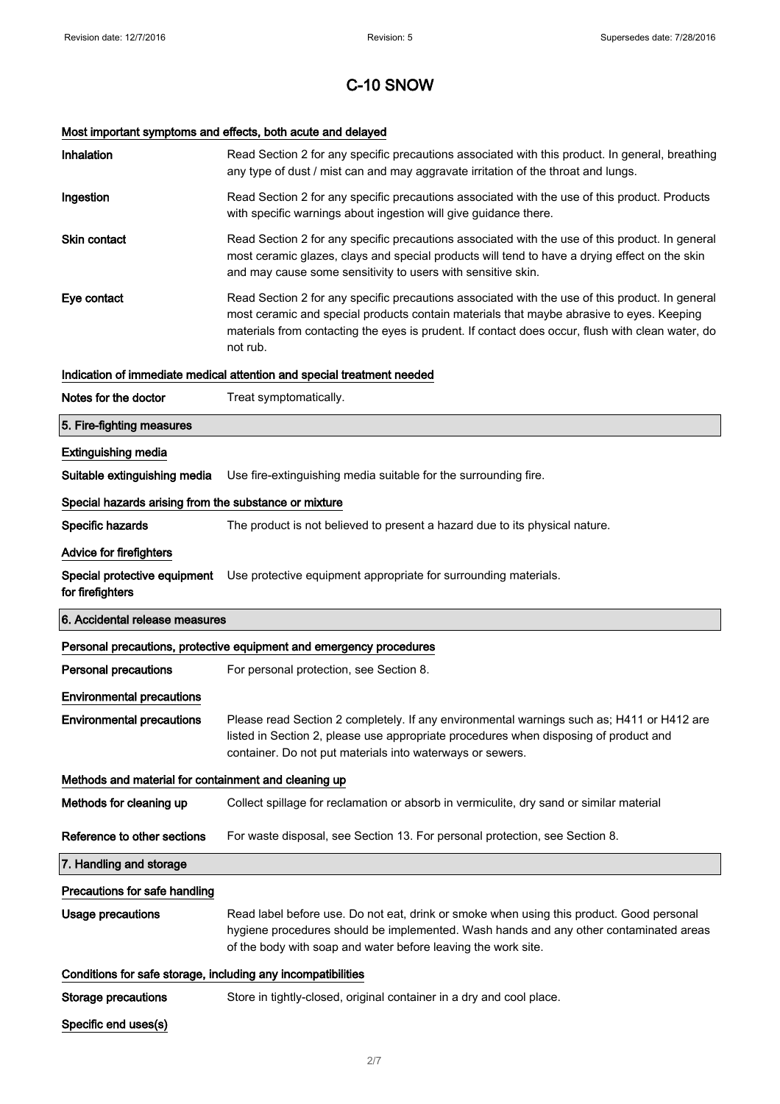# Most important symptoms and effects, both acute and delayed

| Inhalation                                                   | Read Section 2 for any specific precautions associated with this product. In general, breathing<br>any type of dust / mist can and may aggravate irritation of the throat and lungs.                                                                                                                        |
|--------------------------------------------------------------|-------------------------------------------------------------------------------------------------------------------------------------------------------------------------------------------------------------------------------------------------------------------------------------------------------------|
| Ingestion                                                    | Read Section 2 for any specific precautions associated with the use of this product. Products<br>with specific warnings about ingestion will give guidance there.                                                                                                                                           |
| <b>Skin contact</b>                                          | Read Section 2 for any specific precautions associated with the use of this product. In general<br>most ceramic glazes, clays and special products will tend to have a drying effect on the skin<br>and may cause some sensitivity to users with sensitive skin.                                            |
| Eye contact                                                  | Read Section 2 for any specific precautions associated with the use of this product. In general<br>most ceramic and special products contain materials that maybe abrasive to eyes. Keeping<br>materials from contacting the eyes is prudent. If contact does occur, flush with clean water, do<br>not rub. |
|                                                              | Indication of immediate medical attention and special treatment needed                                                                                                                                                                                                                                      |
| Notes for the doctor                                         | Treat symptomatically.                                                                                                                                                                                                                                                                                      |
| 5. Fire-fighting measures                                    |                                                                                                                                                                                                                                                                                                             |
| <b>Extinguishing media</b>                                   |                                                                                                                                                                                                                                                                                                             |
| Suitable extinguishing media                                 | Use fire-extinguishing media suitable for the surrounding fire.                                                                                                                                                                                                                                             |
| Special hazards arising from the substance or mixture        |                                                                                                                                                                                                                                                                                                             |
| Specific hazards                                             | The product is not believed to present a hazard due to its physical nature.                                                                                                                                                                                                                                 |
| <b>Advice for firefighters</b>                               |                                                                                                                                                                                                                                                                                                             |
| Special protective equipment<br>for firefighters             | Use protective equipment appropriate for surrounding materials.                                                                                                                                                                                                                                             |
|                                                              |                                                                                                                                                                                                                                                                                                             |
| 6. Accidental release measures                               |                                                                                                                                                                                                                                                                                                             |
|                                                              | Personal precautions, protective equipment and emergency procedures                                                                                                                                                                                                                                         |
| <b>Personal precautions</b>                                  | For personal protection, see Section 8.                                                                                                                                                                                                                                                                     |
| <b>Environmental precautions</b>                             |                                                                                                                                                                                                                                                                                                             |
| <b>Environmental precautions</b>                             | Please read Section 2 completely. If any environmental warnings such as; H411 or H412 are<br>listed in Section 2, please use appropriate procedures when disposing of product and<br>container. Do not put materials into waterways or sewers.                                                              |
| Methods and material for containment and cleaning up         |                                                                                                                                                                                                                                                                                                             |
| Methods for cleaning up                                      | Collect spillage for reclamation or absorb in vermiculite, dry sand or similar material                                                                                                                                                                                                                     |
| Reference to other sections                                  | For waste disposal, see Section 13. For personal protection, see Section 8.                                                                                                                                                                                                                                 |
| 7. Handling and storage                                      |                                                                                                                                                                                                                                                                                                             |
| Precautions for safe handling                                |                                                                                                                                                                                                                                                                                                             |
| <b>Usage precautions</b>                                     | Read label before use. Do not eat, drink or smoke when using this product. Good personal<br>hygiene procedures should be implemented. Wash hands and any other contaminated areas<br>of the body with soap and water before leaving the work site.                                                          |
| Conditions for safe storage, including any incompatibilities |                                                                                                                                                                                                                                                                                                             |
| Storage precautions                                          | Store in tightly-closed, original container in a dry and cool place.                                                                                                                                                                                                                                        |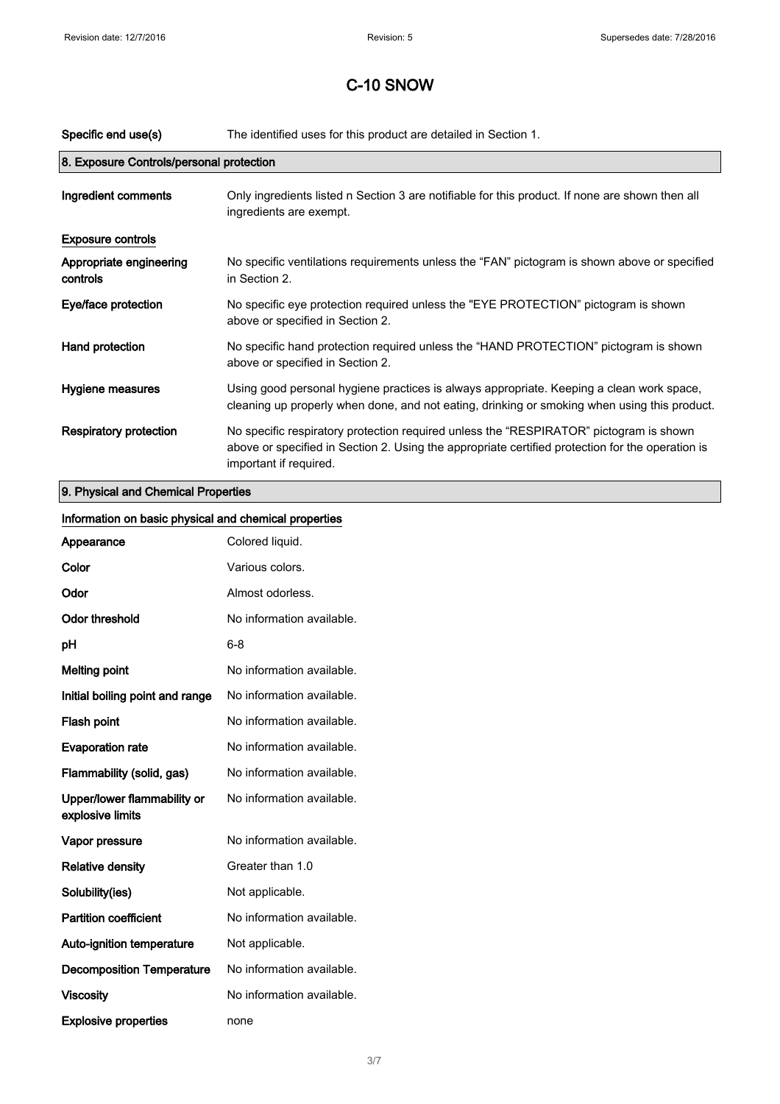| Specific end use(s)                      | The identified uses for this product are detailed in Section 1.                                                                                                                                                      |
|------------------------------------------|----------------------------------------------------------------------------------------------------------------------------------------------------------------------------------------------------------------------|
| 8. Exposure Controls/personal protection |                                                                                                                                                                                                                      |
| Ingredient comments                      | Only ingredients listed n Section 3 are notifiable for this product. If none are shown then all<br>ingredients are exempt.                                                                                           |
| <b>Exposure controls</b>                 |                                                                                                                                                                                                                      |
| Appropriate engineering<br>controls      | No specific ventilations requirements unless the "FAN" pictogram is shown above or specified<br>in Section 2.                                                                                                        |
| Eye/face protection                      | No specific eye protection required unless the "EYE PROTECTION" pictogram is shown<br>above or specified in Section 2.                                                                                               |
| Hand protection                          | No specific hand protection required unless the "HAND PROTECTION" pictogram is shown<br>above or specified in Section 2.                                                                                             |
| Hygiene measures                         | Using good personal hygiene practices is always appropriate. Keeping a clean work space,<br>cleaning up properly when done, and not eating, drinking or smoking when using this product.                             |
| <b>Respiratory protection</b>            | No specific respiratory protection required unless the "RESPIRATOR" pictogram is shown<br>above or specified in Section 2. Using the appropriate certified protection for the operation is<br>important if required. |
| O. Blooded and Okanded Base safes        |                                                                                                                                                                                                                      |

### 9. Physical and Chemical Properties

| Information on basic physical and chemical properties |                           |
|-------------------------------------------------------|---------------------------|
| Appearance                                            | Colored liquid.           |
| Color                                                 | Various colors.           |
| Odor                                                  | Almost odorless.          |
| <b>Odor threshold</b>                                 | No information available. |
| pH                                                    | $6 - 8$                   |
| <b>Melting point</b>                                  | No information available. |
| Initial boiling point and range                       | No information available. |
| Flash point                                           | No information available. |
| <b>Evaporation rate</b>                               | No information available. |
| Flammability (solid, gas)                             | No information available. |
| Upper/lower flammability or<br>explosive limits       | No information available. |
| Vapor pressure                                        | No information available. |
| <b>Relative density</b>                               | Greater than 1.0          |
| Solubility(ies)                                       | Not applicable.           |
| <b>Partition coefficient</b>                          | No information available. |
| Auto-ignition temperature                             | Not applicable.           |
| <b>Decomposition Temperature</b>                      | No information available. |
| <b>Viscosity</b>                                      | No information available. |
| <b>Explosive properties</b>                           | none                      |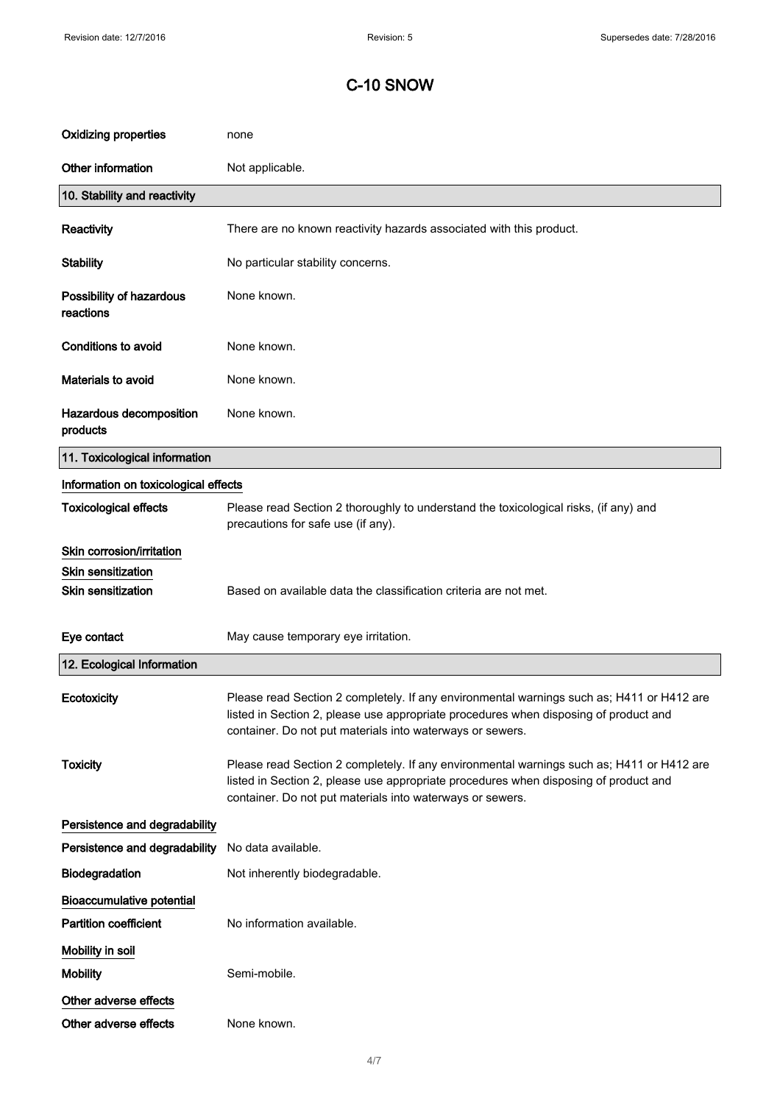| <b>Oxidizing properties</b>           | none                                                                                                                                                                                                                                           |
|---------------------------------------|------------------------------------------------------------------------------------------------------------------------------------------------------------------------------------------------------------------------------------------------|
| Other information                     | Not applicable.                                                                                                                                                                                                                                |
| 10. Stability and reactivity          |                                                                                                                                                                                                                                                |
| Reactivity                            | There are no known reactivity hazards associated with this product.                                                                                                                                                                            |
| <b>Stability</b>                      | No particular stability concerns.                                                                                                                                                                                                              |
| Possibility of hazardous<br>reactions | None known.                                                                                                                                                                                                                                    |
| <b>Conditions to avoid</b>            | None known.                                                                                                                                                                                                                                    |
| Materials to avoid                    | None known.                                                                                                                                                                                                                                    |
| Hazardous decomposition<br>products   | None known.                                                                                                                                                                                                                                    |
| 11. Toxicological information         |                                                                                                                                                                                                                                                |
| Information on toxicological effects  |                                                                                                                                                                                                                                                |
| <b>Toxicological effects</b>          | Please read Section 2 thoroughly to understand the toxicological risks, (if any) and<br>precautions for safe use (if any).                                                                                                                     |
| Skin corrosion/irritation             |                                                                                                                                                                                                                                                |
| <b>Skin sensitization</b>             |                                                                                                                                                                                                                                                |
| <b>Skin sensitization</b>             | Based on available data the classification criteria are not met.                                                                                                                                                                               |
| Eye contact                           | May cause temporary eye irritation.                                                                                                                                                                                                            |
| 12. Ecological Information            |                                                                                                                                                                                                                                                |
| Ecotoxicity                           | Please read Section 2 completely. If any environmental warnings such as; H411 or H412 are<br>listed in Section 2, please use appropriate procedures when disposing of product and<br>container. Do not put materials into waterways or sewers. |
| <b>Toxicity</b>                       | Please read Section 2 completely. If any environmental warnings such as; H411 or H412 are<br>listed in Section 2, please use appropriate procedures when disposing of product and<br>container. Do not put materials into waterways or sewers. |
| Persistence and degradability         |                                                                                                                                                                                                                                                |
| Persistence and degradability         | No data available.                                                                                                                                                                                                                             |
| Biodegradation                        | Not inherently biodegradable.                                                                                                                                                                                                                  |
| <b>Bioaccumulative potential</b>      |                                                                                                                                                                                                                                                |
| <b>Partition coefficient</b>          | No information available.                                                                                                                                                                                                                      |
| Mobility in soil                      |                                                                                                                                                                                                                                                |
| <b>Mobility</b>                       | Semi-mobile.                                                                                                                                                                                                                                   |
| Other adverse effects                 |                                                                                                                                                                                                                                                |
| Other adverse effects                 | None known.                                                                                                                                                                                                                                    |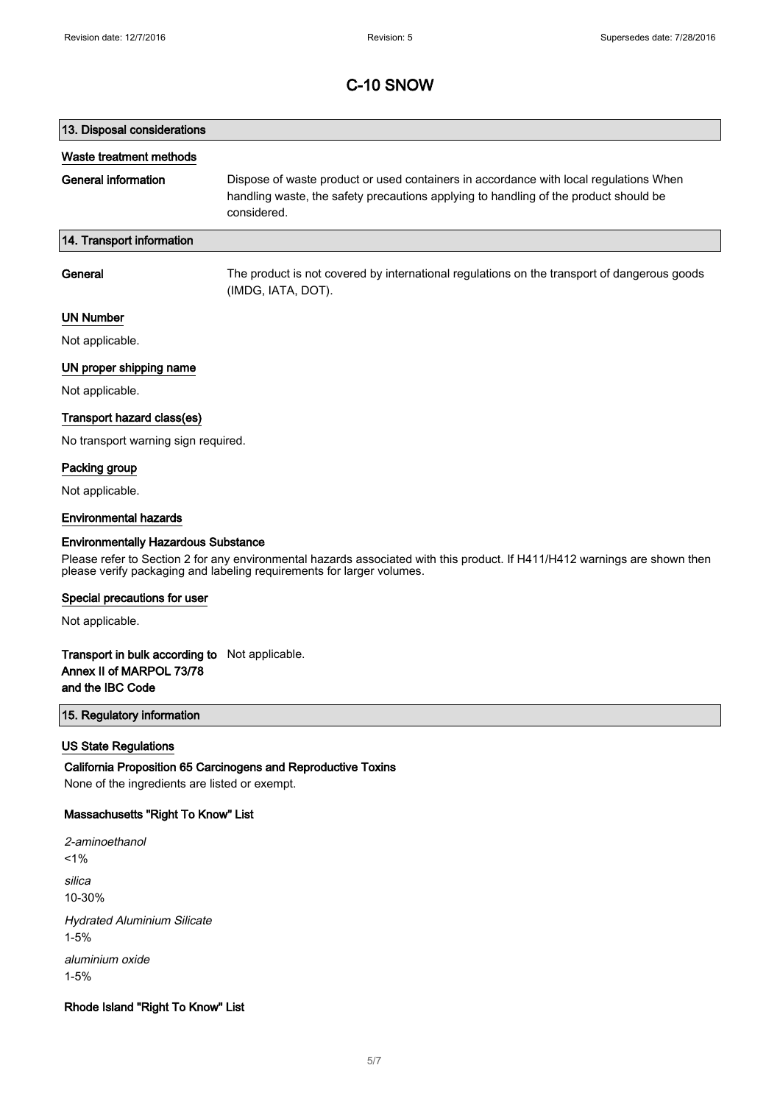# 13. Disposal considerations Waste treatment methods General information Dispose of waste product or used containers in accordance with local regulations When handling waste, the safety precautions applying to handling of the product should be considered. 14. Transport information General The product is not covered by international regulations on the transport of dangerous goods (IMDG, IATA, DOT).

### UN Number

Not applicable.

#### UN proper shipping name

Not applicable.

#### Transport hazard class(es)

No transport warning sign required.

### Packing group

Not applicable.

#### Environmental hazards

#### Environmentally Hazardous Substance

Please refer to Section 2 for any environmental hazards associated with this product. If H411/H412 warnings are shown then please verify packaging and labeling requirements for larger volumes.

#### Special precautions for user

Not applicable.

### Transport in bulk according to Not applicable. Annex II of MARPOL 73/78 and the IBC Code

### 15. Regulatory information

#### US State Regulations

California Proposition 65 Carcinogens and Reproductive Toxins None of the ingredients are listed or exempt.

#### Massachusetts "Right To Know" List

2-aminoethanol  $1%$ silica 10-30% Hydrated Aluminium Silicate 1-5% aluminium oxide 1-5%

### Rhode Island "Right To Know" List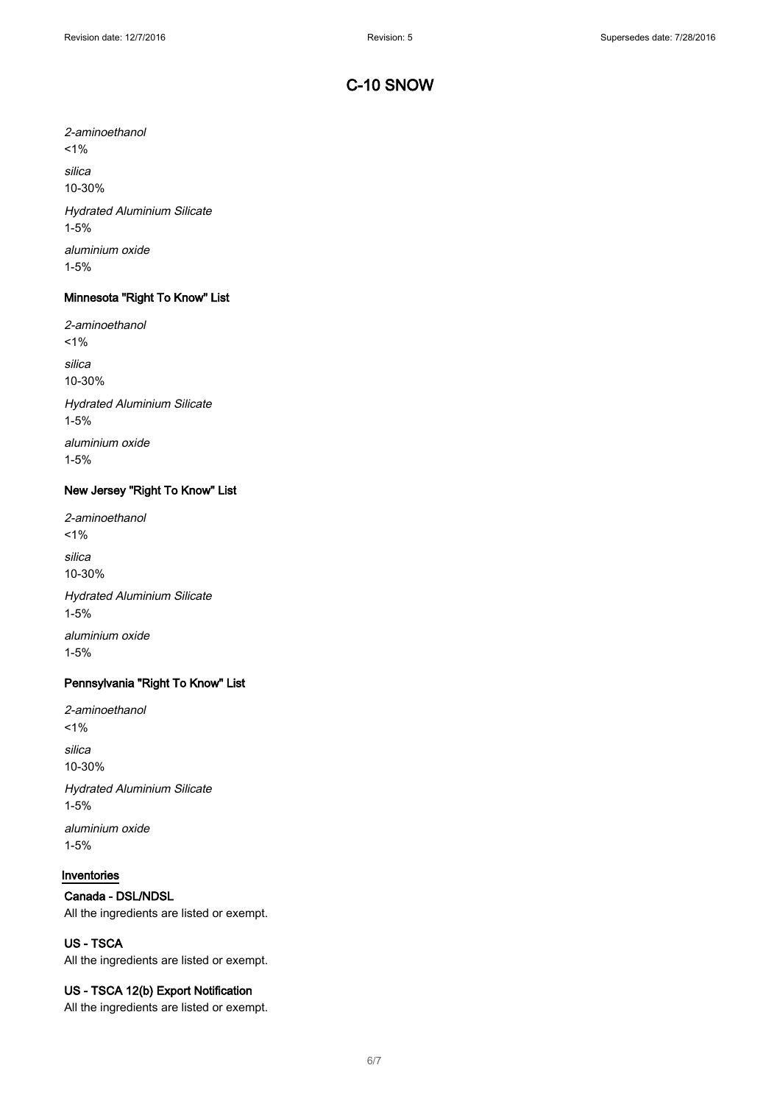2-aminoethanol  $1%$ silica 10-30% Hydrated Aluminium Silicate 1-5%

aluminium oxide 1-5%

### Minnesota "Right To Know" List

2-aminoethanol  $1%$ silica 10-30% Hydrated Aluminium Silicate 1-5% aluminium oxide

1-5%

#### New Jersey "Right To Know" List

2-aminoethanol  $1\%$ silica 10-30% Hydrated Aluminium Silicate 1-5% aluminium oxide

1-5%

### Pennsylvania "Right To Know" List

2-aminoethanol  $1%$ silica 10-30% Hydrated Aluminium Silicate 1-5%

aluminium oxide 1-5%

## Inventories

### Canada - DSL/NDSL

All the ingredients are listed or exempt.

## US - TSCA

All the ingredients are listed or exempt.

### US - TSCA 12(b) Export Notification

All the ingredients are listed or exempt.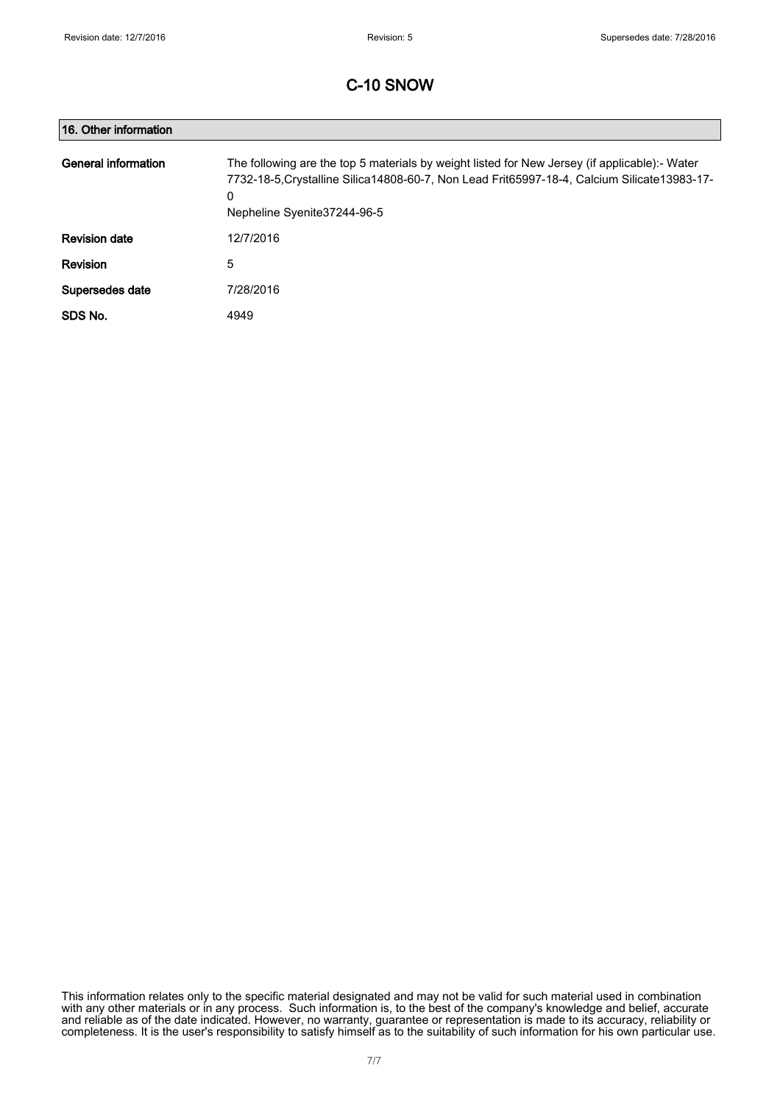| 16. Other information |                                                                                                                                                                                                                                     |
|-----------------------|-------------------------------------------------------------------------------------------------------------------------------------------------------------------------------------------------------------------------------------|
| General information   | The following are the top 5 materials by weight listed for New Jersey (if applicable):- Water<br>7732-18-5. Crystalline Silica 14808-60-7, Non Lead Frit65997-18-4, Calcium Silicate 13983-17-<br>0<br>Nepheline Syenite 37244-96-5 |
| <b>Revision date</b>  | 12/7/2016                                                                                                                                                                                                                           |
| <b>Revision</b>       | 5                                                                                                                                                                                                                                   |
| Supersedes date       | 7/28/2016                                                                                                                                                                                                                           |
| SDS No.               | 4949                                                                                                                                                                                                                                |

This information relates only to the specific material designated and may not be valid for such material used in combination with any other materials or in any process. Such information is, to the best of the company's knowledge and belief, accurate and reliable as of the date indicated. However, no warranty, guarantee or representation is made to its accuracy, reliability or completeness. It is the user's responsibility to satisfy himself as to the suitability of such information for his own particular use.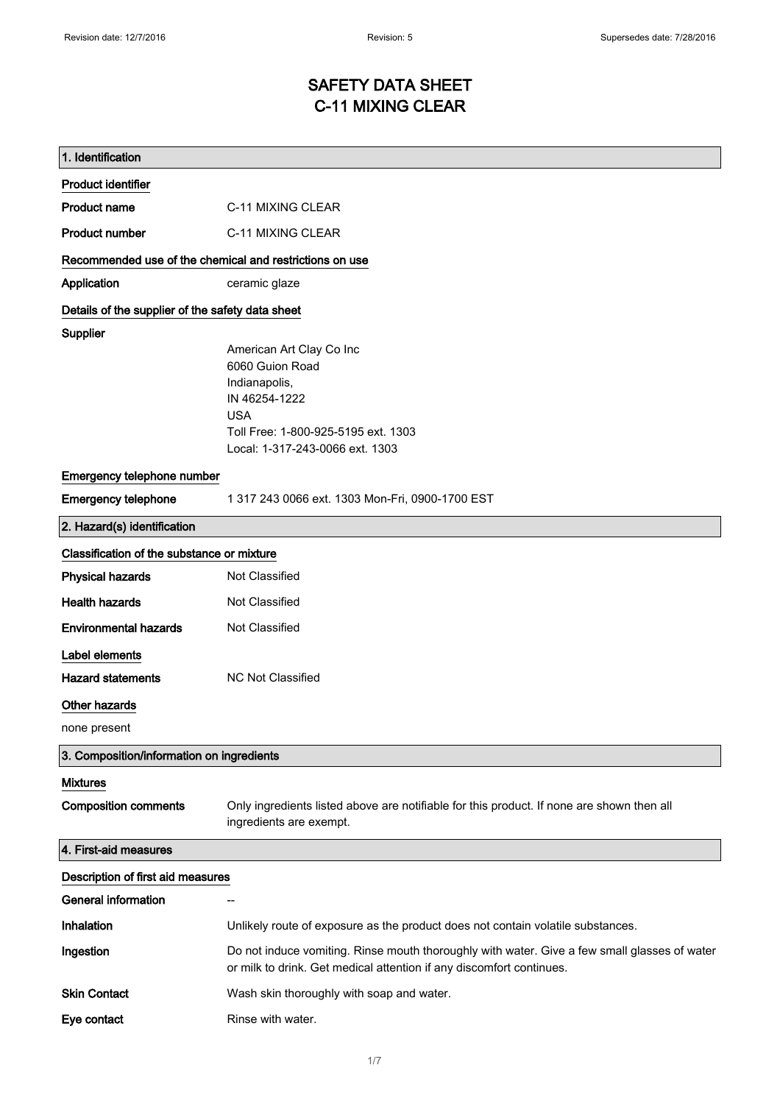# SAFETY DATA SHEET C-11 MIXING CLEAR

| 1. Identification                                                           |                                                                                                                                                                       |
|-----------------------------------------------------------------------------|-----------------------------------------------------------------------------------------------------------------------------------------------------------------------|
| <b>Product identifier</b>                                                   |                                                                                                                                                                       |
| <b>Product name</b>                                                         | C-11 MIXING CLEAR                                                                                                                                                     |
| <b>Product number</b>                                                       | C-11 MIXING CLEAR                                                                                                                                                     |
| Recommended use of the chemical and restrictions on use                     |                                                                                                                                                                       |
| Application                                                                 | ceramic glaze                                                                                                                                                         |
| Details of the supplier of the safety data sheet                            |                                                                                                                                                                       |
| <b>Supplier</b>                                                             | American Art Clay Co Inc<br>6060 Guion Road<br>Indianapolis,<br>IN 46254-1222<br><b>USA</b><br>Toll Free: 1-800-925-5195 ext. 1303<br>Local: 1-317-243-0066 ext. 1303 |
| Emergency telephone number                                                  |                                                                                                                                                                       |
| <b>Emergency telephone</b>                                                  | 1 317 243 0066 ext. 1303 Mon-Fri, 0900-1700 EST                                                                                                                       |
| 2. Hazard(s) identification                                                 |                                                                                                                                                                       |
| Classification of the substance or mixture                                  |                                                                                                                                                                       |
| <b>Physical hazards</b>                                                     | Not Classified                                                                                                                                                        |
| <b>Health hazards</b>                                                       | Not Classified                                                                                                                                                        |
| <b>Environmental hazards</b>                                                | Not Classified                                                                                                                                                        |
| Label elements<br><b>Hazard statements</b><br>Other hazards<br>none present | <b>NC Not Classified</b>                                                                                                                                              |
| 3. Composition/information on ingredients                                   |                                                                                                                                                                       |
| <b>Mixtures</b><br><b>Composition comments</b>                              | Only ingredients listed above are notifiable for this product. If none are shown then all<br>ingredients are exempt.                                                  |
| 4. First-aid measures                                                       |                                                                                                                                                                       |
| Description of first aid measures                                           |                                                                                                                                                                       |
| <b>General information</b>                                                  | --                                                                                                                                                                    |
| <b>Inhalation</b>                                                           | Unlikely route of exposure as the product does not contain volatile substances.                                                                                       |
| Ingestion                                                                   | Do not induce vomiting. Rinse mouth thoroughly with water. Give a few small glasses of water<br>or milk to drink. Get medical attention if any discomfort continues.  |
| <b>Skin Contact</b>                                                         | Wash skin thoroughly with soap and water.                                                                                                                             |
| Eye contact                                                                 | Rinse with water.                                                                                                                                                     |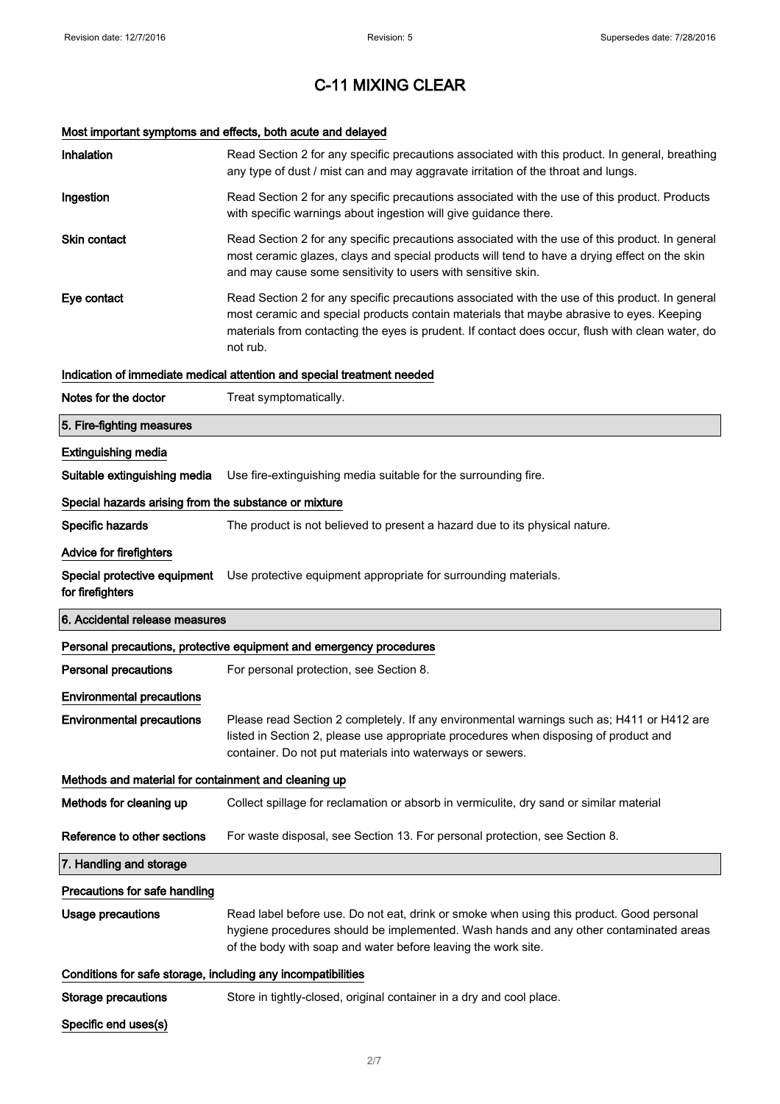# Most important symptoms and effects, both acute and delayed

| Inhalation                                                   | Read Section 2 for any specific precautions associated with this product. In general, breathing<br>any type of dust / mist can and may aggravate irritation of the throat and lungs.                                                                                                                        |
|--------------------------------------------------------------|-------------------------------------------------------------------------------------------------------------------------------------------------------------------------------------------------------------------------------------------------------------------------------------------------------------|
| Ingestion                                                    | Read Section 2 for any specific precautions associated with the use of this product. Products<br>with specific warnings about ingestion will give guidance there.                                                                                                                                           |
| <b>Skin contact</b>                                          | Read Section 2 for any specific precautions associated with the use of this product. In general<br>most ceramic glazes, clays and special products will tend to have a drying effect on the skin<br>and may cause some sensitivity to users with sensitive skin.                                            |
| Eye contact                                                  | Read Section 2 for any specific precautions associated with the use of this product. In general<br>most ceramic and special products contain materials that maybe abrasive to eyes. Keeping<br>materials from contacting the eyes is prudent. If contact does occur, flush with clean water, do<br>not rub. |
|                                                              | Indication of immediate medical attention and special treatment needed                                                                                                                                                                                                                                      |
| Notes for the doctor                                         | Treat symptomatically.                                                                                                                                                                                                                                                                                      |
| 5. Fire-fighting measures                                    |                                                                                                                                                                                                                                                                                                             |
| <b>Extinguishing media</b>                                   |                                                                                                                                                                                                                                                                                                             |
| Suitable extinguishing media                                 | Use fire-extinguishing media suitable for the surrounding fire.                                                                                                                                                                                                                                             |
| Special hazards arising from the substance or mixture        |                                                                                                                                                                                                                                                                                                             |
| Specific hazards                                             | The product is not believed to present a hazard due to its physical nature.                                                                                                                                                                                                                                 |
| Advice for firefighters                                      |                                                                                                                                                                                                                                                                                                             |
| for firefighters                                             | Special protective equipment Use protective equipment appropriate for surrounding materials.                                                                                                                                                                                                                |
|                                                              |                                                                                                                                                                                                                                                                                                             |
| 6. Accidental release measures                               |                                                                                                                                                                                                                                                                                                             |
|                                                              | Personal precautions, protective equipment and emergency procedures                                                                                                                                                                                                                                         |
| <b>Personal precautions</b>                                  | For personal protection, see Section 8.                                                                                                                                                                                                                                                                     |
| <b>Environmental precautions</b>                             |                                                                                                                                                                                                                                                                                                             |
| <b>Environmental precautions</b>                             | Please read Section 2 completely. If any environmental warnings such as; H411 or H412 are<br>listed in Section 2, please use appropriate procedures when disposing of product and<br>container. Do not put materials into waterways or sewers.                                                              |
| Methods and material for containment and cleaning up         |                                                                                                                                                                                                                                                                                                             |
| Methods for cleaning up                                      | Collect spillage for reclamation or absorb in vermiculite, dry sand or similar material                                                                                                                                                                                                                     |
| Reference to other sections                                  | For waste disposal, see Section 13. For personal protection, see Section 8.                                                                                                                                                                                                                                 |
| 7. Handling and storage                                      |                                                                                                                                                                                                                                                                                                             |
| Precautions for safe handling                                |                                                                                                                                                                                                                                                                                                             |
| <b>Usage precautions</b>                                     | Read label before use. Do not eat, drink or smoke when using this product. Good personal<br>hygiene procedures should be implemented. Wash hands and any other contaminated areas<br>of the body with soap and water before leaving the work site.                                                          |
| Conditions for safe storage, including any incompatibilities |                                                                                                                                                                                                                                                                                                             |
| <b>Storage precautions</b>                                   | Store in tightly-closed, original container in a dry and cool place.                                                                                                                                                                                                                                        |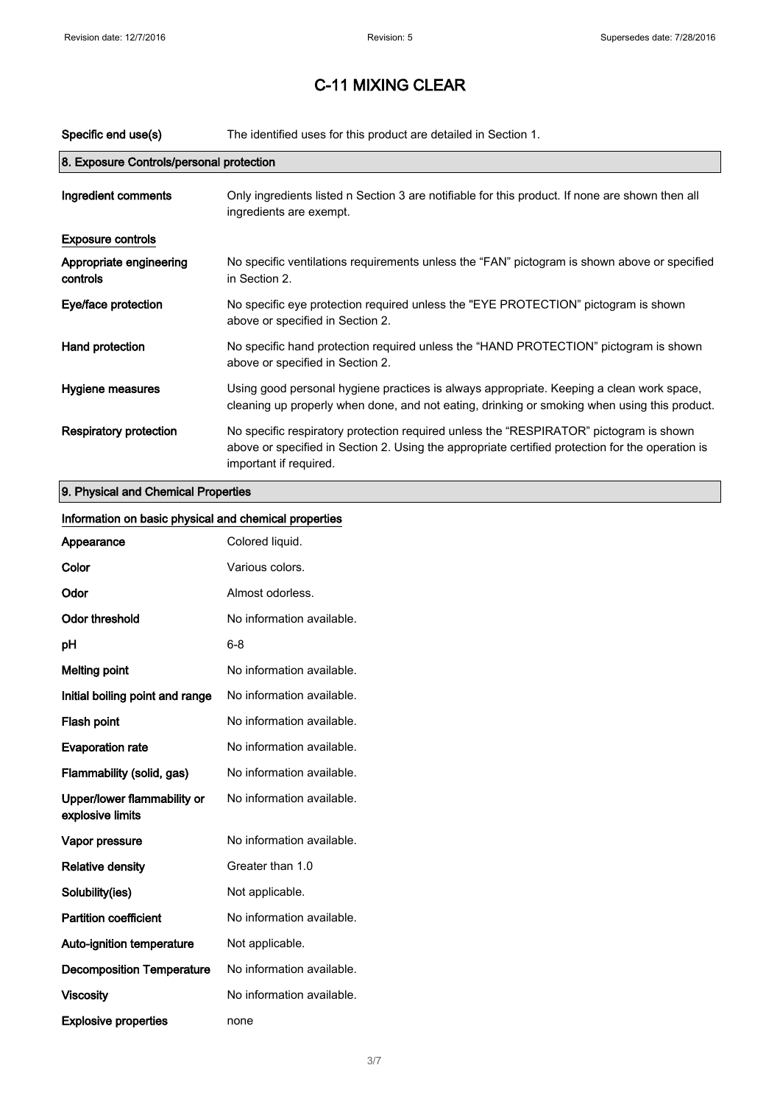| Specific end use(s)                      | The identified uses for this product are detailed in Section 1.                                                                                                                                                      |
|------------------------------------------|----------------------------------------------------------------------------------------------------------------------------------------------------------------------------------------------------------------------|
| 8. Exposure Controls/personal protection |                                                                                                                                                                                                                      |
| Ingredient comments                      | Only ingredients listed n Section 3 are notifiable for this product. If none are shown then all<br>ingredients are exempt.                                                                                           |
| <b>Exposure controls</b>                 |                                                                                                                                                                                                                      |
| Appropriate engineering<br>controls      | No specific ventilations requirements unless the "FAN" pictogram is shown above or specified<br>in Section 2.                                                                                                        |
| Eye/face protection                      | No specific eye protection required unless the "EYE PROTECTION" pictogram is shown<br>above or specified in Section 2.                                                                                               |
| Hand protection                          | No specific hand protection required unless the "HAND PROTECTION" pictogram is shown<br>above or specified in Section 2.                                                                                             |
| Hygiene measures                         | Using good personal hygiene practices is always appropriate. Keeping a clean work space,<br>cleaning up properly when done, and not eating, drinking or smoking when using this product.                             |
| <b>Respiratory protection</b>            | No specific respiratory protection required unless the "RESPIRATOR" pictogram is shown<br>above or specified in Section 2. Using the appropriate certified protection for the operation is<br>important if required. |
|                                          |                                                                                                                                                                                                                      |

## 9. Physical and Chemical Properties

| Information on basic physical and chemical properties |                           |
|-------------------------------------------------------|---------------------------|
| Appearance                                            | Colored liquid.           |
| Color                                                 | Various colors.           |
| Odor                                                  | Almost odorless.          |
| <b>Odor threshold</b>                                 | No information available. |
| pH                                                    | $6 - 8$                   |
| <b>Melting point</b>                                  | No information available. |
| Initial boiling point and range                       | No information available. |
| Flash point                                           | No information available. |
| <b>Evaporation rate</b>                               | No information available. |
| Flammability (solid, gas)                             | No information available. |
| Upper/lower flammability or<br>explosive limits       | No information available. |
| Vapor pressure                                        | No information available. |
| <b>Relative density</b>                               | Greater than 1.0          |
| Solubility(ies)                                       | Not applicable.           |
| <b>Partition coefficient</b>                          | No information available. |
| Auto-ignition temperature                             | Not applicable.           |
| <b>Decomposition Temperature</b>                      | No information available. |
| <b>Viscosity</b>                                      | No information available. |
| <b>Explosive properties</b>                           | none                      |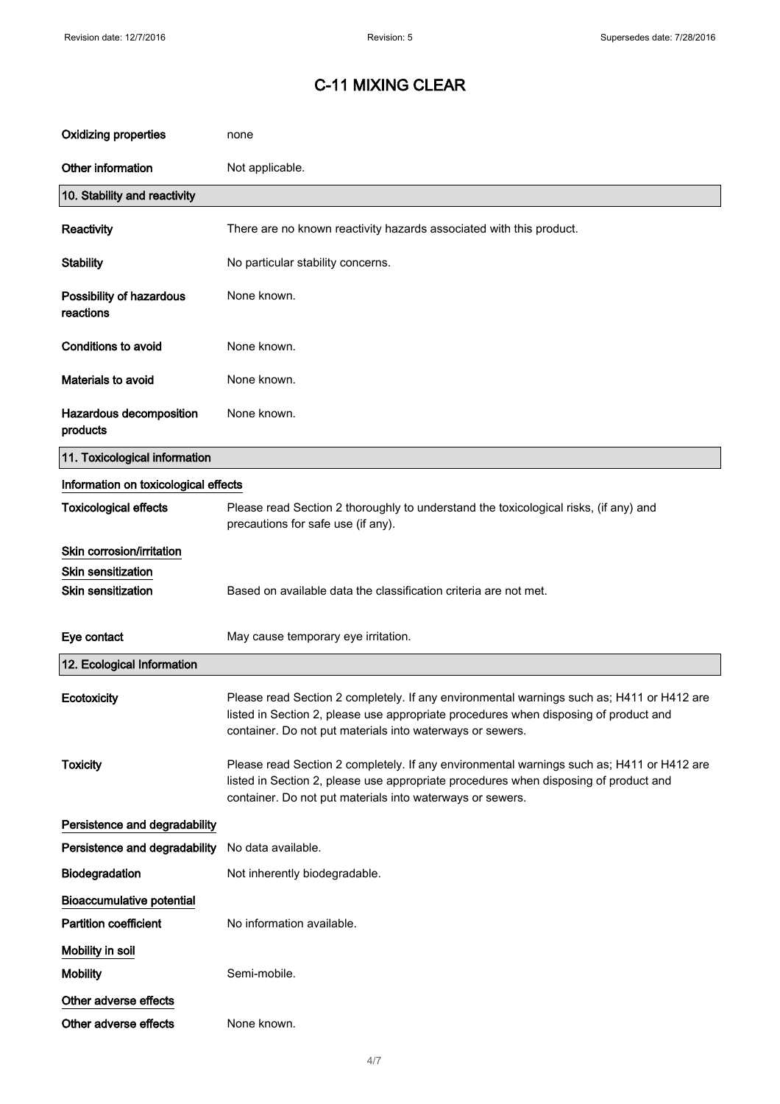| <b>Oxidizing properties</b>           | none                                                                                                                                                                                                                                           |
|---------------------------------------|------------------------------------------------------------------------------------------------------------------------------------------------------------------------------------------------------------------------------------------------|
| Other information                     | Not applicable.                                                                                                                                                                                                                                |
| 10. Stability and reactivity          |                                                                                                                                                                                                                                                |
| Reactivity                            | There are no known reactivity hazards associated with this product.                                                                                                                                                                            |
| <b>Stability</b>                      | No particular stability concerns.                                                                                                                                                                                                              |
| Possibility of hazardous<br>reactions | None known.                                                                                                                                                                                                                                    |
| <b>Conditions to avoid</b>            | None known.                                                                                                                                                                                                                                    |
| Materials to avoid                    | None known.                                                                                                                                                                                                                                    |
| Hazardous decomposition<br>products   | None known.                                                                                                                                                                                                                                    |
| 11. Toxicological information         |                                                                                                                                                                                                                                                |
| Information on toxicological effects  |                                                                                                                                                                                                                                                |
| <b>Toxicological effects</b>          | Please read Section 2 thoroughly to understand the toxicological risks, (if any) and<br>precautions for safe use (if any).                                                                                                                     |
| Skin corrosion/irritation             |                                                                                                                                                                                                                                                |
| <b>Skin sensitization</b>             |                                                                                                                                                                                                                                                |
| <b>Skin sensitization</b>             | Based on available data the classification criteria are not met.                                                                                                                                                                               |
| Eye contact                           | May cause temporary eye irritation.                                                                                                                                                                                                            |
| 12. Ecological Information            |                                                                                                                                                                                                                                                |
| Ecotoxicity                           | Please read Section 2 completely. If any environmental warnings such as; H411 or H412 are<br>listed in Section 2, please use appropriate procedures when disposing of product and<br>container. Do not put materials into waterways or sewers. |
| <b>Toxicity</b>                       | Please read Section 2 completely. If any environmental warnings such as; H411 or H412 are<br>listed in Section 2, please use appropriate procedures when disposing of product and<br>container. Do not put materials into waterways or sewers. |
| Persistence and degradability         |                                                                                                                                                                                                                                                |
| Persistence and degradability         | No data available.                                                                                                                                                                                                                             |
| Biodegradation                        | Not inherently biodegradable.                                                                                                                                                                                                                  |
| <b>Bioaccumulative potential</b>      |                                                                                                                                                                                                                                                |
| <b>Partition coefficient</b>          | No information available.                                                                                                                                                                                                                      |
| Mobility in soil                      |                                                                                                                                                                                                                                                |
| <b>Mobility</b>                       | Semi-mobile.                                                                                                                                                                                                                                   |
| Other adverse effects                 |                                                                                                                                                                                                                                                |
| Other adverse effects                 | None known.                                                                                                                                                                                                                                    |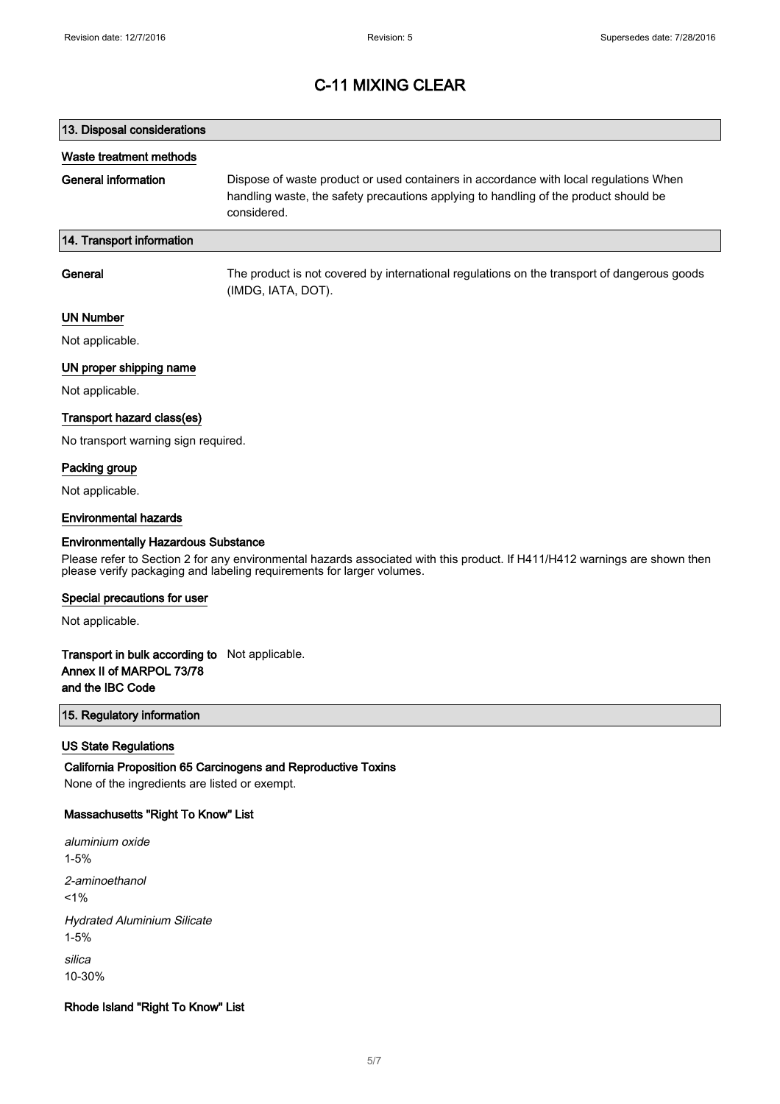# 13. Disposal considerations Waste treatment methods General information Dispose of waste product or used containers in accordance with local regulations When handling waste, the safety precautions applying to handling of the product should be considered. 14. Transport information General The product is not covered by international regulations on the transport of dangerous goods (IMDG, IATA, DOT).

### UN Number

Not applicable.

#### UN proper shipping name

Not applicable.

#### Transport hazard class(es)

No transport warning sign required.

#### Packing group

Not applicable.

#### Environmental hazards

#### Environmentally Hazardous Substance

Please refer to Section 2 for any environmental hazards associated with this product. If H411/H412 warnings are shown then please verify packaging and labeling requirements for larger volumes.

#### Special precautions for user

Not applicable.

### Transport in bulk according to Not applicable. Annex II of MARPOL 73/78 and the IBC Code

### 15. Regulatory information

#### US State Regulations

California Proposition 65 Carcinogens and Reproductive Toxins None of the ingredients are listed or exempt.

#### Massachusetts "Right To Know" List

aluminium oxide 1-5% 2-aminoethanol  $1%$ Hydrated Aluminium Silicate 1-5% silica 10-30%

#### Rhode Island "Right To Know" List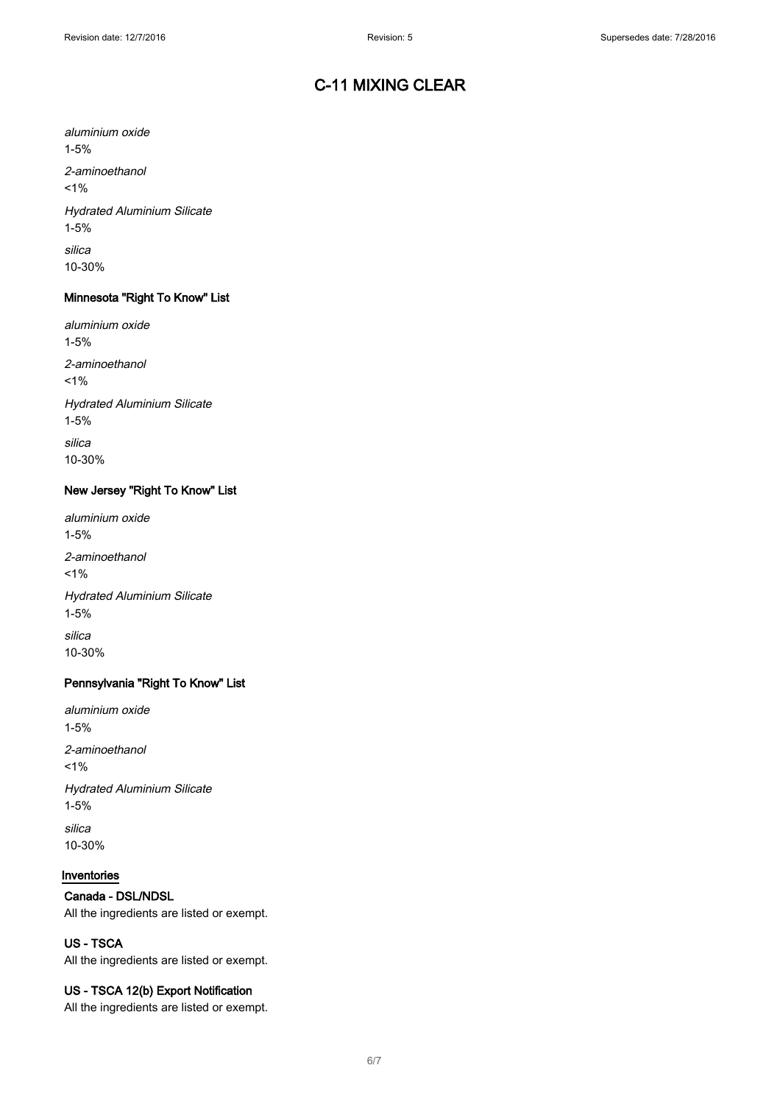aluminium oxide 1-5% 2-aminoethanol  $1%$ Hydrated Aluminium Silicate 1-5% silica 10-30%

### Minnesota "Right To Know" List

aluminium oxide 1-5% 2-aminoethanol  $1%$ Hydrated Aluminium Silicate 1-5% silica 10-30%

### New Jersey "Right To Know" List

aluminium oxide 1-5% 2-aminoethanol  $1%$ Hydrated Aluminium Silicate 1-5% silica 10-30%

### Pennsylvania "Right To Know" List

aluminium oxide 1-5% 2-aminoethanol  $1%$ Hydrated Aluminium Silicate 1-5% silica 10-30%

#### Inventories

### Canada - DSL/NDSL

All the ingredients are listed or exempt.

## US - TSCA

All the ingredients are listed or exempt.

### US - TSCA 12(b) Export Notification

All the ingredients are listed or exempt.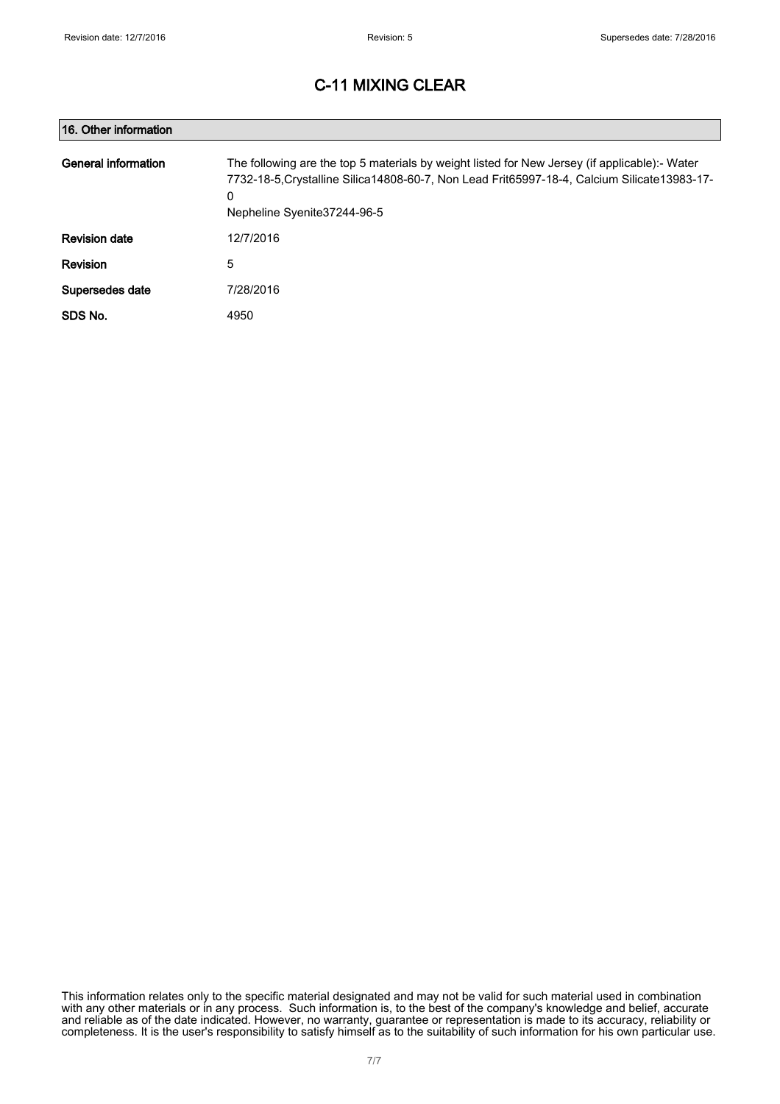| 16. Other information |                                                                                                                                                                                                                                    |
|-----------------------|------------------------------------------------------------------------------------------------------------------------------------------------------------------------------------------------------------------------------------|
| General information   | The following are the top 5 materials by weight listed for New Jersey (if applicable):- Water<br>7732-18-5. Crystalline Silica 14808-60-7, Non Lead Frit65997-18-4, Calcium Silicate 13983-17-<br>0<br>Nepheline Syenite37244-96-5 |
| <b>Revision date</b>  | 12/7/2016                                                                                                                                                                                                                          |
| Revision              | 5                                                                                                                                                                                                                                  |
| Supersedes date       | 7/28/2016                                                                                                                                                                                                                          |
| SDS No.               | 4950                                                                                                                                                                                                                               |

This information relates only to the specific material designated and may not be valid for such material used in combination with any other materials or in any process. Such information is, to the best of the company's knowledge and belief, accurate and reliable as of the date indicated. However, no warranty, guarantee or representation is made to its accuracy, reliability or completeness. It is the user's responsibility to satisfy himself as to the suitability of such information for his own particular use.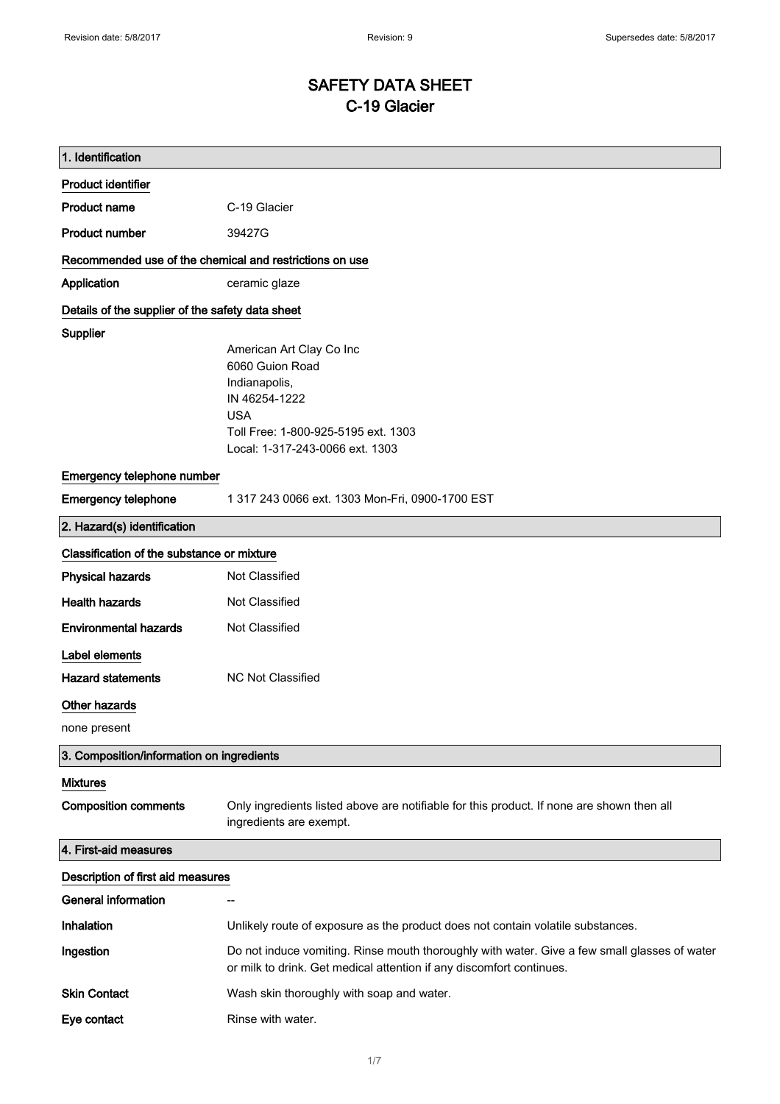# SAFETY DATA SHEET C-19 Glacier

| 1. Identification                                                           |                                                                                                                                                                       |
|-----------------------------------------------------------------------------|-----------------------------------------------------------------------------------------------------------------------------------------------------------------------|
| <b>Product identifier</b>                                                   |                                                                                                                                                                       |
| <b>Product name</b>                                                         | C-19 Glacier                                                                                                                                                          |
| <b>Product number</b>                                                       | 39427G                                                                                                                                                                |
| Recommended use of the chemical and restrictions on use                     |                                                                                                                                                                       |
| Application                                                                 | ceramic glaze                                                                                                                                                         |
| Details of the supplier of the safety data sheet                            |                                                                                                                                                                       |
| <b>Supplier</b>                                                             | American Art Clay Co Inc<br>6060 Guion Road<br>Indianapolis,<br>IN 46254-1222<br><b>USA</b><br>Toll Free: 1-800-925-5195 ext. 1303<br>Local: 1-317-243-0066 ext. 1303 |
| Emergency telephone number                                                  |                                                                                                                                                                       |
| <b>Emergency telephone</b>                                                  | 1 317 243 0066 ext. 1303 Mon-Fri, 0900-1700 EST                                                                                                                       |
| 2. Hazard(s) identification                                                 |                                                                                                                                                                       |
| Classification of the substance or mixture                                  |                                                                                                                                                                       |
| <b>Physical hazards</b>                                                     | Not Classified                                                                                                                                                        |
| <b>Health hazards</b>                                                       | Not Classified                                                                                                                                                        |
| <b>Environmental hazards</b>                                                | Not Classified                                                                                                                                                        |
| Label elements<br><b>Hazard statements</b><br>Other hazards<br>none present | <b>NC Not Classified</b>                                                                                                                                              |
| 3. Composition/information on ingredients                                   |                                                                                                                                                                       |
| <b>Mixtures</b><br><b>Composition comments</b>                              | Only ingredients listed above are notifiable for this product. If none are shown then all<br>ingredients are exempt.                                                  |
| 4. First-aid measures                                                       |                                                                                                                                                                       |
| Description of first aid measures                                           |                                                                                                                                                                       |
| <b>General information</b>                                                  | --                                                                                                                                                                    |
| Inhalation                                                                  | Unlikely route of exposure as the product does not contain volatile substances.                                                                                       |
| Ingestion                                                                   | Do not induce vomiting. Rinse mouth thoroughly with water. Give a few small glasses of water<br>or milk to drink. Get medical attention if any discomfort continues.  |
| <b>Skin Contact</b>                                                         | Wash skin thoroughly with soap and water.                                                                                                                             |
| Eye contact                                                                 | Rinse with water.                                                                                                                                                     |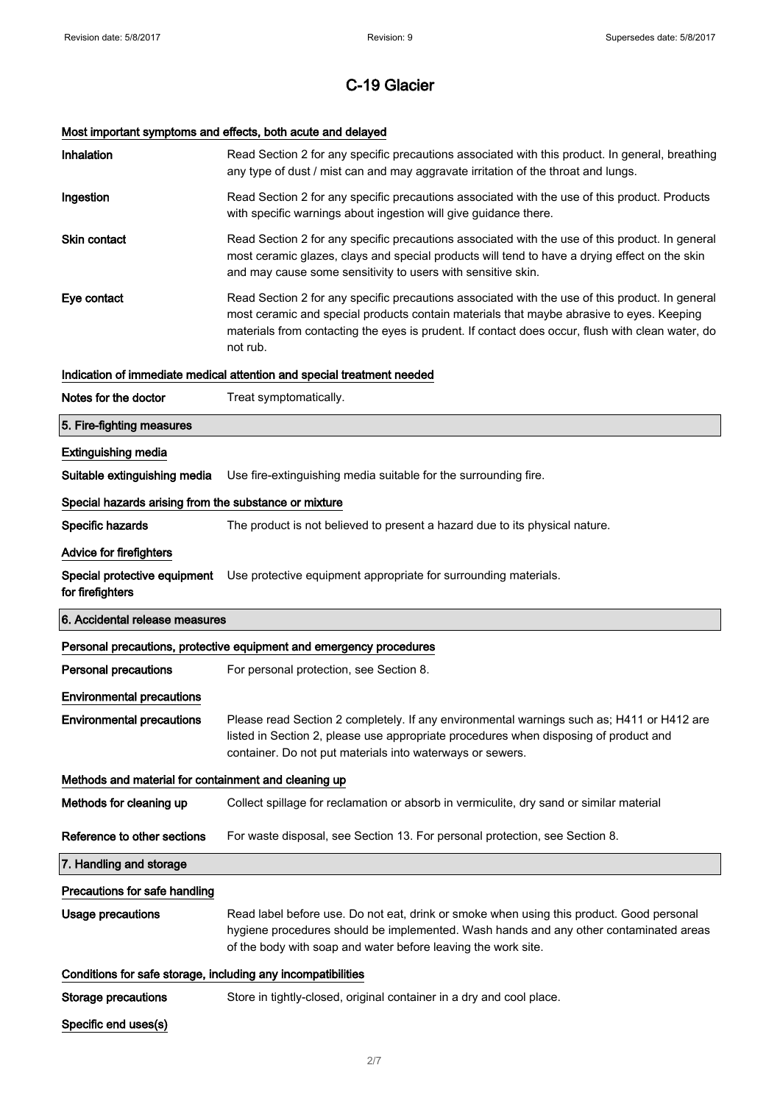# Most important symptoms and effects, both acute and delayed

| Inhalation                                                   | Read Section 2 for any specific precautions associated with this product. In general, breathing<br>any type of dust / mist can and may aggravate irritation of the throat and lungs.                                                                                                                        |
|--------------------------------------------------------------|-------------------------------------------------------------------------------------------------------------------------------------------------------------------------------------------------------------------------------------------------------------------------------------------------------------|
| Ingestion                                                    | Read Section 2 for any specific precautions associated with the use of this product. Products<br>with specific warnings about ingestion will give guidance there.                                                                                                                                           |
| <b>Skin contact</b>                                          | Read Section 2 for any specific precautions associated with the use of this product. In general<br>most ceramic glazes, clays and special products will tend to have a drying effect on the skin<br>and may cause some sensitivity to users with sensitive skin.                                            |
| Eye contact                                                  | Read Section 2 for any specific precautions associated with the use of this product. In general<br>most ceramic and special products contain materials that maybe abrasive to eyes. Keeping<br>materials from contacting the eyes is prudent. If contact does occur, flush with clean water, do<br>not rub. |
|                                                              | Indication of immediate medical attention and special treatment needed                                                                                                                                                                                                                                      |
| Notes for the doctor                                         | Treat symptomatically.                                                                                                                                                                                                                                                                                      |
| 5. Fire-fighting measures                                    |                                                                                                                                                                                                                                                                                                             |
| <b>Extinguishing media</b>                                   |                                                                                                                                                                                                                                                                                                             |
| Suitable extinguishing media                                 | Use fire-extinguishing media suitable for the surrounding fire.                                                                                                                                                                                                                                             |
| Special hazards arising from the substance or mixture        |                                                                                                                                                                                                                                                                                                             |
| Specific hazards                                             | The product is not believed to present a hazard due to its physical nature.                                                                                                                                                                                                                                 |
| <b>Advice for firefighters</b>                               |                                                                                                                                                                                                                                                                                                             |
| Special protective equipment<br>for firefighters             | Use protective equipment appropriate for surrounding materials.                                                                                                                                                                                                                                             |
|                                                              |                                                                                                                                                                                                                                                                                                             |
| 6. Accidental release measures                               |                                                                                                                                                                                                                                                                                                             |
|                                                              | Personal precautions, protective equipment and emergency procedures                                                                                                                                                                                                                                         |
| <b>Personal precautions</b>                                  | For personal protection, see Section 8.                                                                                                                                                                                                                                                                     |
| <b>Environmental precautions</b>                             |                                                                                                                                                                                                                                                                                                             |
| <b>Environmental precautions</b>                             | Please read Section 2 completely. If any environmental warnings such as; H411 or H412 are<br>listed in Section 2, please use appropriate procedures when disposing of product and<br>container. Do not put materials into waterways or sewers.                                                              |
| Methods and material for containment and cleaning up         |                                                                                                                                                                                                                                                                                                             |
| Methods for cleaning up                                      | Collect spillage for reclamation or absorb in vermiculite, dry sand or similar material                                                                                                                                                                                                                     |
| Reference to other sections                                  | For waste disposal, see Section 13. For personal protection, see Section 8.                                                                                                                                                                                                                                 |
| 7. Handling and storage                                      |                                                                                                                                                                                                                                                                                                             |
| Precautions for safe handling                                |                                                                                                                                                                                                                                                                                                             |
| <b>Usage precautions</b>                                     | Read label before use. Do not eat, drink or smoke when using this product. Good personal<br>hygiene procedures should be implemented. Wash hands and any other contaminated areas<br>of the body with soap and water before leaving the work site.                                                          |
| Conditions for safe storage, including any incompatibilities |                                                                                                                                                                                                                                                                                                             |
| Storage precautions                                          | Store in tightly-closed, original container in a dry and cool place.                                                                                                                                                                                                                                        |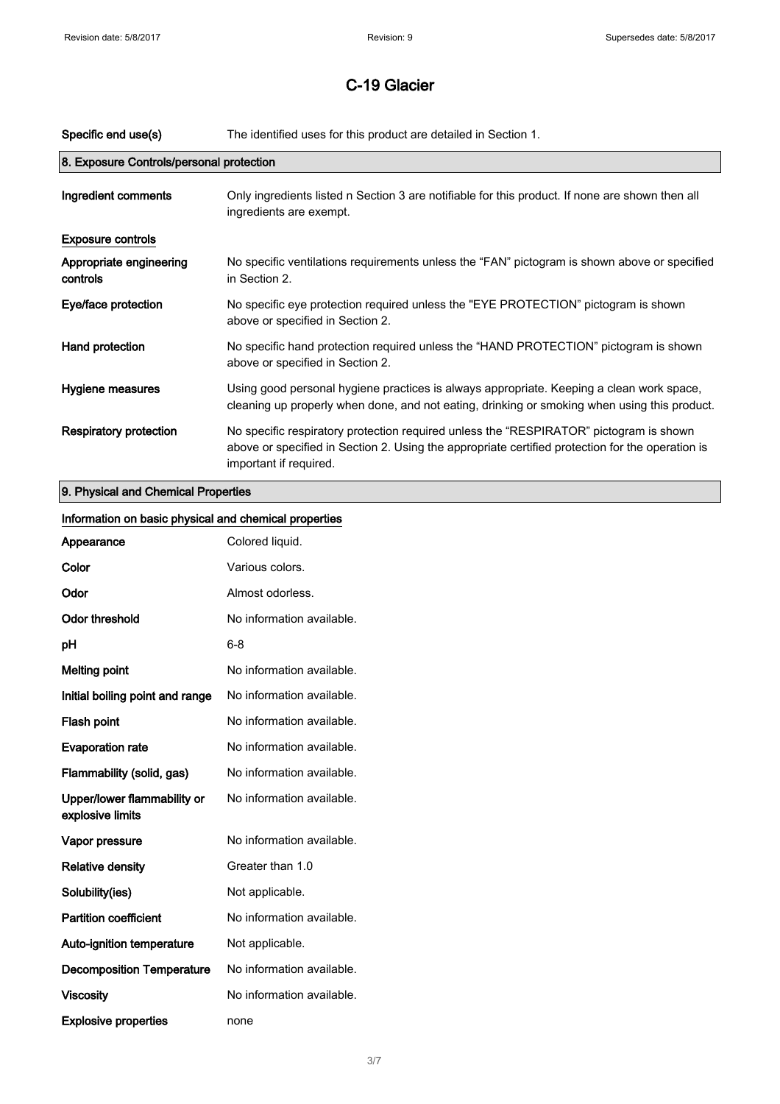| Specific end use(s)                      | The identified uses for this product are detailed in Section 1.                                                                                                                                                      |
|------------------------------------------|----------------------------------------------------------------------------------------------------------------------------------------------------------------------------------------------------------------------|
| 8. Exposure Controls/personal protection |                                                                                                                                                                                                                      |
| Ingredient comments                      | Only ingredients listed n Section 3 are notifiable for this product. If none are shown then all<br>ingredients are exempt.                                                                                           |
| <b>Exposure controls</b>                 |                                                                                                                                                                                                                      |
| Appropriate engineering<br>controls      | No specific ventilations requirements unless the "FAN" pictogram is shown above or specified<br>in Section 2.                                                                                                        |
| Eye/face protection                      | No specific eye protection required unless the "EYE PROTECTION" pictogram is shown<br>above or specified in Section 2.                                                                                               |
| Hand protection                          | No specific hand protection required unless the "HAND PROTECTION" pictogram is shown<br>above or specified in Section 2.                                                                                             |
| Hygiene measures                         | Using good personal hygiene practices is always appropriate. Keeping a clean work space,<br>cleaning up properly when done, and not eating, drinking or smoking when using this product.                             |
| <b>Respiratory protection</b>            | No specific respiratory protection required unless the "RESPIRATOR" pictogram is shown<br>above or specified in Section 2. Using the appropriate certified protection for the operation is<br>important if required. |
| 9. Physical and Chemical Properties      |                                                                                                                                                                                                                      |

| Information on basic physical and chemical properties |                           |
|-------------------------------------------------------|---------------------------|
| Appearance                                            | Colored liquid.           |
| Color                                                 | Various colors.           |
| Odor                                                  | Almost odorless.          |
| <b>Odor threshold</b>                                 | No information available. |
| pH                                                    | $6 - 8$                   |
| <b>Melting point</b>                                  | No information available. |
| Initial boiling point and range                       | No information available. |
| Flash point                                           | No information available. |
| <b>Evaporation rate</b>                               | No information available. |
| Flammability (solid, gas)                             | No information available. |
| Upper/lower flammability or<br>explosive limits       | No information available. |
| Vapor pressure                                        | No information available. |
| <b>Relative density</b>                               | Greater than 1.0          |
| Solubility(ies)                                       | Not applicable.           |
| <b>Partition coefficient</b>                          | No information available. |
| Auto-ignition temperature                             | Not applicable.           |
| <b>Decomposition Temperature</b>                      | No information available. |
| <b>Viscosity</b>                                      | No information available. |
| <b>Explosive properties</b>                           | none                      |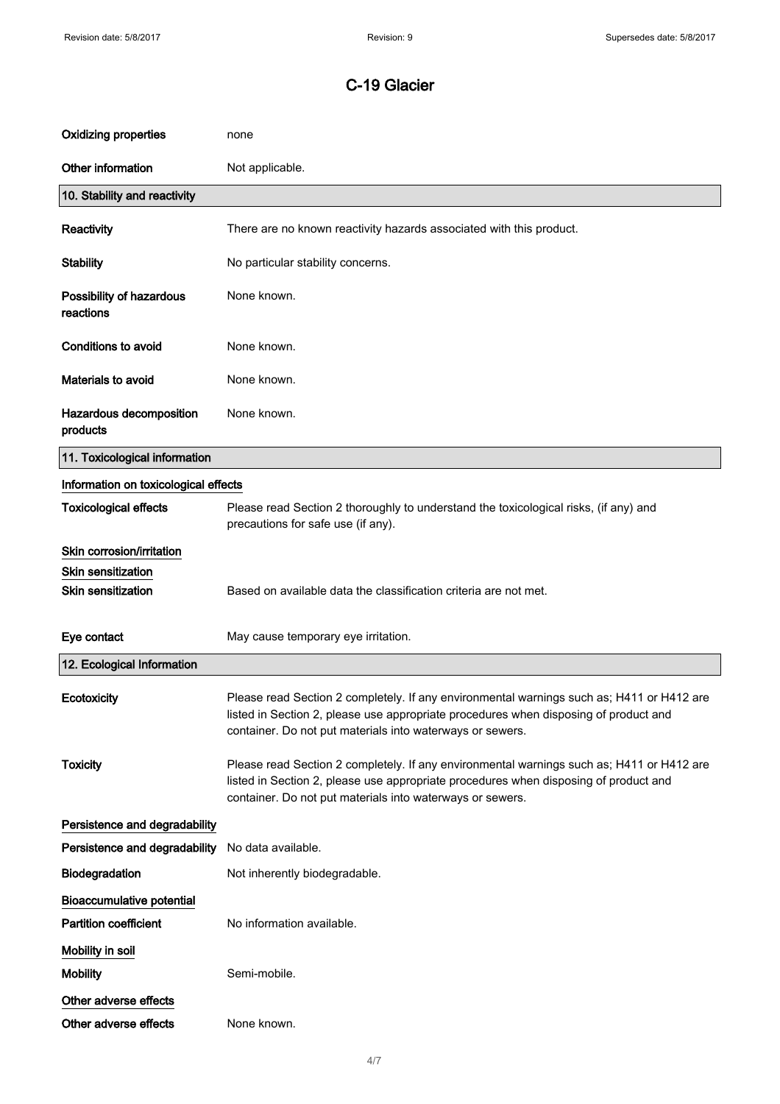| <b>Oxidizing properties</b>           | none                                                                                                                                                                                                                                           |
|---------------------------------------|------------------------------------------------------------------------------------------------------------------------------------------------------------------------------------------------------------------------------------------------|
| Other information                     | Not applicable.                                                                                                                                                                                                                                |
| 10. Stability and reactivity          |                                                                                                                                                                                                                                                |
| <b>Reactivity</b>                     | There are no known reactivity hazards associated with this product.                                                                                                                                                                            |
| <b>Stability</b>                      | No particular stability concerns.                                                                                                                                                                                                              |
| Possibility of hazardous<br>reactions | None known.                                                                                                                                                                                                                                    |
| <b>Conditions to avoid</b>            | None known.                                                                                                                                                                                                                                    |
| Materials to avoid                    | None known.                                                                                                                                                                                                                                    |
| Hazardous decomposition<br>products   | None known.                                                                                                                                                                                                                                    |
| 11. Toxicological information         |                                                                                                                                                                                                                                                |
| Information on toxicological effects  |                                                                                                                                                                                                                                                |
| <b>Toxicological effects</b>          | Please read Section 2 thoroughly to understand the toxicological risks, (if any) and<br>precautions for safe use (if any).                                                                                                                     |
| Skin corrosion/irritation             |                                                                                                                                                                                                                                                |
| <b>Skin sensitization</b>             |                                                                                                                                                                                                                                                |
| <b>Skin sensitization</b>             | Based on available data the classification criteria are not met.                                                                                                                                                                               |
| Eye contact                           | May cause temporary eye irritation.                                                                                                                                                                                                            |
| 12. Ecological Information            |                                                                                                                                                                                                                                                |
| Ecotoxicity                           | Please read Section 2 completely. If any environmental warnings such as; H411 or H412 are<br>listed in Section 2, please use appropriate procedures when disposing of product and<br>container. Do not put materials into waterways or sewers. |
| <b>Toxicity</b>                       | Please read Section 2 completely. If any environmental warnings such as; H411 or H412 are<br>listed in Section 2, please use appropriate procedures when disposing of product and<br>container. Do not put materials into waterways or sewers. |
| Persistence and degradability         |                                                                                                                                                                                                                                                |
| Persistence and degradability         | No data available.                                                                                                                                                                                                                             |
| Biodegradation                        | Not inherently biodegradable.                                                                                                                                                                                                                  |
| <b>Bioaccumulative potential</b>      |                                                                                                                                                                                                                                                |
| <b>Partition coefficient</b>          | No information available.                                                                                                                                                                                                                      |
| Mobility in soil                      |                                                                                                                                                                                                                                                |
| <b>Mobility</b>                       | Semi-mobile.                                                                                                                                                                                                                                   |
| Other adverse effects                 |                                                                                                                                                                                                                                                |
| Other adverse effects                 | None known.                                                                                                                                                                                                                                    |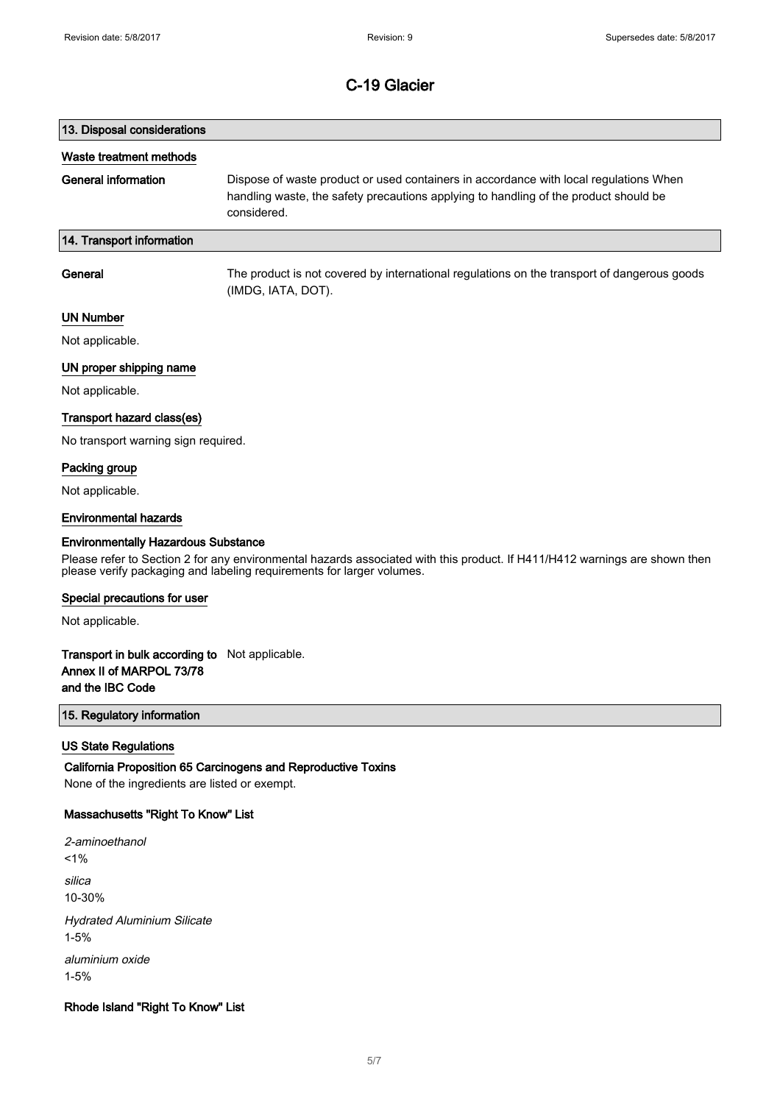# 13. Disposal considerations Waste treatment methods General information Dispose of waste product or used containers in accordance with local regulations When handling waste, the safety precautions applying to handling of the product should be considered. 14. Transport information General The product is not covered by international regulations on the transport of dangerous goods

(IMDG, IATA, DOT).

#### UN Number

Not applicable.

#### UN proper shipping name

Not applicable.

#### Transport hazard class(es)

No transport warning sign required.

#### Packing group

Not applicable.

#### Environmental hazards

#### Environmentally Hazardous Substance

Please refer to Section 2 for any environmental hazards associated with this product. If H411/H412 warnings are shown then please verify packaging and labeling requirements for larger volumes.

#### Special precautions for user

Not applicable.

### Transport in bulk according to Not applicable. Annex II of MARPOL 73/78 and the IBC Code

#### 15. Regulatory information

#### US State Regulations

California Proposition 65 Carcinogens and Reproductive Toxins None of the ingredients are listed or exempt.

#### Massachusetts "Right To Know" List

2-aminoethanol  $1%$ silica 10-30% Hydrated Aluminium Silicate 1-5% aluminium oxide 1-5%

#### Rhode Island "Right To Know" List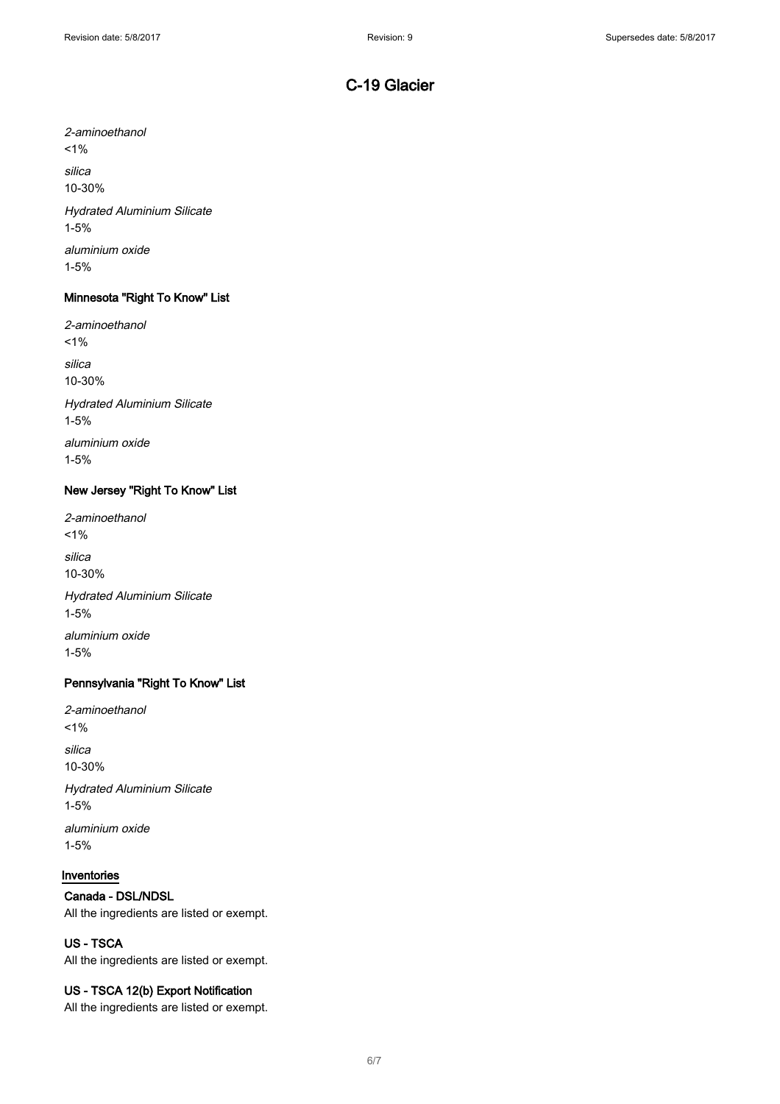2-aminoethanol  $1%$ silica 10-30% Hydrated Aluminium Silicate 1-5% aluminium oxide 1-5%

### Minnesota "Right To Know" List

2-aminoethanol  $1%$ silica 10-30% Hydrated Aluminium Silicate 1-5% aluminium oxide

1-5%

### New Jersey "Right To Know" List

2-aminoethanol  $1\%$ silica 10-30% Hydrated Aluminium Silicate 1-5% aluminium oxide 1-5%

### Pennsylvania "Right To Know" List

2-aminoethanol  $1%$ silica 10-30% Hydrated Aluminium Silicate 1-5%

aluminium oxide 1-5%

## Inventories

### Canada - DSL/NDSL

All the ingredients are listed or exempt.

## US - TSCA

All the ingredients are listed or exempt.

#### US - TSCA 12(b) Export Notification

All the ingredients are listed or exempt.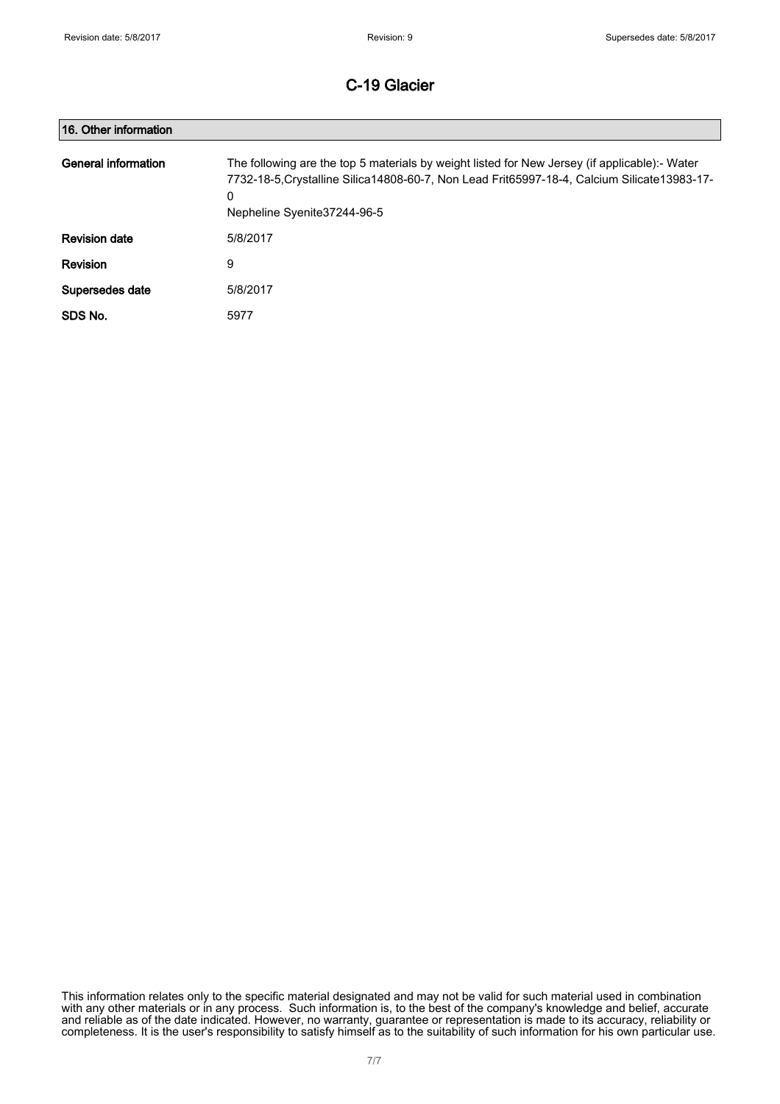| 16. Other information |                                                                                                                                                                                                                                     |
|-----------------------|-------------------------------------------------------------------------------------------------------------------------------------------------------------------------------------------------------------------------------------|
| General information   | The following are the top 5 materials by weight listed for New Jersey (if applicable):- Water<br>7732-18-5, Crystalline Silica 14808-60-7, Non Lead Frit65997-18-4, Calcium Silicate 13983-17-<br>0<br>Nepheline Syenite 37244-96-5 |
| <b>Revision date</b>  | 5/8/2017                                                                                                                                                                                                                            |
| Revision              | 9                                                                                                                                                                                                                                   |
| Supersedes date       | 5/8/2017                                                                                                                                                                                                                            |
| SDS No.               | 5977                                                                                                                                                                                                                                |

This information relates only to the specific material designated and may not be valid for such material used in combination with any other materials or in any process. Such information is, to the best of the company's knowledge and belief, accurate and reliable as of the date indicated. However, no warranty, guarantee or representation is made to its accuracy, reliability or completeness. It is the user's responsibility to satisfy himself as to the suitability of such information for his own particular use.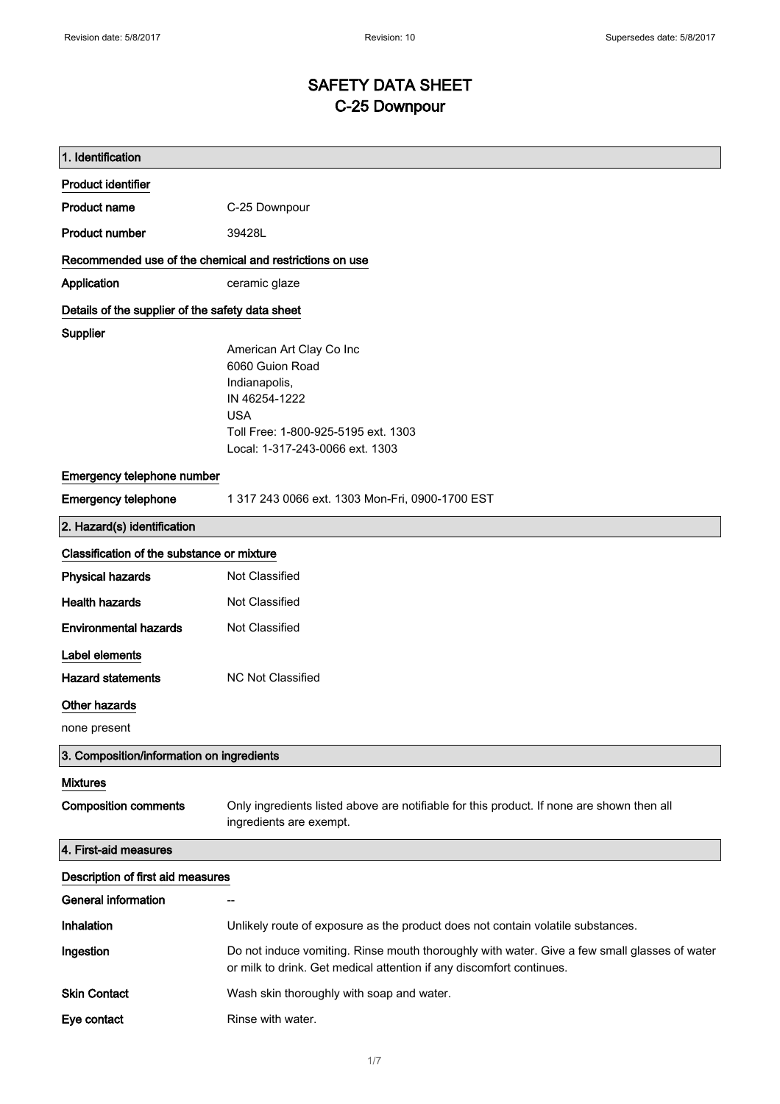# SAFETY DATA SHEET C-25 Downpour

| 1. Identification                                       |                                                                                                                                                                       |
|---------------------------------------------------------|-----------------------------------------------------------------------------------------------------------------------------------------------------------------------|
| <b>Product identifier</b>                               |                                                                                                                                                                       |
| <b>Product name</b>                                     | C-25 Downpour                                                                                                                                                         |
| <b>Product number</b>                                   | 39428L                                                                                                                                                                |
| Recommended use of the chemical and restrictions on use |                                                                                                                                                                       |
| Application                                             | ceramic glaze                                                                                                                                                         |
| Details of the supplier of the safety data sheet        |                                                                                                                                                                       |
| Supplier                                                | American Art Clay Co Inc<br>6060 Guion Road<br>Indianapolis,<br>IN 46254-1222<br><b>USA</b><br>Toll Free: 1-800-925-5195 ext. 1303<br>Local: 1-317-243-0066 ext. 1303 |
| Emergency telephone number                              |                                                                                                                                                                       |
| <b>Emergency telephone</b>                              | 1 317 243 0066 ext. 1303 Mon-Fri, 0900-1700 EST                                                                                                                       |
| 2. Hazard(s) identification                             |                                                                                                                                                                       |
| Classification of the substance or mixture              |                                                                                                                                                                       |
| <b>Physical hazards</b>                                 | Not Classified                                                                                                                                                        |
| <b>Health hazards</b>                                   | Not Classified                                                                                                                                                        |
| <b>Environmental hazards</b>                            | Not Classified                                                                                                                                                        |
| Label elements                                          |                                                                                                                                                                       |
| <b>Hazard statements</b>                                | <b>NC Not Classified</b>                                                                                                                                              |
| <b>Other hazards</b>                                    |                                                                                                                                                                       |
| none present                                            |                                                                                                                                                                       |
| 3. Composition/information on ingredients               |                                                                                                                                                                       |
| <b>Mixtures</b>                                         |                                                                                                                                                                       |
| <b>Composition comments</b>                             | Only ingredients listed above are notifiable for this product. If none are shown then all<br>ingredients are exempt.                                                  |
| 4. First-aid measures                                   |                                                                                                                                                                       |
| Description of first aid measures                       |                                                                                                                                                                       |
| <b>General information</b>                              | $\overline{\phantom{a}}$                                                                                                                                              |
| Inhalation                                              | Unlikely route of exposure as the product does not contain volatile substances.                                                                                       |
| Ingestion                                               | Do not induce vomiting. Rinse mouth thoroughly with water. Give a few small glasses of water<br>or milk to drink. Get medical attention if any discomfort continues.  |
| <b>Skin Contact</b>                                     | Wash skin thoroughly with soap and water.                                                                                                                             |
| Eye contact                                             | Rinse with water.                                                                                                                                                     |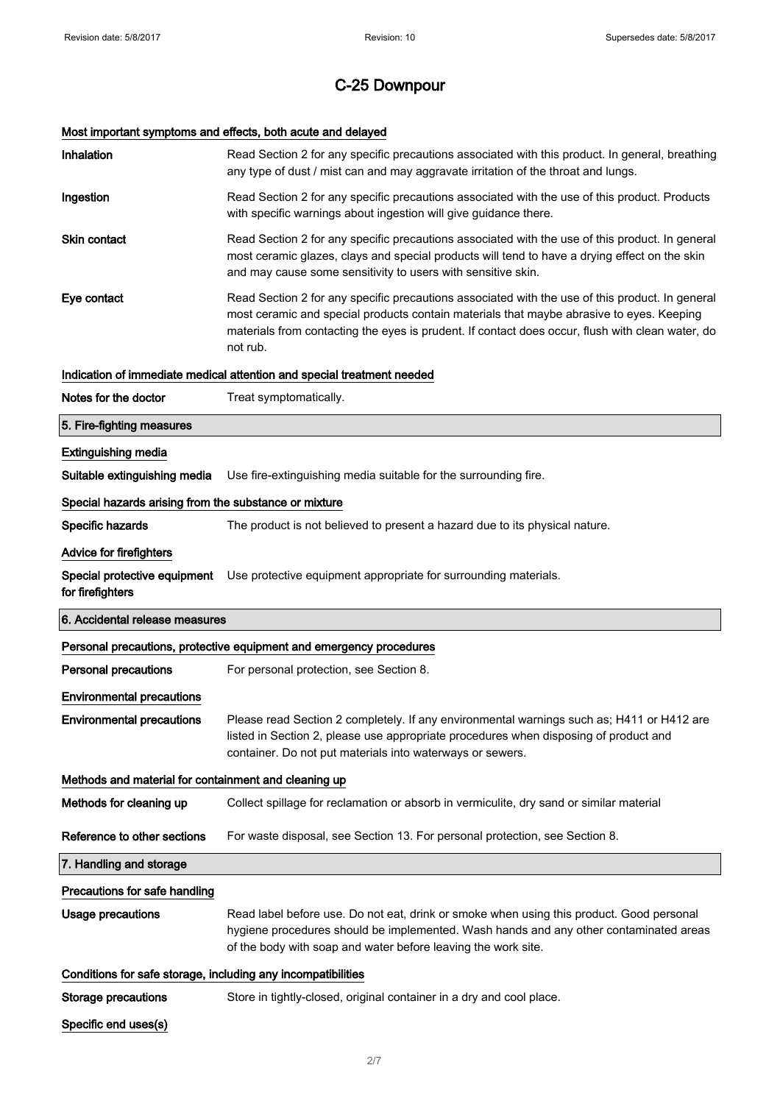# Most important symptoms and effects, both acute and delayed

| Inhalation                                                   | Read Section 2 for any specific precautions associated with this product. In general, breathing<br>any type of dust / mist can and may aggravate irritation of the throat and lungs.                                                                                                                        |
|--------------------------------------------------------------|-------------------------------------------------------------------------------------------------------------------------------------------------------------------------------------------------------------------------------------------------------------------------------------------------------------|
| Ingestion                                                    | Read Section 2 for any specific precautions associated with the use of this product. Products<br>with specific warnings about ingestion will give guidance there.                                                                                                                                           |
| <b>Skin contact</b>                                          | Read Section 2 for any specific precautions associated with the use of this product. In general<br>most ceramic glazes, clays and special products will tend to have a drying effect on the skin<br>and may cause some sensitivity to users with sensitive skin.                                            |
| Eye contact                                                  | Read Section 2 for any specific precautions associated with the use of this product. In general<br>most ceramic and special products contain materials that maybe abrasive to eyes. Keeping<br>materials from contacting the eyes is prudent. If contact does occur, flush with clean water, do<br>not rub. |
|                                                              | Indication of immediate medical attention and special treatment needed                                                                                                                                                                                                                                      |
| Notes for the doctor                                         | Treat symptomatically.                                                                                                                                                                                                                                                                                      |
| 5. Fire-fighting measures                                    |                                                                                                                                                                                                                                                                                                             |
| <b>Extinguishing media</b>                                   |                                                                                                                                                                                                                                                                                                             |
| Suitable extinguishing media                                 | Use fire-extinguishing media suitable for the surrounding fire.                                                                                                                                                                                                                                             |
| Special hazards arising from the substance or mixture        |                                                                                                                                                                                                                                                                                                             |
| Specific hazards                                             | The product is not believed to present a hazard due to its physical nature.                                                                                                                                                                                                                                 |
| Advice for firefighters                                      |                                                                                                                                                                                                                                                                                                             |
| Special protective equipment<br>for firefighters             | Use protective equipment appropriate for surrounding materials.                                                                                                                                                                                                                                             |
|                                                              |                                                                                                                                                                                                                                                                                                             |
| 6. Accidental release measures                               |                                                                                                                                                                                                                                                                                                             |
|                                                              | Personal precautions, protective equipment and emergency procedures                                                                                                                                                                                                                                         |
| <b>Personal precautions</b>                                  | For personal protection, see Section 8.                                                                                                                                                                                                                                                                     |
| <b>Environmental precautions</b>                             |                                                                                                                                                                                                                                                                                                             |
| <b>Environmental precautions</b>                             | Please read Section 2 completely. If any environmental warnings such as; H411 or H412 are<br>listed in Section 2, please use appropriate procedures when disposing of product and<br>container. Do not put materials into waterways or sewers.                                                              |
| Methods and material for containment and cleaning up         |                                                                                                                                                                                                                                                                                                             |
| Methods for cleaning up                                      | Collect spillage for reclamation or absorb in vermiculite, dry sand or similar material                                                                                                                                                                                                                     |
| Reference to other sections                                  | For waste disposal, see Section 13. For personal protection, see Section 8.                                                                                                                                                                                                                                 |
| 7. Handling and storage                                      |                                                                                                                                                                                                                                                                                                             |
| Precautions for safe handling                                |                                                                                                                                                                                                                                                                                                             |
| <b>Usage precautions</b>                                     | Read label before use. Do not eat, drink or smoke when using this product. Good personal<br>hygiene procedures should be implemented. Wash hands and any other contaminated areas<br>of the body with soap and water before leaving the work site.                                                          |
| Conditions for safe storage, including any incompatibilities |                                                                                                                                                                                                                                                                                                             |
| <b>Storage precautions</b>                                   | Store in tightly-closed, original container in a dry and cool place.                                                                                                                                                                                                                                        |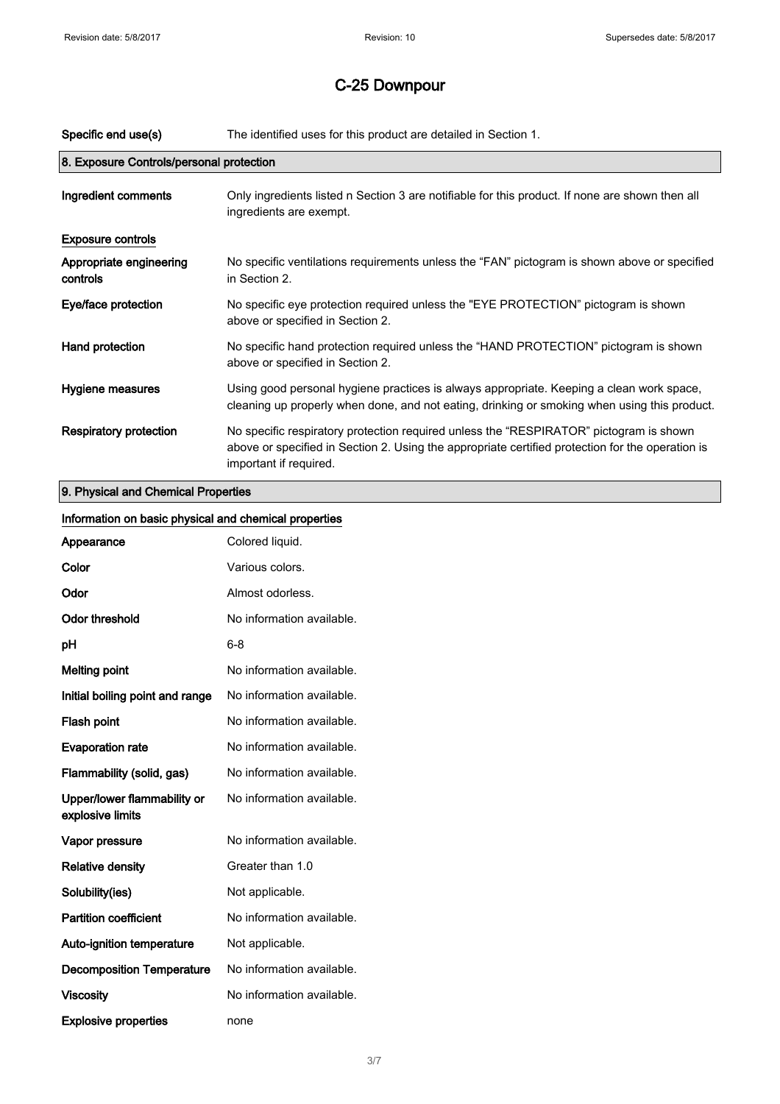| Specific end use(s)                      | The identified uses for this product are detailed in Section 1.                                                                                                                                                      |
|------------------------------------------|----------------------------------------------------------------------------------------------------------------------------------------------------------------------------------------------------------------------|
| 8. Exposure Controls/personal protection |                                                                                                                                                                                                                      |
| Ingredient comments                      | Only ingredients listed n Section 3 are notifiable for this product. If none are shown then all<br>ingredients are exempt.                                                                                           |
| <b>Exposure controls</b>                 |                                                                                                                                                                                                                      |
| Appropriate engineering<br>controls      | No specific ventilations requirements unless the "FAN" pictogram is shown above or specified<br>in Section 2.                                                                                                        |
| Eye/face protection                      | No specific eye protection required unless the "EYE PROTECTION" pictogram is shown<br>above or specified in Section 2.                                                                                               |
| Hand protection                          | No specific hand protection required unless the "HAND PROTECTION" pictogram is shown<br>above or specified in Section 2.                                                                                             |
| Hygiene measures                         | Using good personal hygiene practices is always appropriate. Keeping a clean work space,<br>cleaning up properly when done, and not eating, drinking or smoking when using this product.                             |
| <b>Respiratory protection</b>            | No specific respiratory protection required unless the "RESPIRATOR" pictogram is shown<br>above or specified in Section 2. Using the appropriate certified protection for the operation is<br>important if required. |
| 9. Physical and Chemical Properties      |                                                                                                                                                                                                                      |

| Information on basic physical and chemical properties |                           |
|-------------------------------------------------------|---------------------------|
| Appearance                                            | Colored liquid.           |
| Color                                                 | Various colors.           |
| Odor                                                  | Almost odorless.          |
| <b>Odor threshold</b>                                 | No information available. |
| pH                                                    | $6 - 8$                   |
| <b>Melting point</b>                                  | No information available. |
| Initial boiling point and range                       | No information available. |
| Flash point                                           | No information available. |
| <b>Evaporation rate</b>                               | No information available. |
| Flammability (solid, gas)                             | No information available. |
| Upper/lower flammability or<br>explosive limits       | No information available. |
| Vapor pressure                                        | No information available. |
| <b>Relative density</b>                               | Greater than 1.0          |
| Solubility(ies)                                       | Not applicable.           |
| <b>Partition coefficient</b>                          | No information available. |
| Auto-ignition temperature                             | Not applicable.           |
| <b>Decomposition Temperature</b>                      | No information available. |
| <b>Viscosity</b>                                      | No information available. |
| <b>Explosive properties</b>                           | none                      |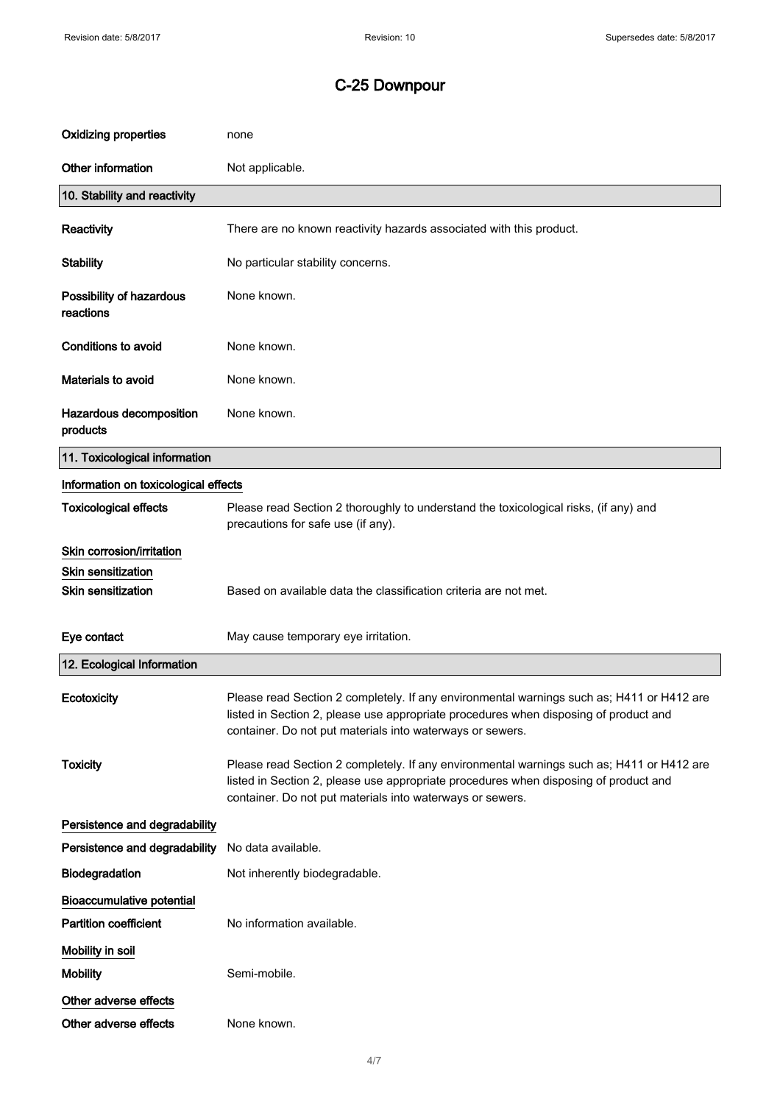| <b>Oxidizing properties</b>           | none                                                                                                                                                                                                                                           |
|---------------------------------------|------------------------------------------------------------------------------------------------------------------------------------------------------------------------------------------------------------------------------------------------|
| Other information                     | Not applicable.                                                                                                                                                                                                                                |
| 10. Stability and reactivity          |                                                                                                                                                                                                                                                |
| Reactivity                            | There are no known reactivity hazards associated with this product.                                                                                                                                                                            |
| <b>Stability</b>                      | No particular stability concerns.                                                                                                                                                                                                              |
| Possibility of hazardous<br>reactions | None known.                                                                                                                                                                                                                                    |
| Conditions to avoid                   | None known.                                                                                                                                                                                                                                    |
| <b>Materials to avoid</b>             | None known.                                                                                                                                                                                                                                    |
| Hazardous decomposition<br>products   | None known.                                                                                                                                                                                                                                    |
| 11. Toxicological information         |                                                                                                                                                                                                                                                |
| Information on toxicological effects  |                                                                                                                                                                                                                                                |
| <b>Toxicological effects</b>          | Please read Section 2 thoroughly to understand the toxicological risks, (if any) and<br>precautions for safe use (if any).                                                                                                                     |
| Skin corrosion/irritation             |                                                                                                                                                                                                                                                |
| <b>Skin sensitization</b>             |                                                                                                                                                                                                                                                |
| <b>Skin sensitization</b>             | Based on available data the classification criteria are not met.                                                                                                                                                                               |
| Eye contact                           | May cause temporary eye irritation.                                                                                                                                                                                                            |
| 12. Ecological Information            |                                                                                                                                                                                                                                                |
| Ecotoxicity                           | Please read Section 2 completely. If any environmental warnings such as; H411 or H412 are<br>listed in Section 2, please use appropriate procedures when disposing of product and<br>container. Do not put materials into waterways or sewers. |
| <b>Toxicity</b>                       | Please read Section 2 completely. If any environmental warnings such as; H411 or H412 are<br>listed in Section 2, please use appropriate procedures when disposing of product and<br>container. Do not put materials into waterways or sewers. |
| Persistence and degradability         |                                                                                                                                                                                                                                                |
| Persistence and degradability         | No data available.                                                                                                                                                                                                                             |
| Biodegradation                        | Not inherently biodegradable.                                                                                                                                                                                                                  |
| <b>Bioaccumulative potential</b>      |                                                                                                                                                                                                                                                |
| <b>Partition coefficient</b>          | No information available.                                                                                                                                                                                                                      |
| Mobility in soil                      |                                                                                                                                                                                                                                                |
| <b>Mobility</b>                       | Semi-mobile.                                                                                                                                                                                                                                   |
| Other adverse effects                 |                                                                                                                                                                                                                                                |
| Other adverse effects                 | None known.                                                                                                                                                                                                                                    |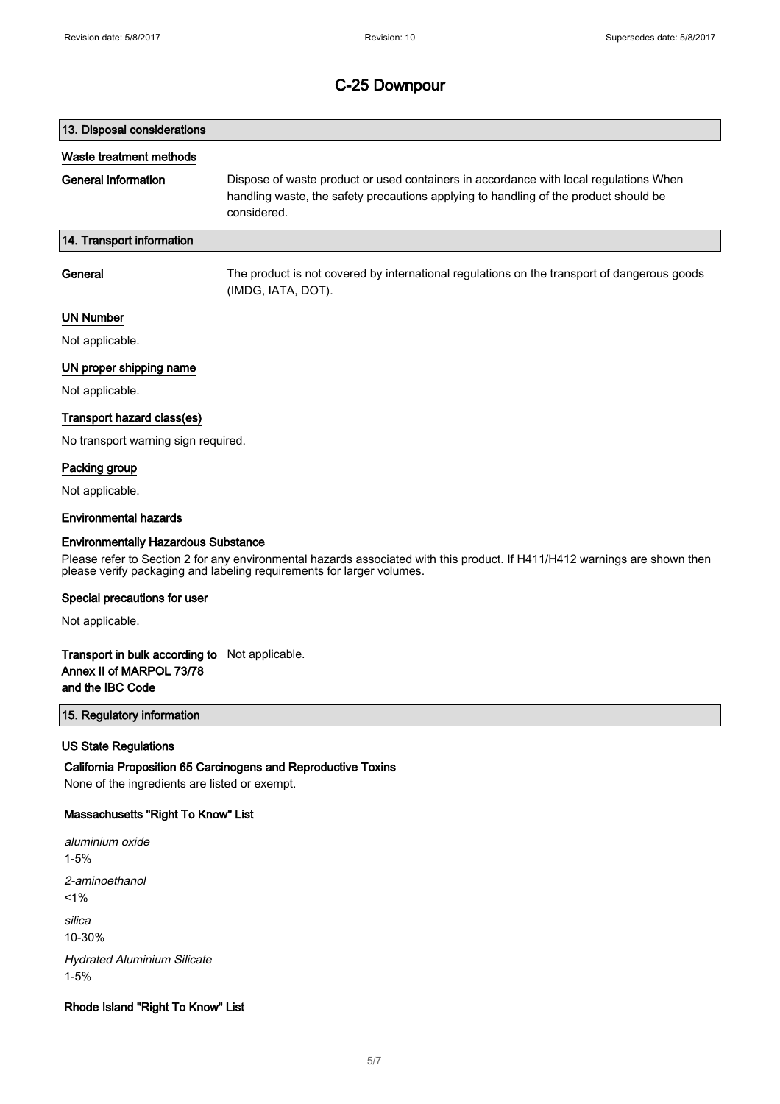# 13. Disposal considerations Waste treatment methods General information Dispose of waste product or used containers in accordance with local regulations When handling waste, the safety precautions applying to handling of the product should be considered. 14. Transport information General The product is not covered by international regulations on the transport of dangerous goods

(IMDG, IATA, DOT).

#### UN Number

Not applicable.

#### UN proper shipping name

Not applicable.

#### Transport hazard class(es)

No transport warning sign required.

#### Packing group

Not applicable.

#### Environmental hazards

#### Environmentally Hazardous Substance

Please refer to Section 2 for any environmental hazards associated with this product. If H411/H412 warnings are shown then please verify packaging and labeling requirements for larger volumes.

#### Special precautions for user

Not applicable.

### Transport in bulk according to Not applicable. Annex II of MARPOL 73/78 and the IBC Code

### 15. Regulatory information

#### US State Regulations

California Proposition 65 Carcinogens and Reproductive Toxins None of the ingredients are listed or exempt.

#### Massachusetts "Right To Know" List

aluminium oxide 1-5% 2-aminoethanol  $1%$ silica 10-30% Hydrated Aluminium Silicate 1-5%

#### Rhode Island "Right To Know" List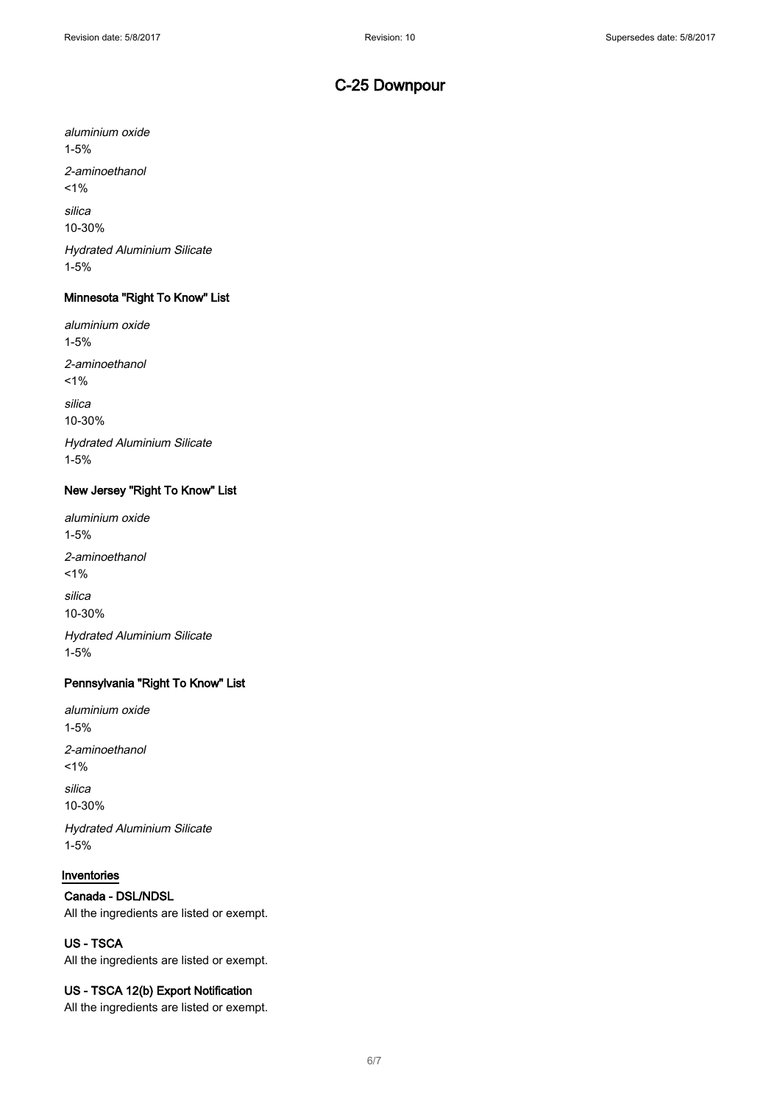aluminium oxide 1-5%

2-aminoethanol

 $1%$ 

silica

10-30%

Hydrated Aluminium Silicate 1-5%

### Minnesota "Right To Know" List

aluminium oxide 1-5% 2-aminoethanol  $1%$ silica 10-30%

Hydrated Aluminium Silicate 1-5%

#### New Jersey "Right To Know" List

aluminium oxide 1-5% 2-aminoethanol  $1%$ silica 10-30% Hydrated Aluminium Silicate 1-5%

### Pennsylvania "Right To Know" List

aluminium oxide 1-5% 2-aminoethanol  $1%$ silica 10-30% Hydrated Aluminium Silicate

1-5%

#### Inventories

### Canada - DSL/NDSL

All the ingredients are listed or exempt.

## US - TSCA

All the ingredients are listed or exempt.

#### US - TSCA 12(b) Export Notification

All the ingredients are listed or exempt.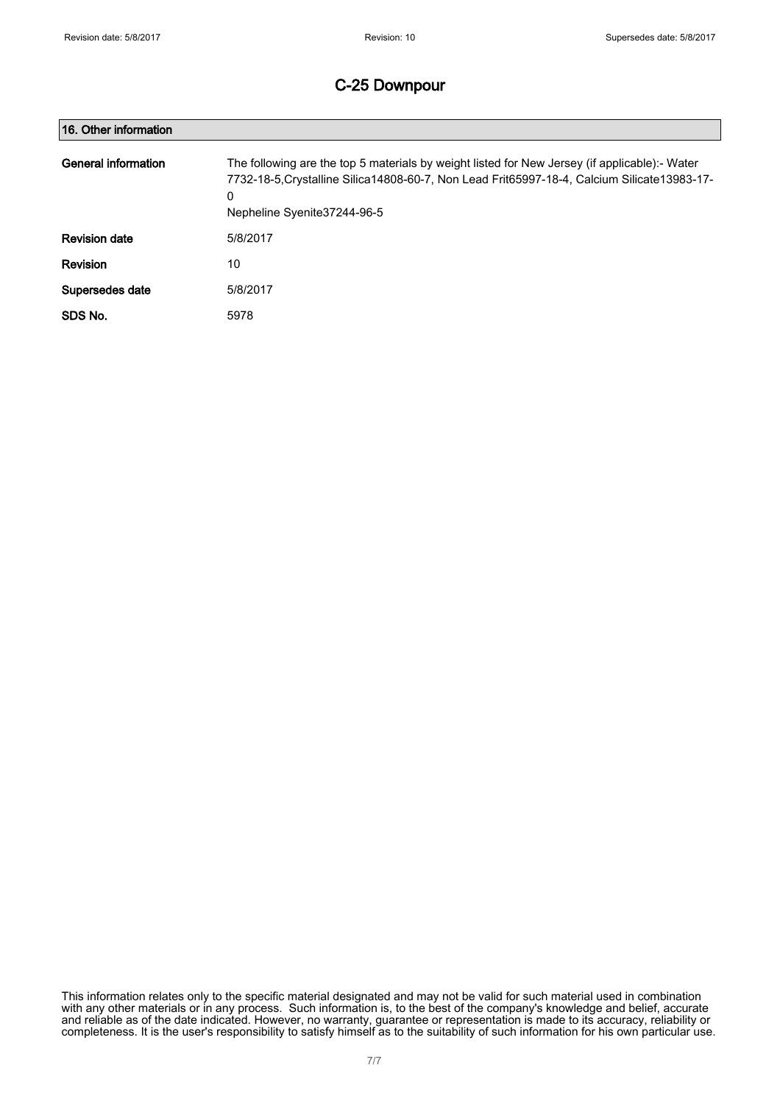| 16. Other information |                                                                                                                                                                                                                                    |
|-----------------------|------------------------------------------------------------------------------------------------------------------------------------------------------------------------------------------------------------------------------------|
| General information   | The following are the top 5 materials by weight listed for New Jersey (if applicable):- Water<br>7732-18-5. Crystalline Silica 14808-60-7, Non Lead Frit65997-18-4, Calcium Silicate 13983-17-<br>0<br>Nepheline Syenite37244-96-5 |
| <b>Revision date</b>  | 5/8/2017                                                                                                                                                                                                                           |
| <b>Revision</b>       | 10                                                                                                                                                                                                                                 |
| Supersedes date       | 5/8/2017                                                                                                                                                                                                                           |
| SDS No.               | 5978                                                                                                                                                                                                                               |

This information relates only to the specific material designated and may not be valid for such material used in combination with any other materials or in any process. Such information is, to the best of the company's knowledge and belief, accurate and reliable as of the date indicated. However, no warranty, guarantee or representation is made to its accuracy, reliability or completeness. It is the user's responsibility to satisfy himself as to the suitability of such information for his own particular use.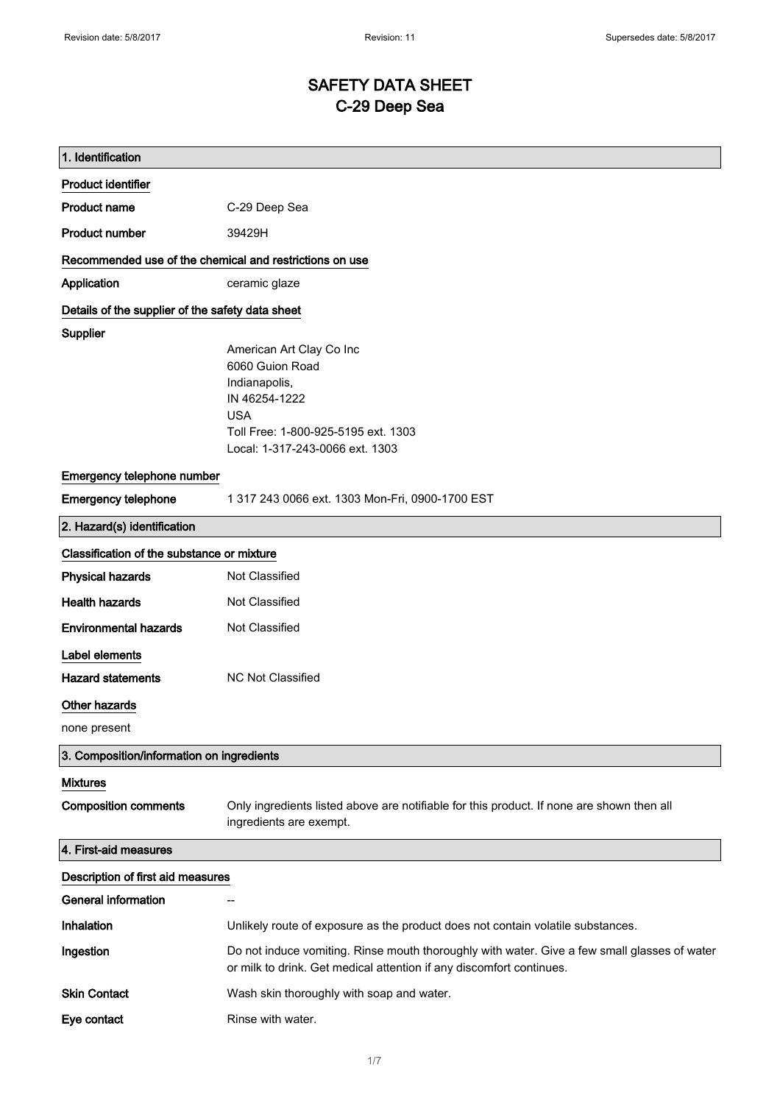# SAFETY DATA SHEET C-29 Deep Sea

| 1. Identification                                       |                                                                                                                                                                       |  |
|---------------------------------------------------------|-----------------------------------------------------------------------------------------------------------------------------------------------------------------------|--|
| <b>Product identifier</b>                               |                                                                                                                                                                       |  |
| <b>Product name</b>                                     | C-29 Deep Sea                                                                                                                                                         |  |
| <b>Product number</b>                                   | 39429H                                                                                                                                                                |  |
| Recommended use of the chemical and restrictions on use |                                                                                                                                                                       |  |
| Application                                             | ceramic glaze                                                                                                                                                         |  |
| Details of the supplier of the safety data sheet        |                                                                                                                                                                       |  |
| <b>Supplier</b>                                         | American Art Clay Co Inc<br>6060 Guion Road<br>Indianapolis,<br>IN 46254-1222<br><b>USA</b><br>Toll Free: 1-800-925-5195 ext. 1303<br>Local: 1-317-243-0066 ext. 1303 |  |
| Emergency telephone number                              |                                                                                                                                                                       |  |
| <b>Emergency telephone</b>                              | 1 317 243 0066 ext. 1303 Mon-Fri, 0900-1700 EST                                                                                                                       |  |
| 2. Hazard(s) identification                             |                                                                                                                                                                       |  |
| Classification of the substance or mixture              |                                                                                                                                                                       |  |
| <b>Physical hazards</b>                                 | Not Classified                                                                                                                                                        |  |
| <b>Health hazards</b>                                   | Not Classified                                                                                                                                                        |  |
| <b>Environmental hazards</b>                            | Not Classified                                                                                                                                                        |  |
| Label elements<br><b>Hazard statements</b>              | <b>NC Not Classified</b>                                                                                                                                              |  |
| <b>Other hazards</b>                                    |                                                                                                                                                                       |  |
| none present                                            |                                                                                                                                                                       |  |
| 3. Composition/information on ingredients               |                                                                                                                                                                       |  |
|                                                         |                                                                                                                                                                       |  |
| <b>Mixtures</b><br><b>Composition comments</b>          | Only ingredients listed above are notifiable for this product. If none are shown then all<br>ingredients are exempt.                                                  |  |
| 4. First-aid measures                                   |                                                                                                                                                                       |  |
| Description of first aid measures                       |                                                                                                                                                                       |  |
| <b>General information</b>                              | --                                                                                                                                                                    |  |
| Inhalation                                              | Unlikely route of exposure as the product does not contain volatile substances.                                                                                       |  |
| Ingestion                                               | Do not induce vomiting. Rinse mouth thoroughly with water. Give a few small glasses of water<br>or milk to drink. Get medical attention if any discomfort continues.  |  |
| <b>Skin Contact</b>                                     | Wash skin thoroughly with soap and water.                                                                                                                             |  |
| Eye contact                                             | Rinse with water.                                                                                                                                                     |  |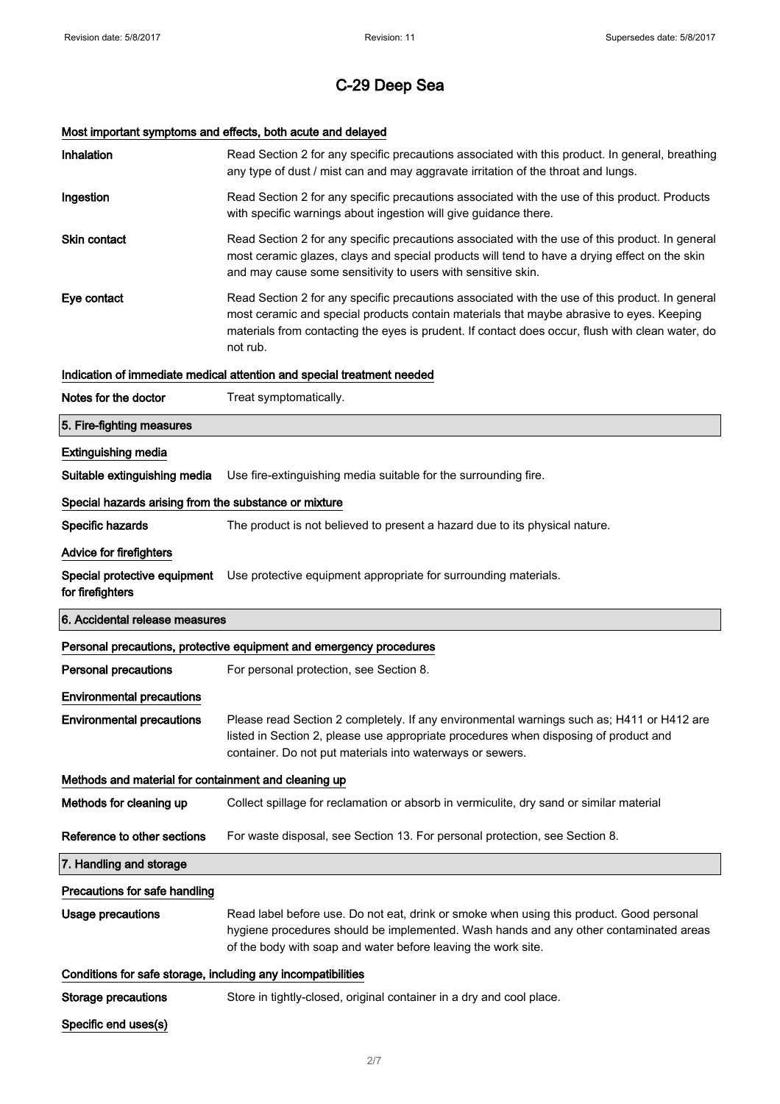# Most important symptoms and effects, both acute and delayed

| Inhalation                                                   | Read Section 2 for any specific precautions associated with this product. In general, breathing<br>any type of dust / mist can and may aggravate irritation of the throat and lungs.                                                                                                                        |
|--------------------------------------------------------------|-------------------------------------------------------------------------------------------------------------------------------------------------------------------------------------------------------------------------------------------------------------------------------------------------------------|
| Ingestion                                                    | Read Section 2 for any specific precautions associated with the use of this product. Products<br>with specific warnings about ingestion will give guidance there.                                                                                                                                           |
| <b>Skin contact</b>                                          | Read Section 2 for any specific precautions associated with the use of this product. In general<br>most ceramic glazes, clays and special products will tend to have a drying effect on the skin<br>and may cause some sensitivity to users with sensitive skin.                                            |
| Eye contact                                                  | Read Section 2 for any specific precautions associated with the use of this product. In general<br>most ceramic and special products contain materials that maybe abrasive to eyes. Keeping<br>materials from contacting the eyes is prudent. If contact does occur, flush with clean water, do<br>not rub. |
|                                                              | Indication of immediate medical attention and special treatment needed                                                                                                                                                                                                                                      |
| Notes for the doctor                                         | Treat symptomatically.                                                                                                                                                                                                                                                                                      |
| 5. Fire-fighting measures                                    |                                                                                                                                                                                                                                                                                                             |
| <b>Extinguishing media</b>                                   |                                                                                                                                                                                                                                                                                                             |
| Suitable extinguishing media                                 | Use fire-extinguishing media suitable for the surrounding fire.                                                                                                                                                                                                                                             |
| Special hazards arising from the substance or mixture        |                                                                                                                                                                                                                                                                                                             |
| Specific hazards                                             | The product is not believed to present a hazard due to its physical nature.                                                                                                                                                                                                                                 |
| <b>Advice for firefighters</b>                               |                                                                                                                                                                                                                                                                                                             |
| Special protective equipment<br>for firefighters             | Use protective equipment appropriate for surrounding materials.                                                                                                                                                                                                                                             |
|                                                              |                                                                                                                                                                                                                                                                                                             |
| 6. Accidental release measures                               |                                                                                                                                                                                                                                                                                                             |
|                                                              | Personal precautions, protective equipment and emergency procedures                                                                                                                                                                                                                                         |
| <b>Personal precautions</b>                                  | For personal protection, see Section 8.                                                                                                                                                                                                                                                                     |
| <b>Environmental precautions</b>                             |                                                                                                                                                                                                                                                                                                             |
| <b>Environmental precautions</b>                             | Please read Section 2 completely. If any environmental warnings such as; H411 or H412 are<br>listed in Section 2, please use appropriate procedures when disposing of product and<br>container. Do not put materials into waterways or sewers.                                                              |
| Methods and material for containment and cleaning up         |                                                                                                                                                                                                                                                                                                             |
| Methods for cleaning up                                      | Collect spillage for reclamation or absorb in vermiculite, dry sand or similar material                                                                                                                                                                                                                     |
| Reference to other sections                                  | For waste disposal, see Section 13. For personal protection, see Section 8.                                                                                                                                                                                                                                 |
| 7. Handling and storage                                      |                                                                                                                                                                                                                                                                                                             |
| Precautions for safe handling                                |                                                                                                                                                                                                                                                                                                             |
| <b>Usage precautions</b>                                     | Read label before use. Do not eat, drink or smoke when using this product. Good personal<br>hygiene procedures should be implemented. Wash hands and any other contaminated areas<br>of the body with soap and water before leaving the work site.                                                          |
| Conditions for safe storage, including any incompatibilities |                                                                                                                                                                                                                                                                                                             |
| <b>Storage precautions</b>                                   | Store in tightly-closed, original container in a dry and cool place.                                                                                                                                                                                                                                        |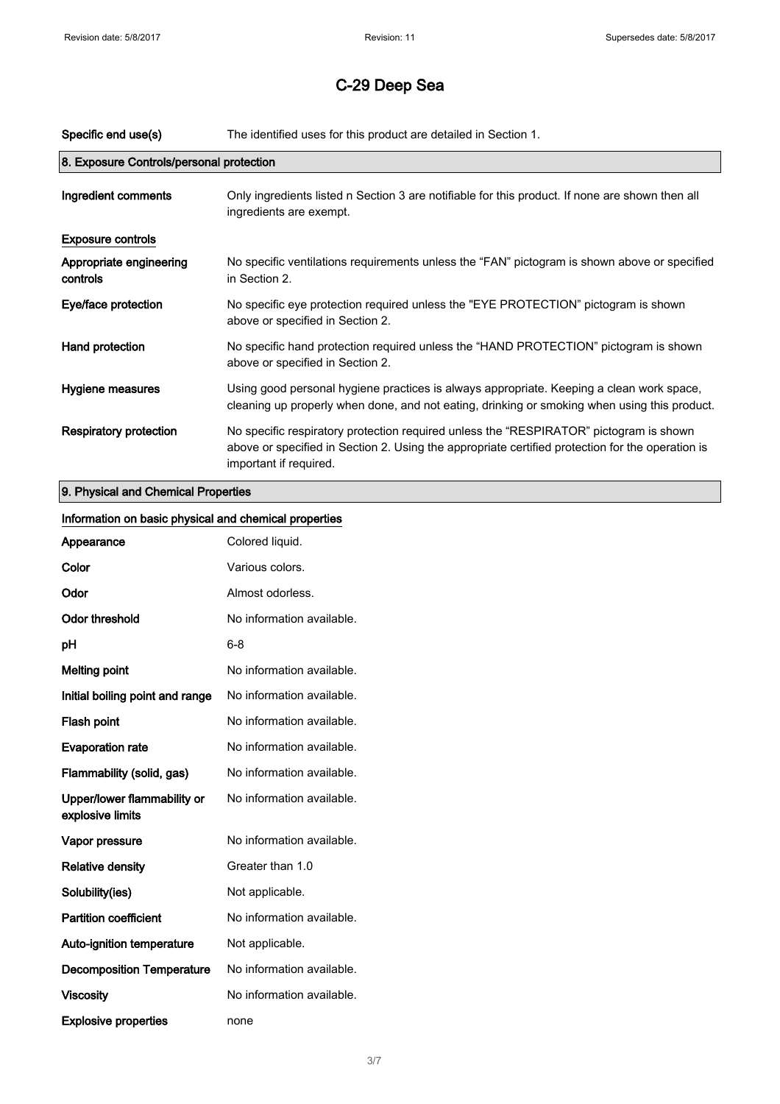| 8. Exposure Controls/personal protection                                                                                                                                                                                                              |  |
|-------------------------------------------------------------------------------------------------------------------------------------------------------------------------------------------------------------------------------------------------------|--|
| Ingredient comments<br>Only ingredients listed n Section 3 are notifiable for this product. If none are shown then all<br>ingredients are exempt.                                                                                                     |  |
| <b>Exposure controls</b>                                                                                                                                                                                                                              |  |
| Appropriate engineering<br>No specific ventilations requirements unless the "FAN" pictogram is shown above or specified<br>in Section 2.<br>controls                                                                                                  |  |
| No specific eye protection required unless the "EYE PROTECTION" pictogram is shown<br>Eye/face protection<br>above or specified in Section 2.                                                                                                         |  |
| No specific hand protection required unless the "HAND PROTECTION" pictogram is shown<br>Hand protection<br>above or specified in Section 2.                                                                                                           |  |
| Using good personal hygiene practices is always appropriate. Keeping a clean work space,<br>Hygiene measures<br>cleaning up properly when done, and not eating, drinking or smoking when using this product.                                          |  |
| <b>Respiratory protection</b><br>No specific respiratory protection required unless the "RESPIRATOR" pictogram is shown<br>above or specified in Section 2. Using the appropriate certified protection for the operation is<br>important if required. |  |

## 9. Physical and Chemical Properties

| Information on basic physical and chemical properties |                           |
|-------------------------------------------------------|---------------------------|
| Appearance                                            | Colored liquid.           |
| Color                                                 | Various colors.           |
| Odor                                                  | Almost odorless.          |
| <b>Odor threshold</b>                                 | No information available. |
| рH                                                    | $6 - 8$                   |
| <b>Melting point</b>                                  | No information available. |
| Initial boiling point and range                       | No information available. |
| Flash point                                           | No information available. |
| <b>Evaporation rate</b>                               | No information available. |
| Flammability (solid, gas)                             | No information available. |
| Upper/lower flammability or<br>explosive limits       | No information available. |
| Vapor pressure                                        | No information available. |
| <b>Relative density</b>                               | Greater than 1.0          |
| Solubility(ies)                                       | Not applicable.           |
| <b>Partition coefficient</b>                          | No information available. |
| Auto-ignition temperature                             | Not applicable.           |
| <b>Decomposition Temperature</b>                      | No information available. |
| <b>Viscosity</b>                                      | No information available. |
| <b>Explosive properties</b>                           | none                      |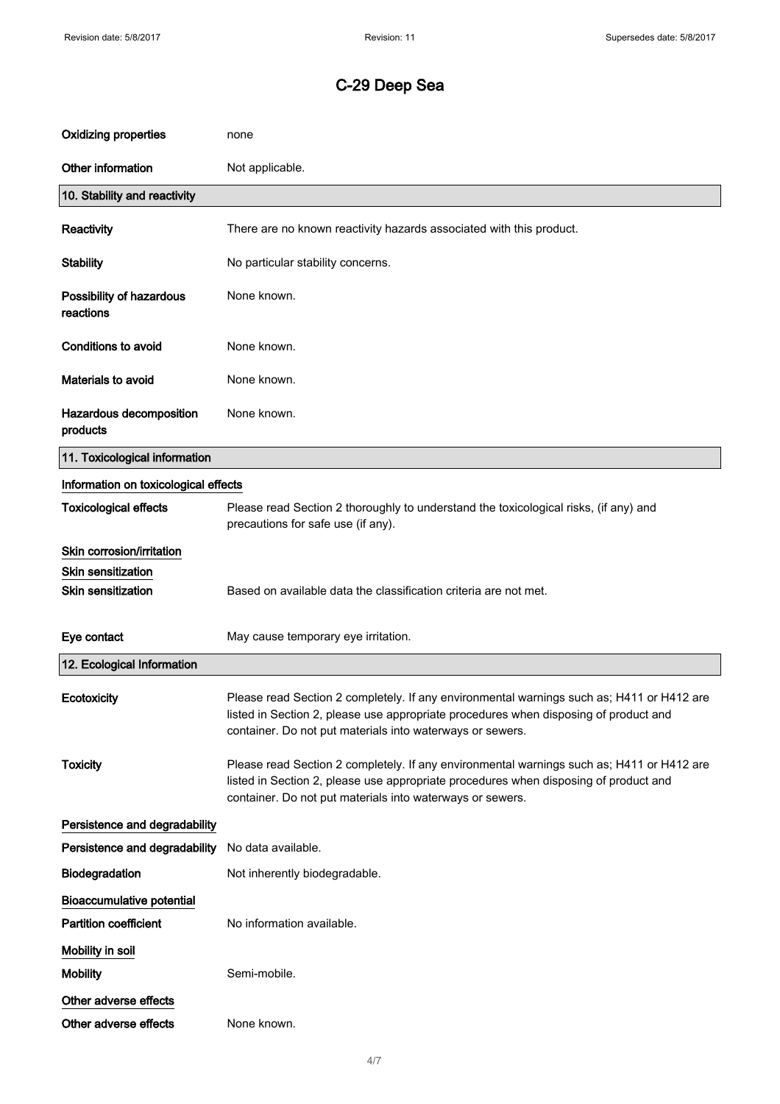| <b>Oxidizing properties</b>           | none                                                                                                                                                                                                                                           |
|---------------------------------------|------------------------------------------------------------------------------------------------------------------------------------------------------------------------------------------------------------------------------------------------|
| Other information                     | Not applicable.                                                                                                                                                                                                                                |
| 10. Stability and reactivity          |                                                                                                                                                                                                                                                |
| Reactivity                            | There are no known reactivity hazards associated with this product.                                                                                                                                                                            |
| <b>Stability</b>                      | No particular stability concerns.                                                                                                                                                                                                              |
| Possibility of hazardous<br>reactions | None known.                                                                                                                                                                                                                                    |
| <b>Conditions to avoid</b>            | None known.                                                                                                                                                                                                                                    |
| <b>Materials to avoid</b>             | None known.                                                                                                                                                                                                                                    |
| Hazardous decomposition<br>products   | None known.                                                                                                                                                                                                                                    |
| 11. Toxicological information         |                                                                                                                                                                                                                                                |
| Information on toxicological effects  |                                                                                                                                                                                                                                                |
| <b>Toxicological effects</b>          | Please read Section 2 thoroughly to understand the toxicological risks, (if any) and<br>precautions for safe use (if any).                                                                                                                     |
| Skin corrosion/irritation             |                                                                                                                                                                                                                                                |
| <b>Skin sensitization</b>             |                                                                                                                                                                                                                                                |
| <b>Skin sensitization</b>             | Based on available data the classification criteria are not met.                                                                                                                                                                               |
| Eye contact                           | May cause temporary eye irritation.                                                                                                                                                                                                            |
| 12. Ecological Information            |                                                                                                                                                                                                                                                |
| Ecotoxicity                           | Please read Section 2 completely. If any environmental warnings such as; H411 or H412 are<br>listed in Section 2, please use appropriate procedures when disposing of product and<br>container. Do not put materials into waterways or sewers. |
| <b>Toxicity</b>                       | Please read Section 2 completely. If any environmental warnings such as; H411 or H412 are<br>listed in Section 2, please use appropriate procedures when disposing of product and<br>container. Do not put materials into waterways or sewers. |
| Persistence and degradability         |                                                                                                                                                                                                                                                |
| Persistence and degradability         | No data available.                                                                                                                                                                                                                             |
| Biodegradation                        | Not inherently biodegradable.                                                                                                                                                                                                                  |
| <b>Bioaccumulative potential</b>      |                                                                                                                                                                                                                                                |
| <b>Partition coefficient</b>          | No information available.                                                                                                                                                                                                                      |
| Mobility in soil                      |                                                                                                                                                                                                                                                |
| <b>Mobility</b>                       | Semi-mobile.                                                                                                                                                                                                                                   |
| Other adverse effects                 |                                                                                                                                                                                                                                                |
| Other adverse effects                 | None known.                                                                                                                                                                                                                                    |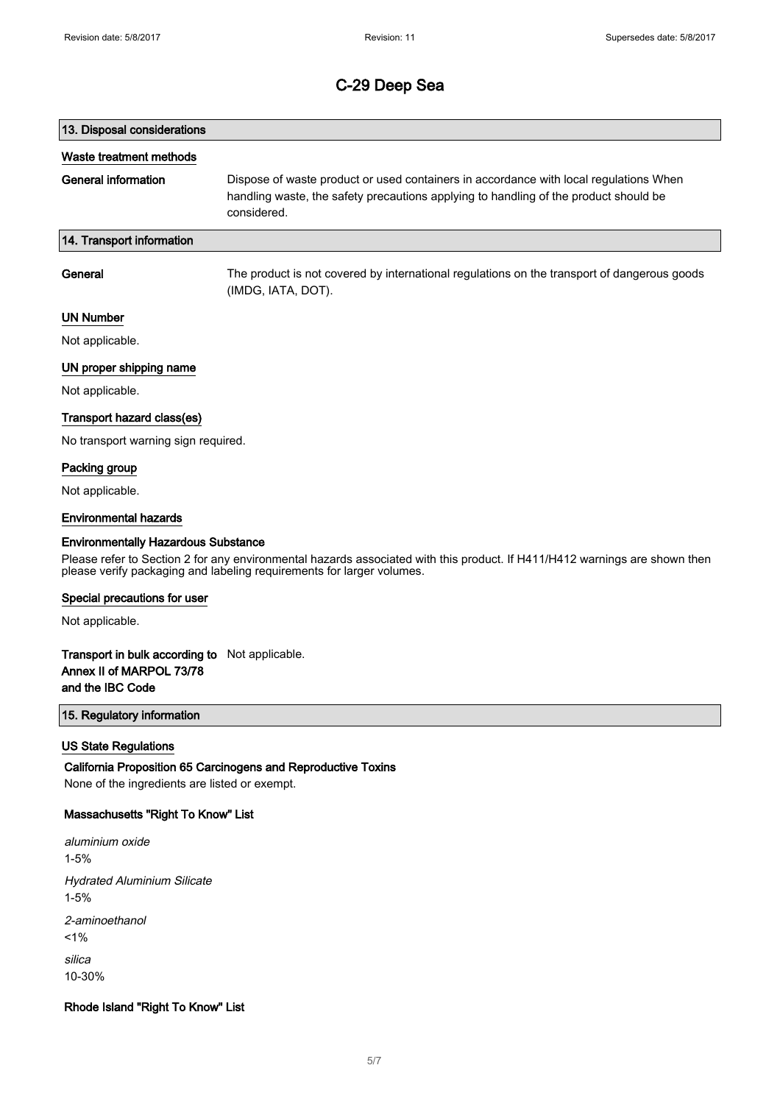# 13. Disposal considerations Waste treatment methods General information Dispose of waste product or used containers in accordance with local regulations When handling waste, the safety precautions applying to handling of the product should be considered. 14. Transport information General The product is not covered by international regulations on the transport of dangerous goods

(IMDG, IATA, DOT).

#### UN Number

Not applicable.

#### UN proper shipping name

Not applicable.

#### Transport hazard class(es)

No transport warning sign required.

#### Packing group

Not applicable.

#### Environmental hazards

#### Environmentally Hazardous Substance

Please refer to Section 2 for any environmental hazards associated with this product. If H411/H412 warnings are shown then please verify packaging and labeling requirements for larger volumes.

#### Special precautions for user

Not applicable.

### Transport in bulk according to Not applicable. Annex II of MARPOL 73/78 and the IBC Code

### 15. Regulatory information

#### US State Regulations

California Proposition 65 Carcinogens and Reproductive Toxins None of the ingredients are listed or exempt.

#### Massachusetts "Right To Know" List

aluminium oxide 1-5% Hydrated Aluminium Silicate 1-5% 2-aminoethanol  $1%$ silica 10-30%

#### Rhode Island "Right To Know" List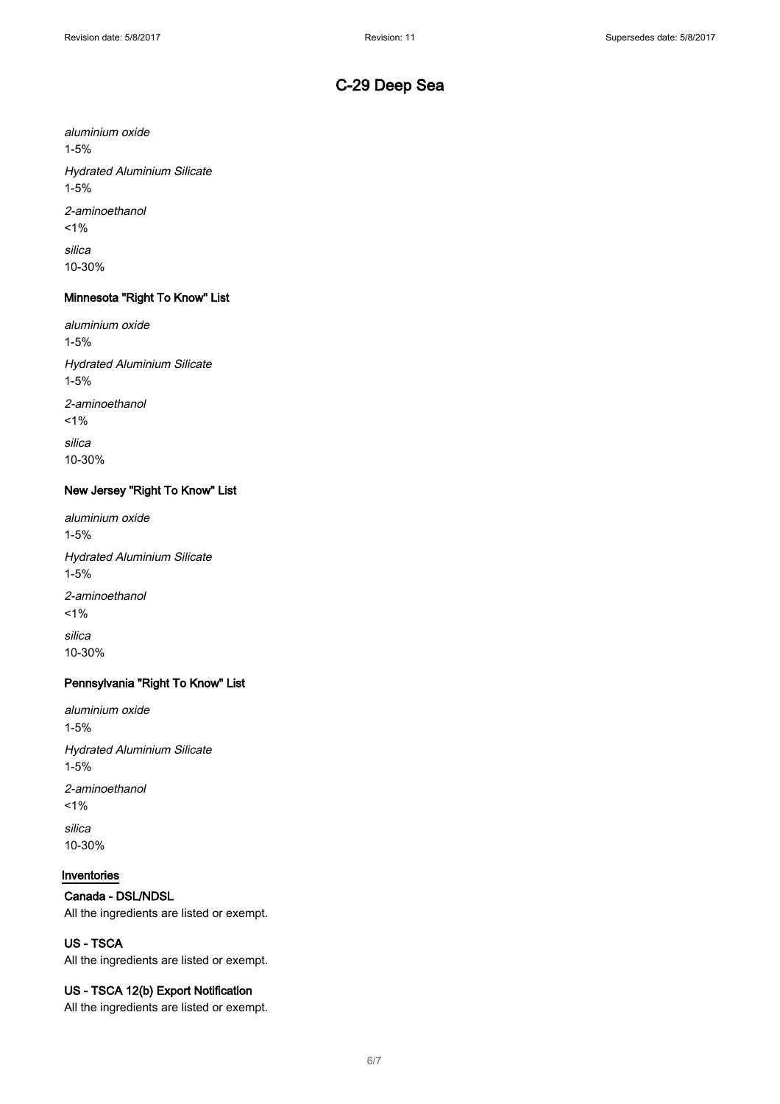aluminium oxide 1-5% Hydrated Aluminium Silicate 1-5% 2-aminoethanol  $1\%$ silica 10-30%

## Minnesota "Right To Know" List

aluminium oxide 1-5% Hydrated Aluminium Silicate 1-5% 2-aminoethanol  $1\%$ silica 10-30%

### New Jersey "Right To Know" List

aluminium oxide 1-5% Hydrated Aluminium Silicate 1-5% 2-aminoethanol  $1%$ silica 10-30%

### Pennsylvania "Right To Know" List

aluminium oxide 1-5% Hydrated Aluminium Silicate 1-5% 2-aminoethanol  $1%$ silica 10-30%

#### Inventories

### Canada - DSL/NDSL

All the ingredients are listed or exempt.

## US - TSCA

All the ingredients are listed or exempt.

#### US - TSCA 12(b) Export Notification

All the ingredients are listed or exempt.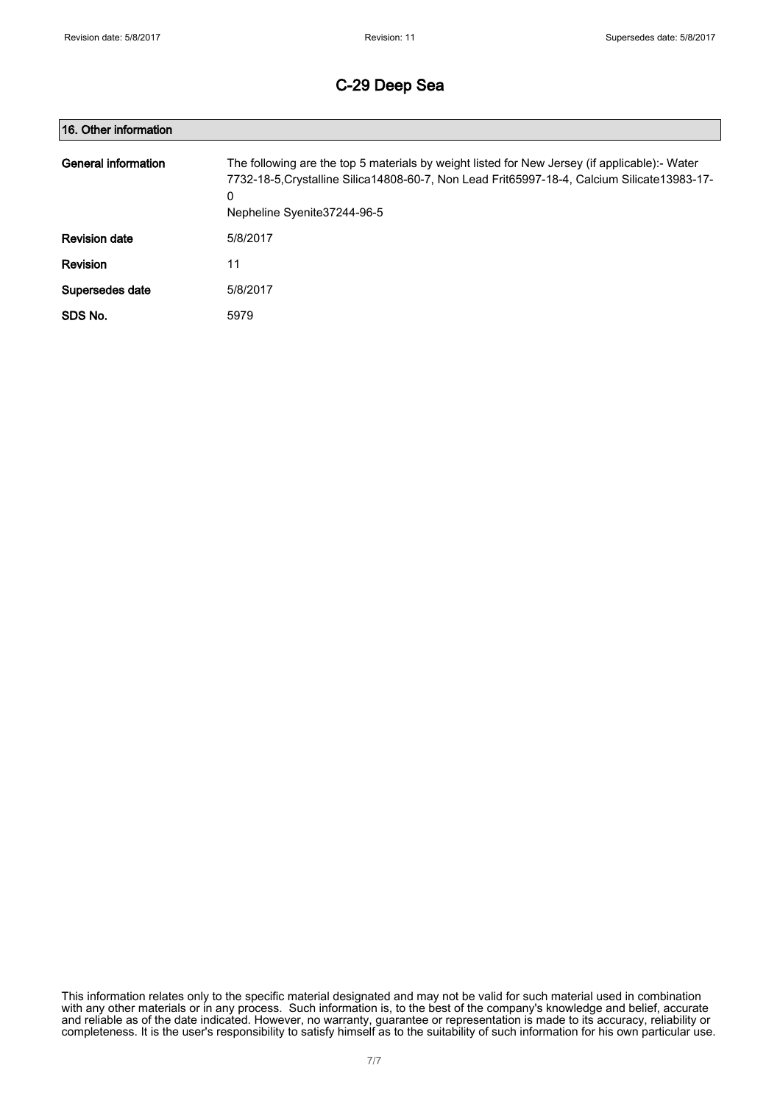| 16. Other information |                                                                                                                                                                                                                                     |  |
|-----------------------|-------------------------------------------------------------------------------------------------------------------------------------------------------------------------------------------------------------------------------------|--|
| General information   | The following are the top 5 materials by weight listed for New Jersey (if applicable):- Water<br>7732-18-5. Crystalline Silica 14808-60-7, Non Lead Frit65997-18-4, Calcium Silicate 13983-17-<br>0<br>Nepheline Syenite 37244-96-5 |  |
| <b>Revision date</b>  | 5/8/2017                                                                                                                                                                                                                            |  |
| Revision              | 11                                                                                                                                                                                                                                  |  |
| Supersedes date       | 5/8/2017                                                                                                                                                                                                                            |  |
| SDS No.               | 5979                                                                                                                                                                                                                                |  |

This information relates only to the specific material designated and may not be valid for such material used in combination with any other materials or in any process. Such information is, to the best of the company's knowledge and belief, accurate and reliable as of the date indicated. However, no warranty, guarantee or representation is made to its accuracy, reliability or completeness. It is the user's responsibility to satisfy himself as to the suitability of such information for his own particular use.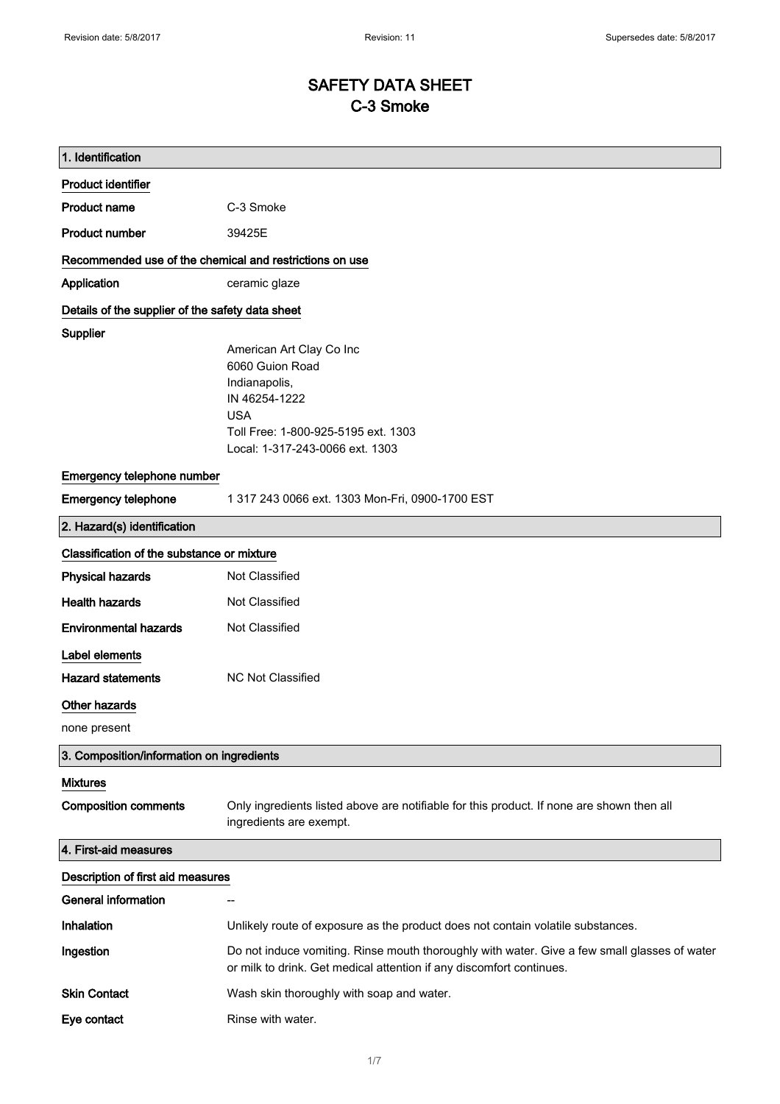# SAFETY DATA SHEET C-3 Smoke

| 1. Identification                                       |                                                                                                                                                                       |
|---------------------------------------------------------|-----------------------------------------------------------------------------------------------------------------------------------------------------------------------|
| <b>Product identifier</b>                               |                                                                                                                                                                       |
| <b>Product name</b>                                     | C-3 Smoke                                                                                                                                                             |
| <b>Product number</b>                                   | 39425E                                                                                                                                                                |
| Recommended use of the chemical and restrictions on use |                                                                                                                                                                       |
| Application                                             | ceramic glaze                                                                                                                                                         |
| Details of the supplier of the safety data sheet        |                                                                                                                                                                       |
| <b>Supplier</b>                                         | American Art Clay Co Inc<br>6060 Guion Road<br>Indianapolis,<br>IN 46254-1222<br><b>USA</b><br>Toll Free: 1-800-925-5195 ext. 1303<br>Local: 1-317-243-0066 ext. 1303 |
| Emergency telephone number                              |                                                                                                                                                                       |
| <b>Emergency telephone</b>                              | 1 317 243 0066 ext. 1303 Mon-Fri, 0900-1700 EST                                                                                                                       |
| 2. Hazard(s) identification                             |                                                                                                                                                                       |
| Classification of the substance or mixture              |                                                                                                                                                                       |
| <b>Physical hazards</b>                                 | Not Classified                                                                                                                                                        |
| <b>Health hazards</b>                                   | Not Classified                                                                                                                                                        |
| <b>Environmental hazards</b>                            | Not Classified                                                                                                                                                        |
| Label elements                                          |                                                                                                                                                                       |
| <b>Hazard statements</b>                                | NC Not Classified                                                                                                                                                     |
| Other hazards                                           |                                                                                                                                                                       |
| none present                                            |                                                                                                                                                                       |
| 3. Composition/information on ingredients               |                                                                                                                                                                       |
| <b>Mixtures</b><br><b>Composition comments</b>          | Only ingredients listed above are notifiable for this product. If none are shown then all<br>ingredients are exempt.                                                  |
| 4. First-aid measures                                   |                                                                                                                                                                       |
| Description of first aid measures                       |                                                                                                                                                                       |
| <b>General information</b>                              |                                                                                                                                                                       |
| Inhalation                                              | Unlikely route of exposure as the product does not contain volatile substances.                                                                                       |
| Ingestion                                               | Do not induce vomiting. Rinse mouth thoroughly with water. Give a few small glasses of water<br>or milk to drink. Get medical attention if any discomfort continues.  |
| <b>Skin Contact</b>                                     | Wash skin thoroughly with soap and water.                                                                                                                             |
| Eye contact                                             | Rinse with water.                                                                                                                                                     |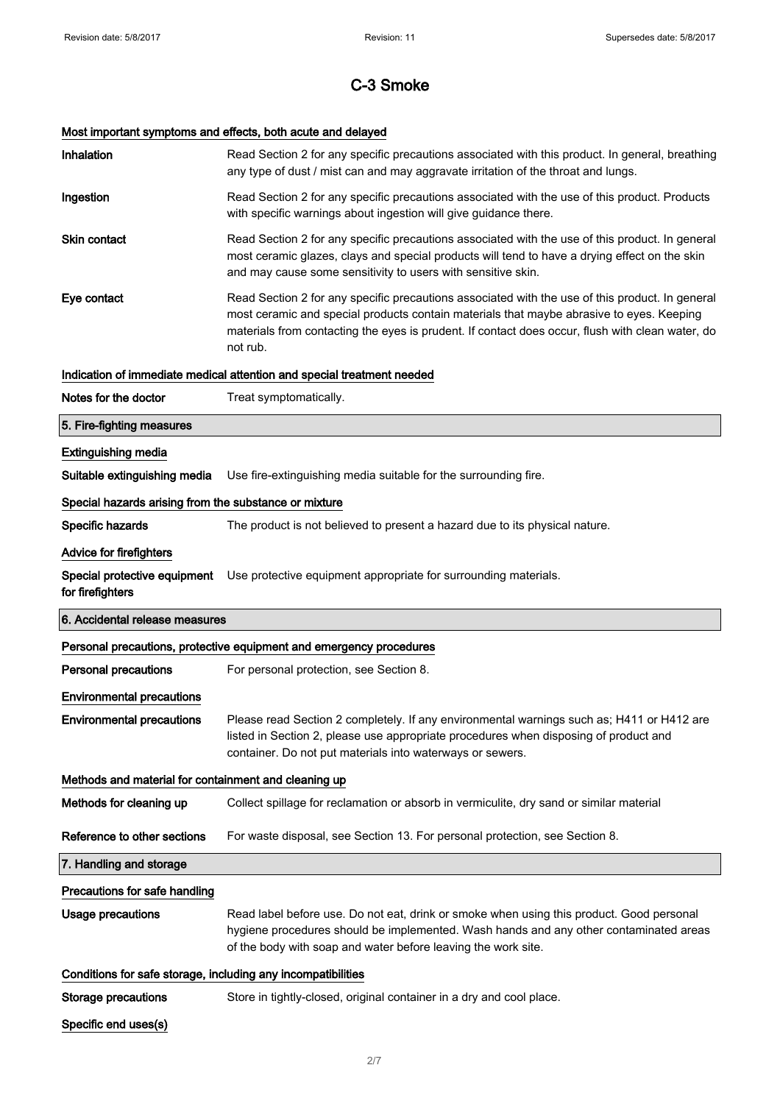# Most important symptoms and effects, both acute and delayed

| Inhalation                                                   | Read Section 2 for any specific precautions associated with this product. In general, breathing<br>any type of dust / mist can and may aggravate irritation of the throat and lungs.                                                                                                                        |  |
|--------------------------------------------------------------|-------------------------------------------------------------------------------------------------------------------------------------------------------------------------------------------------------------------------------------------------------------------------------------------------------------|--|
| Ingestion                                                    | Read Section 2 for any specific precautions associated with the use of this product. Products<br>with specific warnings about ingestion will give guidance there.                                                                                                                                           |  |
| <b>Skin contact</b>                                          | Read Section 2 for any specific precautions associated with the use of this product. In general<br>most ceramic glazes, clays and special products will tend to have a drying effect on the skin<br>and may cause some sensitivity to users with sensitive skin.                                            |  |
| Eye contact                                                  | Read Section 2 for any specific precautions associated with the use of this product. In general<br>most ceramic and special products contain materials that maybe abrasive to eyes. Keeping<br>materials from contacting the eyes is prudent. If contact does occur, flush with clean water, do<br>not rub. |  |
|                                                              | Indication of immediate medical attention and special treatment needed                                                                                                                                                                                                                                      |  |
| Notes for the doctor                                         | Treat symptomatically.                                                                                                                                                                                                                                                                                      |  |
| 5. Fire-fighting measures                                    |                                                                                                                                                                                                                                                                                                             |  |
| <b>Extinguishing media</b>                                   |                                                                                                                                                                                                                                                                                                             |  |
| Suitable extinguishing media                                 | Use fire-extinguishing media suitable for the surrounding fire.                                                                                                                                                                                                                                             |  |
| Special hazards arising from the substance or mixture        |                                                                                                                                                                                                                                                                                                             |  |
| Specific hazards                                             | The product is not believed to present a hazard due to its physical nature.                                                                                                                                                                                                                                 |  |
| Advice for firefighters                                      |                                                                                                                                                                                                                                                                                                             |  |
| Special protective equipment<br>for firefighters             | Use protective equipment appropriate for surrounding materials.                                                                                                                                                                                                                                             |  |
| 6. Accidental release measures                               |                                                                                                                                                                                                                                                                                                             |  |
|                                                              | Personal precautions, protective equipment and emergency procedures                                                                                                                                                                                                                                         |  |
| <b>Personal precautions</b>                                  | For personal protection, see Section 8.                                                                                                                                                                                                                                                                     |  |
| <b>Environmental precautions</b>                             |                                                                                                                                                                                                                                                                                                             |  |
| <b>Environmental precautions</b>                             | Please read Section 2 completely. If any environmental warnings such as; H411 or H412 are<br>listed in Section 2, please use appropriate procedures when disposing of product and<br>container. Do not put materials into waterways or sewers.                                                              |  |
| Methods and material for containment and cleaning up         |                                                                                                                                                                                                                                                                                                             |  |
|                                                              |                                                                                                                                                                                                                                                                                                             |  |
| Methods for cleaning up                                      | Collect spillage for reclamation or absorb in vermiculite, dry sand or similar material                                                                                                                                                                                                                     |  |
| Reference to other sections                                  | For waste disposal, see Section 13. For personal protection, see Section 8.                                                                                                                                                                                                                                 |  |
| 7. Handling and storage                                      |                                                                                                                                                                                                                                                                                                             |  |
| Precautions for safe handling                                |                                                                                                                                                                                                                                                                                                             |  |
| <b>Usage precautions</b>                                     | Read label before use. Do not eat, drink or smoke when using this product. Good personal<br>hygiene procedures should be implemented. Wash hands and any other contaminated areas<br>of the body with soap and water before leaving the work site.                                                          |  |
| Conditions for safe storage, including any incompatibilities |                                                                                                                                                                                                                                                                                                             |  |
| <b>Storage precautions</b>                                   | Store in tightly-closed, original container in a dry and cool place.                                                                                                                                                                                                                                        |  |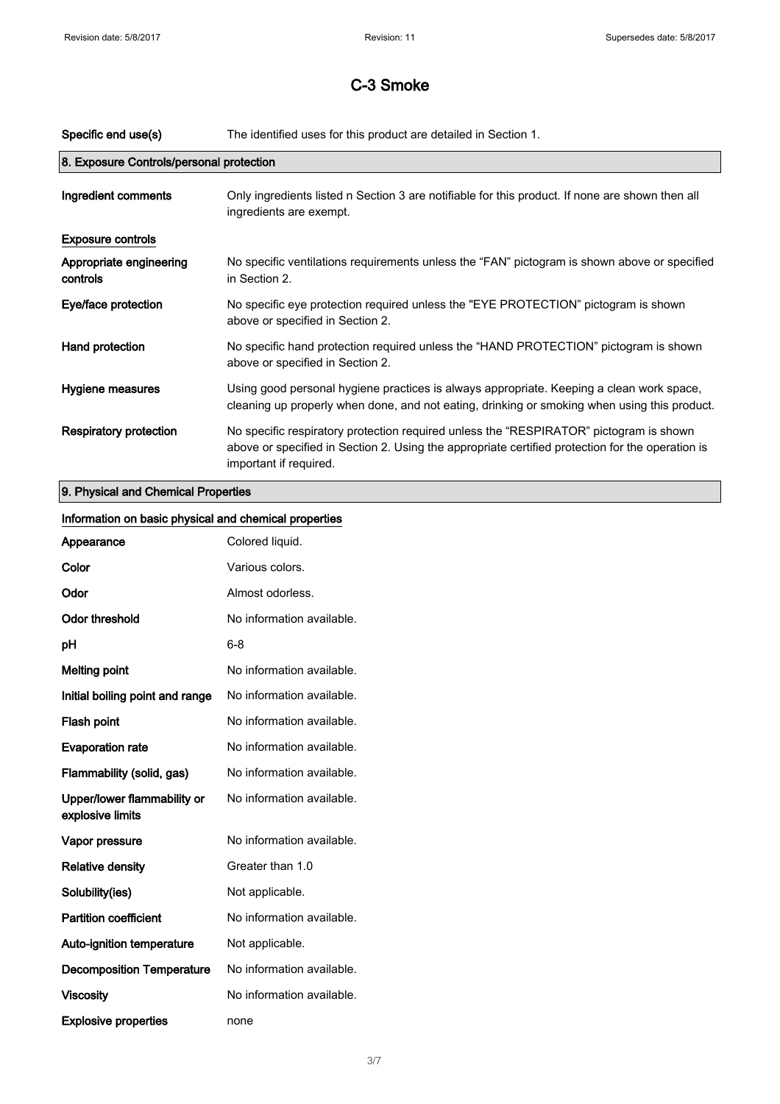| Specific end use(s)                 | The identified uses for this product are detailed in Section 1.                                                                                                                                                      |  |  |
|-------------------------------------|----------------------------------------------------------------------------------------------------------------------------------------------------------------------------------------------------------------------|--|--|
|                                     | 8. Exposure Controls/personal protection                                                                                                                                                                             |  |  |
| Ingredient comments                 | Only ingredients listed n Section 3 are notifiable for this product. If none are shown then all<br>ingredients are exempt.                                                                                           |  |  |
| <b>Exposure controls</b>            |                                                                                                                                                                                                                      |  |  |
| Appropriate engineering<br>controls | No specific ventilations requirements unless the "FAN" pictogram is shown above or specified<br>in Section 2.                                                                                                        |  |  |
| Eye/face protection                 | No specific eye protection required unless the "EYE PROTECTION" pictogram is shown<br>above or specified in Section 2.                                                                                               |  |  |
| Hand protection                     | No specific hand protection required unless the "HAND PROTECTION" pictogram is shown<br>above or specified in Section 2.                                                                                             |  |  |
| Hygiene measures                    | Using good personal hygiene practices is always appropriate. Keeping a clean work space,<br>cleaning up properly when done, and not eating, drinking or smoking when using this product.                             |  |  |
| <b>Respiratory protection</b>       | No specific respiratory protection required unless the "RESPIRATOR" pictogram is shown<br>above or specified in Section 2. Using the appropriate certified protection for the operation is<br>important if required. |  |  |
| 9. Physical and Chemical Properties |                                                                                                                                                                                                                      |  |  |

| Information on basic physical and chemical properties |                           |
|-------------------------------------------------------|---------------------------|
| Appearance                                            | Colored liquid.           |
| Color                                                 | Various colors.           |
| Odor                                                  | Almost odorless.          |
| <b>Odor threshold</b>                                 | No information available. |
| pH                                                    | $6 - 8$                   |
| <b>Melting point</b>                                  | No information available. |
| Initial boiling point and range                       | No information available. |
| Flash point                                           | No information available. |
| <b>Evaporation rate</b>                               | No information available. |
| Flammability (solid, gas)                             | No information available. |
| Upper/lower flammability or<br>explosive limits       | No information available. |
| Vapor pressure                                        | No information available. |
| <b>Relative density</b>                               | Greater than 1.0          |
| Solubility(ies)                                       | Not applicable.           |
| <b>Partition coefficient</b>                          | No information available. |
| Auto-ignition temperature                             | Not applicable.           |
| <b>Decomposition Temperature</b>                      | No information available. |
| <b>Viscosity</b>                                      | No information available. |
| <b>Explosive properties</b>                           | none                      |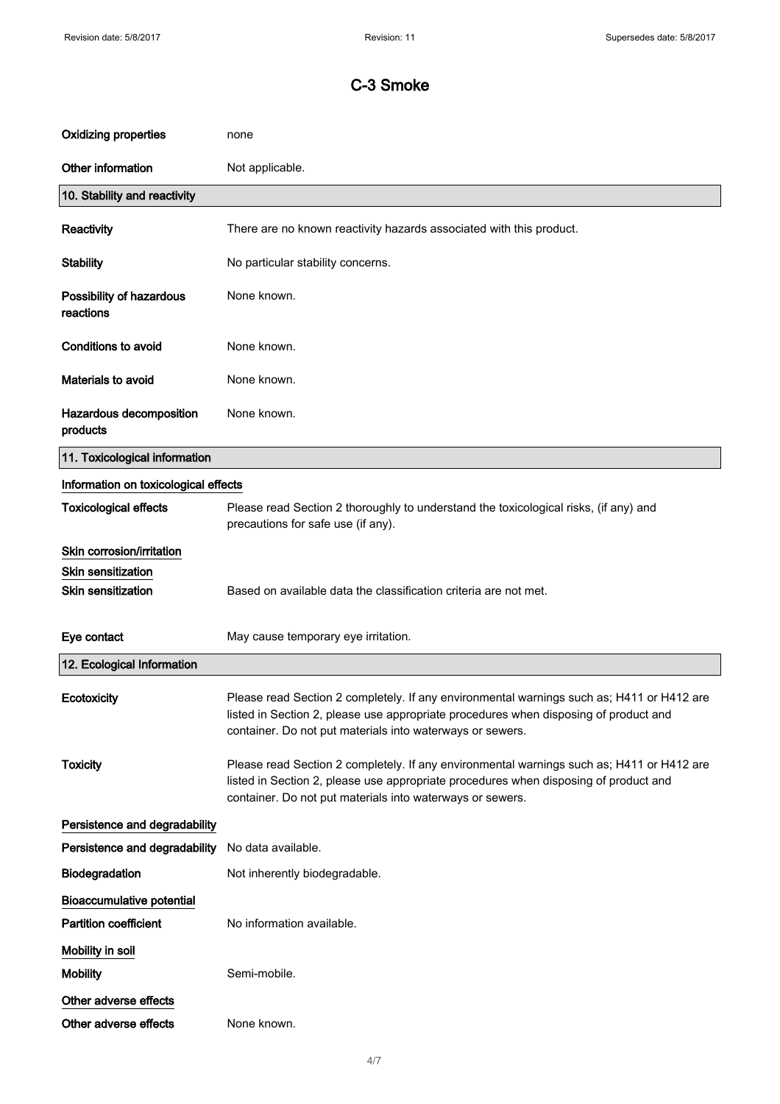| <b>Oxidizing properties</b>           | none                                                                                                                                                                                                                                           |
|---------------------------------------|------------------------------------------------------------------------------------------------------------------------------------------------------------------------------------------------------------------------------------------------|
| Other information                     | Not applicable.                                                                                                                                                                                                                                |
| 10. Stability and reactivity          |                                                                                                                                                                                                                                                |
| Reactivity                            | There are no known reactivity hazards associated with this product.                                                                                                                                                                            |
| <b>Stability</b>                      | No particular stability concerns.                                                                                                                                                                                                              |
| Possibility of hazardous<br>reactions | None known.                                                                                                                                                                                                                                    |
| Conditions to avoid                   | None known.                                                                                                                                                                                                                                    |
| Materials to avoid                    | None known.                                                                                                                                                                                                                                    |
| Hazardous decomposition<br>products   | None known.                                                                                                                                                                                                                                    |
| 11. Toxicological information         |                                                                                                                                                                                                                                                |
| Information on toxicological effects  |                                                                                                                                                                                                                                                |
| <b>Toxicological effects</b>          | Please read Section 2 thoroughly to understand the toxicological risks, (if any) and<br>precautions for safe use (if any).                                                                                                                     |
| Skin corrosion/irritation             |                                                                                                                                                                                                                                                |
| <b>Skin sensitization</b>             |                                                                                                                                                                                                                                                |
| <b>Skin sensitization</b>             | Based on available data the classification criteria are not met.                                                                                                                                                                               |
| Eye contact                           | May cause temporary eye irritation.                                                                                                                                                                                                            |
| 12. Ecological Information            |                                                                                                                                                                                                                                                |
| Ecotoxicity                           | Please read Section 2 completely. If any environmental warnings such as; H411 or H412 are<br>listed in Section 2, please use appropriate procedures when disposing of product and<br>container. Do not put materials into waterways or sewers. |
| <b>Toxicity</b>                       | Please read Section 2 completely. If any environmental warnings such as; H411 or H412 are<br>listed in Section 2, please use appropriate procedures when disposing of product and<br>container. Do not put materials into waterways or sewers. |
| Persistence and degradability         |                                                                                                                                                                                                                                                |
| Persistence and degradability         | No data available.                                                                                                                                                                                                                             |
| <b>Biodegradation</b>                 | Not inherently biodegradable.                                                                                                                                                                                                                  |
| <b>Bioaccumulative potential</b>      |                                                                                                                                                                                                                                                |
| <b>Partition coefficient</b>          | No information available.                                                                                                                                                                                                                      |
| Mobility in soil                      |                                                                                                                                                                                                                                                |
| <b>Mobility</b>                       | Semi-mobile.                                                                                                                                                                                                                                   |
| Other adverse effects                 |                                                                                                                                                                                                                                                |
| Other adverse effects                 | None known.                                                                                                                                                                                                                                    |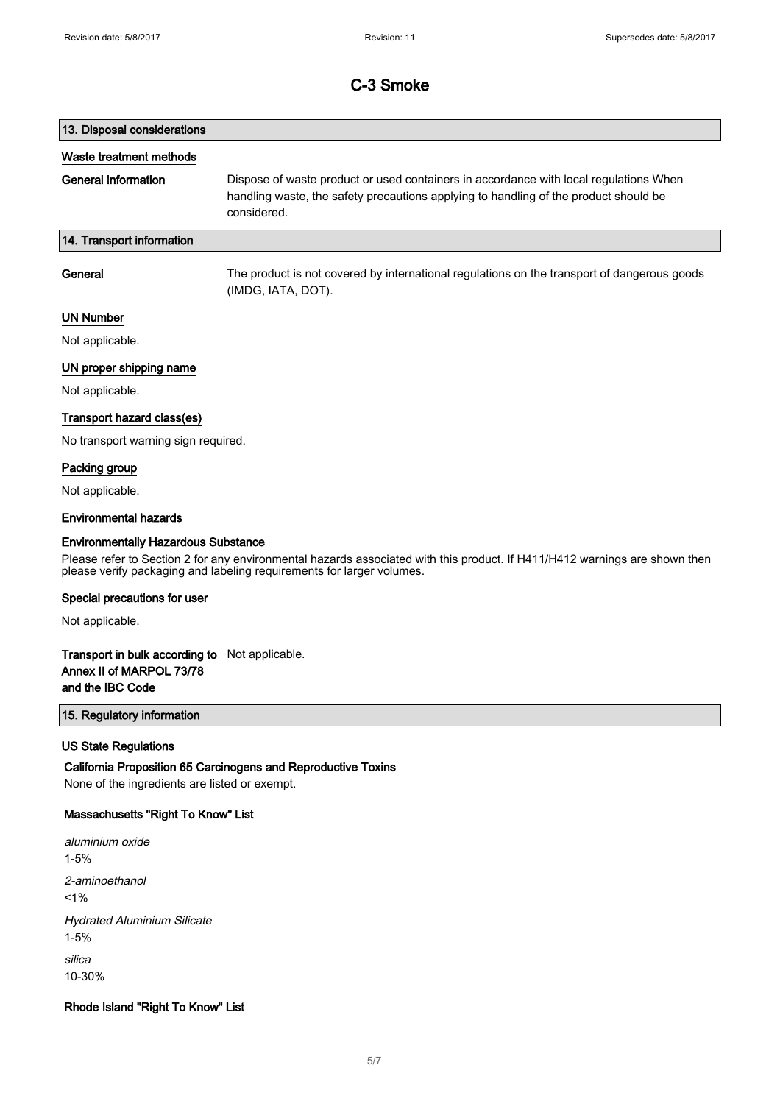# 13. Disposal considerations Waste treatment methods General information Dispose of waste product or used containers in accordance with local regulations When handling waste, the safety precautions applying to handling of the product should be considered. 14. Transport information General The product is not covered by international regulations on the transport of dangerous goods

(IMDG, IATA, DOT).

### UN Number

Not applicable.

## UN proper shipping name

Not applicable.

#### Transport hazard class(es)

No transport warning sign required.

### Packing group

Not applicable.

#### Environmental hazards

#### Environmentally Hazardous Substance

Please refer to Section 2 for any environmental hazards associated with this product. If H411/H412 warnings are shown then please verify packaging and labeling requirements for larger volumes.

#### Special precautions for user

Not applicable.

## Transport in bulk according to Not applicable. Annex II of MARPOL 73/78 and the IBC Code

## 15. Regulatory information

### US State Regulations

California Proposition 65 Carcinogens and Reproductive Toxins None of the ingredients are listed or exempt.

#### Massachusetts "Right To Know" List

aluminium oxide 1-5% 2-aminoethanol  $1%$ Hydrated Aluminium Silicate 1-5% silica 10-30%

#### Rhode Island "Right To Know" List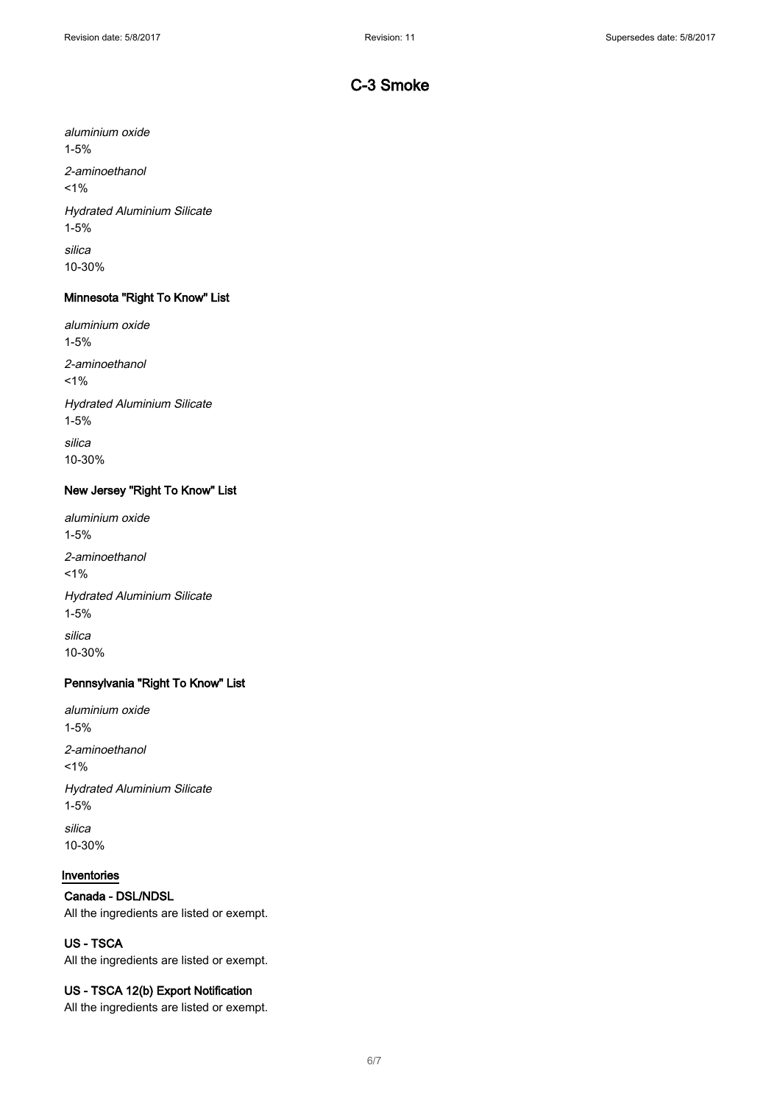aluminium oxide 1-5% 2-aminoethanol  $1%$ Hydrated Aluminium Silicate 1-5% silica 10-30%

## Minnesota "Right To Know" List

aluminium oxide 1-5% 2-aminoethanol  $1%$ Hydrated Aluminium Silicate 1-5% silica 10-30%

## New Jersey "Right To Know" List

aluminium oxide 1-5% 2-aminoethanol  $1%$ Hydrated Aluminium Silicate 1-5% silica 10-30%

## Pennsylvania "Right To Know" List

aluminium oxide 1-5% 2-aminoethanol  $1%$ Hydrated Aluminium Silicate 1-5% silica 10-30%

## Inventories

## Canada - DSL/NDSL

All the ingredients are listed or exempt.

## US - TSCA

All the ingredients are listed or exempt.

## US - TSCA 12(b) Export Notification

All the ingredients are listed or exempt.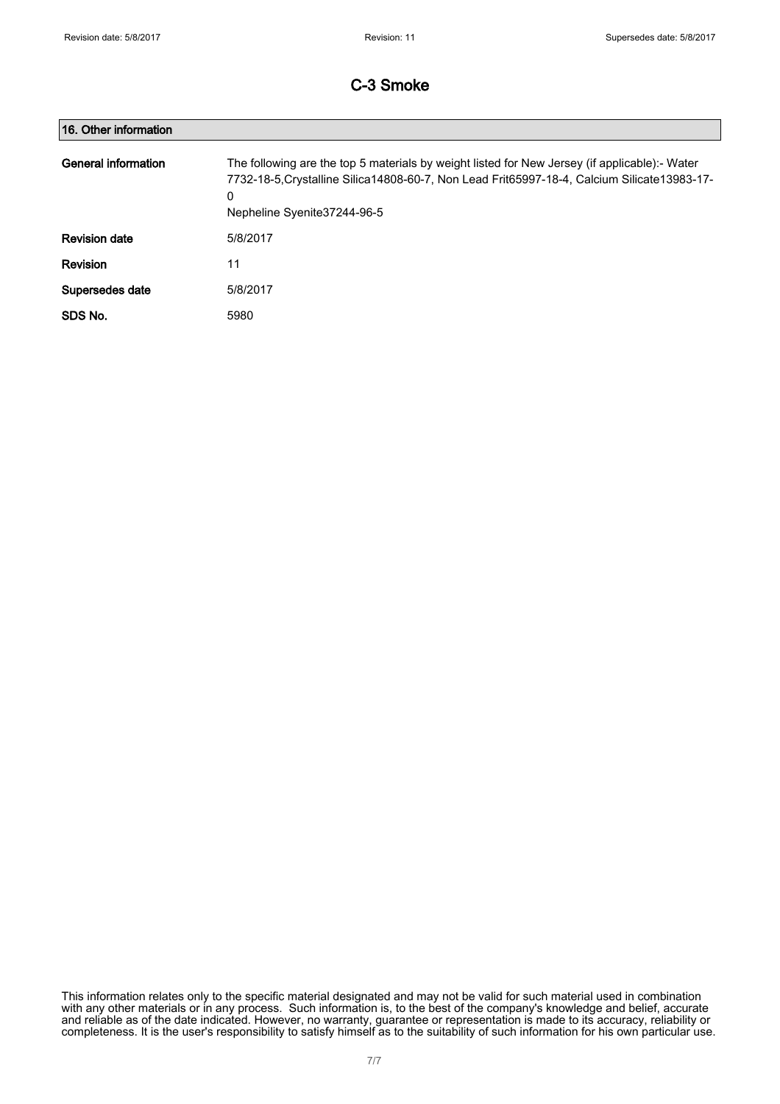| 16. Other information |                                                                                                                                                                                                                                     |
|-----------------------|-------------------------------------------------------------------------------------------------------------------------------------------------------------------------------------------------------------------------------------|
| General information   | The following are the top 5 materials by weight listed for New Jersey (if applicable):- Water<br>7732-18-5, Crystalline Silica 14808-60-7, Non Lead Frit65997-18-4, Calcium Silicate 13983-17-<br>0<br>Nepheline Syenite 37244-96-5 |
| <b>Revision date</b>  | 5/8/2017                                                                                                                                                                                                                            |
| <b>Revision</b>       | 11                                                                                                                                                                                                                                  |
| Supersedes date       | 5/8/2017                                                                                                                                                                                                                            |
| SDS No.               | 5980                                                                                                                                                                                                                                |

This information relates only to the specific material designated and may not be valid for such material used in combination with any other materials or in any process. Such information is, to the best of the company's knowledge and belief, accurate and reliable as of the date indicated. However, no warranty, guarantee or representation is made to its accuracy, reliability or completeness. It is the user's responsibility to satisfy himself as to the suitability of such information for his own particular use.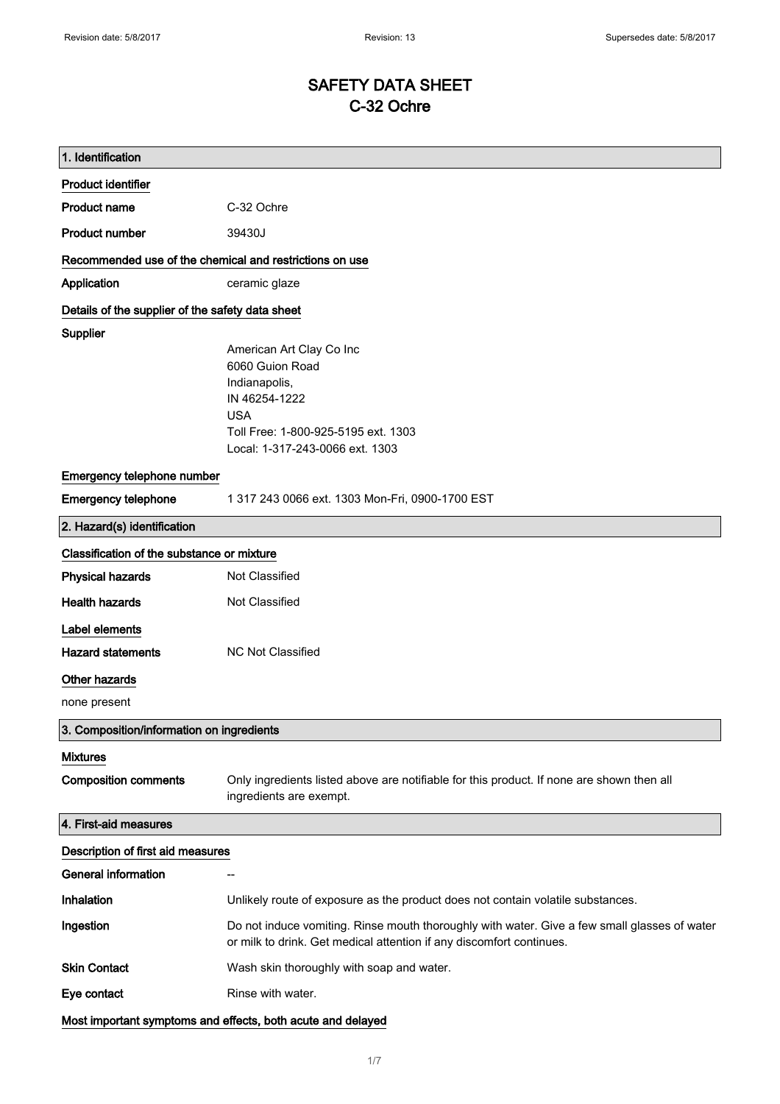# SAFETY DATA SHEET C-32 Ochre

| 1. Identification                                       |                                                                                                                                                                      |
|---------------------------------------------------------|----------------------------------------------------------------------------------------------------------------------------------------------------------------------|
| <b>Product identifier</b>                               |                                                                                                                                                                      |
| <b>Product name</b>                                     | C-32 Ochre                                                                                                                                                           |
| <b>Product number</b>                                   | 39430J                                                                                                                                                               |
| Recommended use of the chemical and restrictions on use |                                                                                                                                                                      |
| Application                                             | ceramic glaze                                                                                                                                                        |
| Details of the supplier of the safety data sheet        |                                                                                                                                                                      |
| Supplier                                                |                                                                                                                                                                      |
|                                                         | American Art Clay Co Inc                                                                                                                                             |
|                                                         | 6060 Guion Road<br>Indianapolis,                                                                                                                                     |
|                                                         | IN 46254-1222                                                                                                                                                        |
|                                                         | <b>USA</b>                                                                                                                                                           |
|                                                         | Toll Free: 1-800-925-5195 ext. 1303                                                                                                                                  |
|                                                         | Local: 1-317-243-0066 ext. 1303                                                                                                                                      |
| Emergency telephone number                              |                                                                                                                                                                      |
| <b>Emergency telephone</b>                              | 1 317 243 0066 ext. 1303 Mon-Fri, 0900-1700 EST                                                                                                                      |
| 2. Hazard(s) identification                             |                                                                                                                                                                      |
| Classification of the substance or mixture              |                                                                                                                                                                      |
| <b>Physical hazards</b>                                 | Not Classified                                                                                                                                                       |
| <b>Health hazards</b>                                   | Not Classified                                                                                                                                                       |
| Label elements                                          |                                                                                                                                                                      |
| <b>Hazard statements</b>                                | <b>NC Not Classified</b>                                                                                                                                             |
| <b>Other hazards</b>                                    |                                                                                                                                                                      |
| none present                                            |                                                                                                                                                                      |
| 3. Composition/information on ingredients               |                                                                                                                                                                      |
| <b>Mixtures</b>                                         |                                                                                                                                                                      |
| <b>Composition comments</b>                             | Only ingredients listed above are notifiable for this product. If none are shown then all<br>ingredients are exempt.                                                 |
| 4. First-aid measures                                   |                                                                                                                                                                      |
| Description of first aid measures                       |                                                                                                                                                                      |
| <b>General information</b>                              |                                                                                                                                                                      |
| Inhalation                                              | Unlikely route of exposure as the product does not contain volatile substances.                                                                                      |
| Ingestion                                               | Do not induce vomiting. Rinse mouth thoroughly with water. Give a few small glasses of water<br>or milk to drink. Get medical attention if any discomfort continues. |
| <b>Skin Contact</b>                                     | Wash skin thoroughly with soap and water.                                                                                                                            |
| Eye contact                                             | Rinse with water.                                                                                                                                                    |
|                                                         | Most important symptoms and effects, both acute and delayed                                                                                                          |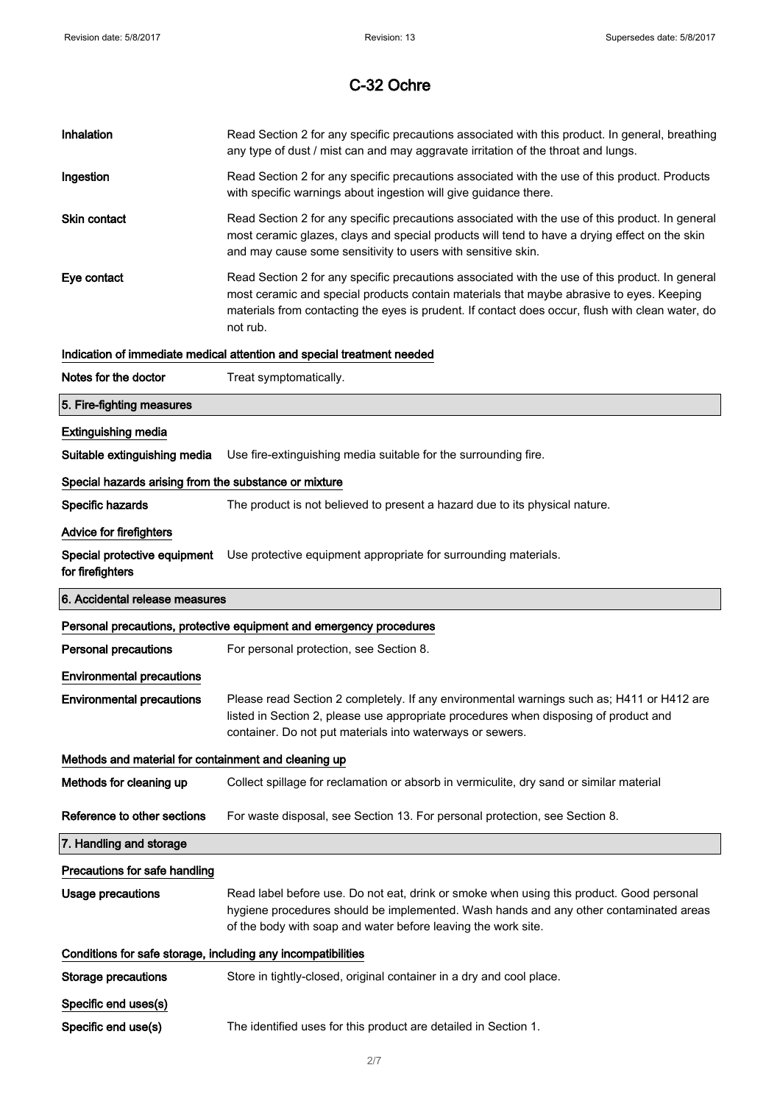| Inhalation                                                   | Read Section 2 for any specific precautions associated with this product. In general, breathing<br>any type of dust / mist can and may aggravate irritation of the throat and lungs.                                                                                                                        |
|--------------------------------------------------------------|-------------------------------------------------------------------------------------------------------------------------------------------------------------------------------------------------------------------------------------------------------------------------------------------------------------|
| Ingestion                                                    | Read Section 2 for any specific precautions associated with the use of this product. Products<br>with specific warnings about ingestion will give guidance there.                                                                                                                                           |
| <b>Skin contact</b>                                          | Read Section 2 for any specific precautions associated with the use of this product. In general<br>most ceramic glazes, clays and special products will tend to have a drying effect on the skin<br>and may cause some sensitivity to users with sensitive skin.                                            |
| Eye contact                                                  | Read Section 2 for any specific precautions associated with the use of this product. In general<br>most ceramic and special products contain materials that maybe abrasive to eyes. Keeping<br>materials from contacting the eyes is prudent. If contact does occur, flush with clean water, do<br>not rub. |
|                                                              | Indication of immediate medical attention and special treatment needed                                                                                                                                                                                                                                      |
| Notes for the doctor                                         | Treat symptomatically.                                                                                                                                                                                                                                                                                      |
| 5. Fire-fighting measures                                    |                                                                                                                                                                                                                                                                                                             |
| <b>Extinguishing media</b>                                   |                                                                                                                                                                                                                                                                                                             |
| Suitable extinguishing media                                 | Use fire-extinguishing media suitable for the surrounding fire.                                                                                                                                                                                                                                             |
| Special hazards arising from the substance or mixture        |                                                                                                                                                                                                                                                                                                             |
| Specific hazards                                             | The product is not believed to present a hazard due to its physical nature.                                                                                                                                                                                                                                 |
| Advice for firefighters                                      |                                                                                                                                                                                                                                                                                                             |
| Special protective equipment<br>for firefighters             | Use protective equipment appropriate for surrounding materials.                                                                                                                                                                                                                                             |
|                                                              |                                                                                                                                                                                                                                                                                                             |
| 6. Accidental release measures                               |                                                                                                                                                                                                                                                                                                             |
|                                                              | Personal precautions, protective equipment and emergency procedures                                                                                                                                                                                                                                         |
| <b>Personal precautions</b>                                  | For personal protection, see Section 8.                                                                                                                                                                                                                                                                     |
| <b>Environmental precautions</b>                             |                                                                                                                                                                                                                                                                                                             |
| <b>Environmental precautions</b>                             | Please read Section 2 completely. If any environmental warnings such as; H411 or H412 are<br>listed in Section 2, please use appropriate procedures when disposing of product and<br>container. Do not put materials into waterways or sewers.                                                              |
| Methods and material for containment and cleaning up         |                                                                                                                                                                                                                                                                                                             |
| Methods for cleaning up                                      | Collect spillage for reclamation or absorb in vermiculite, dry sand or similar material                                                                                                                                                                                                                     |
| Reference to other sections                                  | For waste disposal, see Section 13. For personal protection, see Section 8.                                                                                                                                                                                                                                 |
| 7. Handling and storage                                      |                                                                                                                                                                                                                                                                                                             |
| Precautions for safe handling                                |                                                                                                                                                                                                                                                                                                             |
| <b>Usage precautions</b>                                     | Read label before use. Do not eat, drink or smoke when using this product. Good personal<br>hygiene procedures should be implemented. Wash hands and any other contaminated areas<br>of the body with soap and water before leaving the work site.                                                          |
| Conditions for safe storage, including any incompatibilities |                                                                                                                                                                                                                                                                                                             |
| <b>Storage precautions</b>                                   | Store in tightly-closed, original container in a dry and cool place.                                                                                                                                                                                                                                        |
| Specific end uses(s)                                         |                                                                                                                                                                                                                                                                                                             |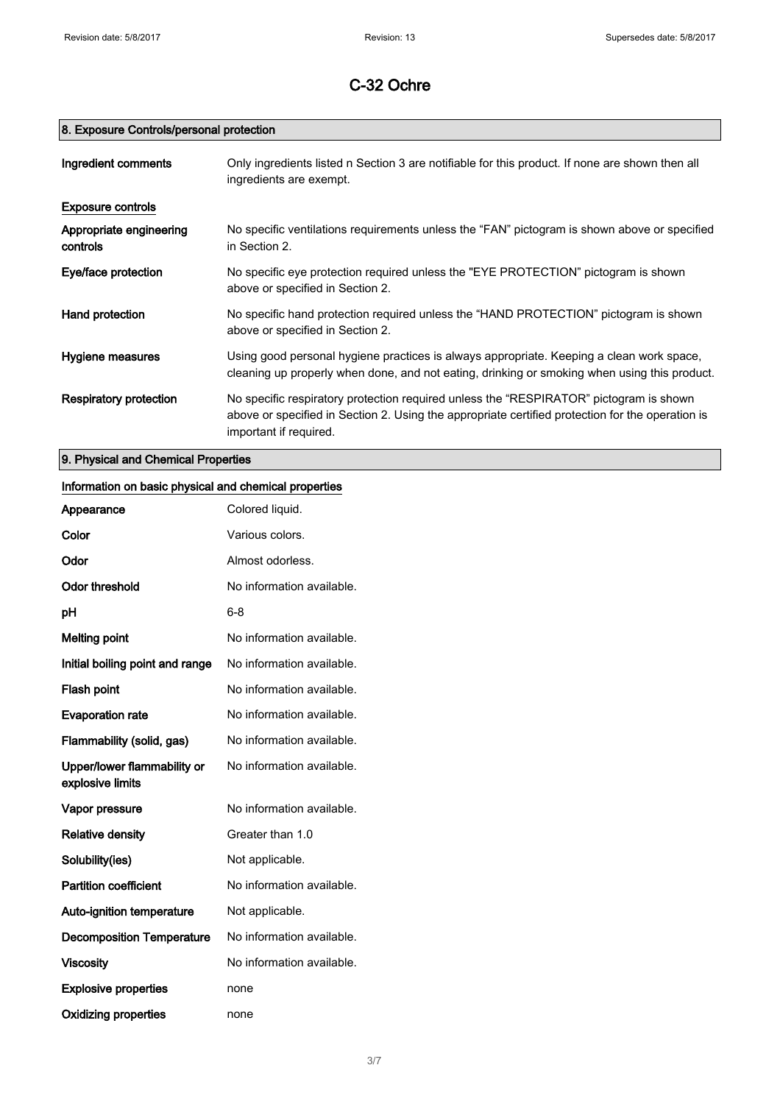# 8. Exposure Controls/personal protection

| Ingredient comments                 | Only ingredients listed n Section 3 are notifiable for this product. If none are shown then all<br>ingredients are exempt.                                                                                           |
|-------------------------------------|----------------------------------------------------------------------------------------------------------------------------------------------------------------------------------------------------------------------|
| <b>Exposure controls</b>            |                                                                                                                                                                                                                      |
| Appropriate engineering<br>controls | No specific ventilations requirements unless the "FAN" pictogram is shown above or specified<br>in Section 2.                                                                                                        |
| Eye/face protection                 | No specific eye protection required unless the "EYE PROTECTION" pictogram is shown<br>above or specified in Section 2.                                                                                               |
| Hand protection                     | No specific hand protection required unless the "HAND PROTECTION" pictogram is shown<br>above or specified in Section 2.                                                                                             |
| Hygiene measures                    | Using good personal hygiene practices is always appropriate. Keeping a clean work space,<br>cleaning up properly when done, and not eating, drinking or smoking when using this product.                             |
| <b>Respiratory protection</b>       | No specific respiratory protection required unless the "RESPIRATOR" pictogram is shown<br>above or specified in Section 2. Using the appropriate certified protection for the operation is<br>important if required. |

9. Physical and Chemical Properties

# Information on basic physical and chemical properties

| Appearance                                      | Colored liquid.           |
|-------------------------------------------------|---------------------------|
| Color                                           | Various colors.           |
| Odor                                            | Almost odorless.          |
| Odor threshold                                  | No information available. |
| рH                                              | $6 - 8$                   |
| <b>Melting point</b>                            | No information available. |
| Initial boiling point and range                 | No information available. |
| <b>Flash point</b>                              | No information available. |
| <b>Evaporation rate</b>                         | No information available. |
| Flammability (solid, gas)                       | No information available. |
| Upper/lower flammability or<br>explosive limits | No information available. |
| Vapor pressure                                  | No information available. |
| <b>Relative density</b>                         | Greater than 1.0          |
| Solubility(ies)                                 | Not applicable.           |
| <b>Partition coefficient</b>                    | No information available. |
| <b>Auto-ignition temperature</b>                | Not applicable.           |
| <b>Decomposition Temperature</b>                | No information available. |
| <b>Viscosity</b>                                | No information available. |
| <b>Explosive properties</b>                     | none                      |
| <b>Oxidizing properties</b>                     | none                      |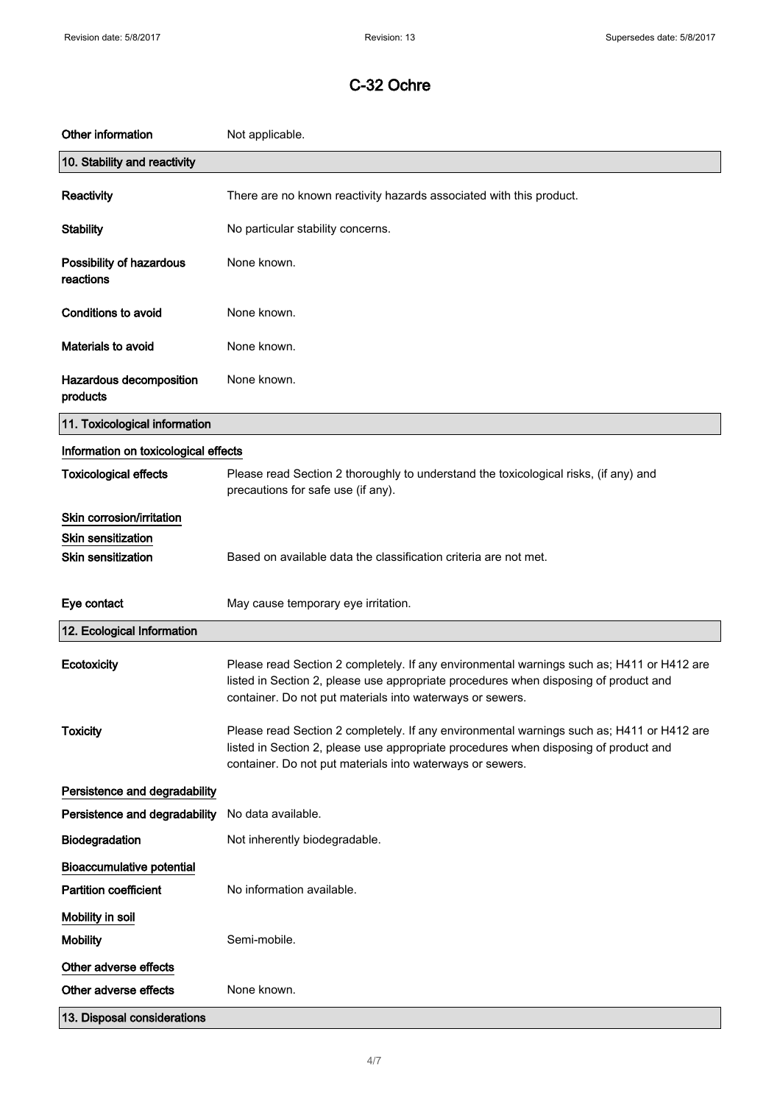| Other information                                                                   | Not applicable.                                                                                                                                                                                                                                |
|-------------------------------------------------------------------------------------|------------------------------------------------------------------------------------------------------------------------------------------------------------------------------------------------------------------------------------------------|
| 10. Stability and reactivity                                                        |                                                                                                                                                                                                                                                |
| Reactivity                                                                          | There are no known reactivity hazards associated with this product.                                                                                                                                                                            |
| <b>Stability</b>                                                                    | No particular stability concerns.                                                                                                                                                                                                              |
| Possibility of hazardous<br>reactions                                               | None known.                                                                                                                                                                                                                                    |
| <b>Conditions to avoid</b>                                                          | None known.                                                                                                                                                                                                                                    |
| <b>Materials to avoid</b>                                                           | None known.                                                                                                                                                                                                                                    |
| Hazardous decomposition<br>products                                                 | None known.                                                                                                                                                                                                                                    |
| 11. Toxicological information                                                       |                                                                                                                                                                                                                                                |
| Information on toxicological effects                                                |                                                                                                                                                                                                                                                |
| <b>Toxicological effects</b>                                                        | Please read Section 2 thoroughly to understand the toxicological risks, (if any) and<br>precautions for safe use (if any).                                                                                                                     |
| Skin corrosion/irritation<br><b>Skin sensitization</b><br><b>Skin sensitization</b> | Based on available data the classification criteria are not met.                                                                                                                                                                               |
| Eye contact                                                                         | May cause temporary eye irritation.                                                                                                                                                                                                            |
| 12. Ecological Information                                                          |                                                                                                                                                                                                                                                |
| Ecotoxicity                                                                         | Please read Section 2 completely. If any environmental warnings such as; H411 or H412 are<br>listed in Section 2, please use appropriate procedures when disposing of product and<br>container. Do not put materials into waterways or sewers. |
| <b>Toxicity</b>                                                                     | Please read Section 2 completely. If any environmental warnings such as; H411 or H412 are<br>listed in Section 2, please use appropriate procedures when disposing of product and<br>container. Do not put materials into waterways or sewers. |
| Persistence and degradability                                                       |                                                                                                                                                                                                                                                |
| Persistence and degradability                                                       | No data available.                                                                                                                                                                                                                             |
| Biodegradation                                                                      | Not inherently biodegradable.                                                                                                                                                                                                                  |
| <b>Bioaccumulative potential</b>                                                    |                                                                                                                                                                                                                                                |
| <b>Partition coefficient</b>                                                        | No information available.                                                                                                                                                                                                                      |
| Mobility in soil                                                                    |                                                                                                                                                                                                                                                |
| <b>Mobility</b>                                                                     | Semi-mobile.                                                                                                                                                                                                                                   |
| Other adverse effects                                                               |                                                                                                                                                                                                                                                |
| Other adverse effects                                                               | None known.                                                                                                                                                                                                                                    |
| 13. Disposal considerations                                                         |                                                                                                                                                                                                                                                |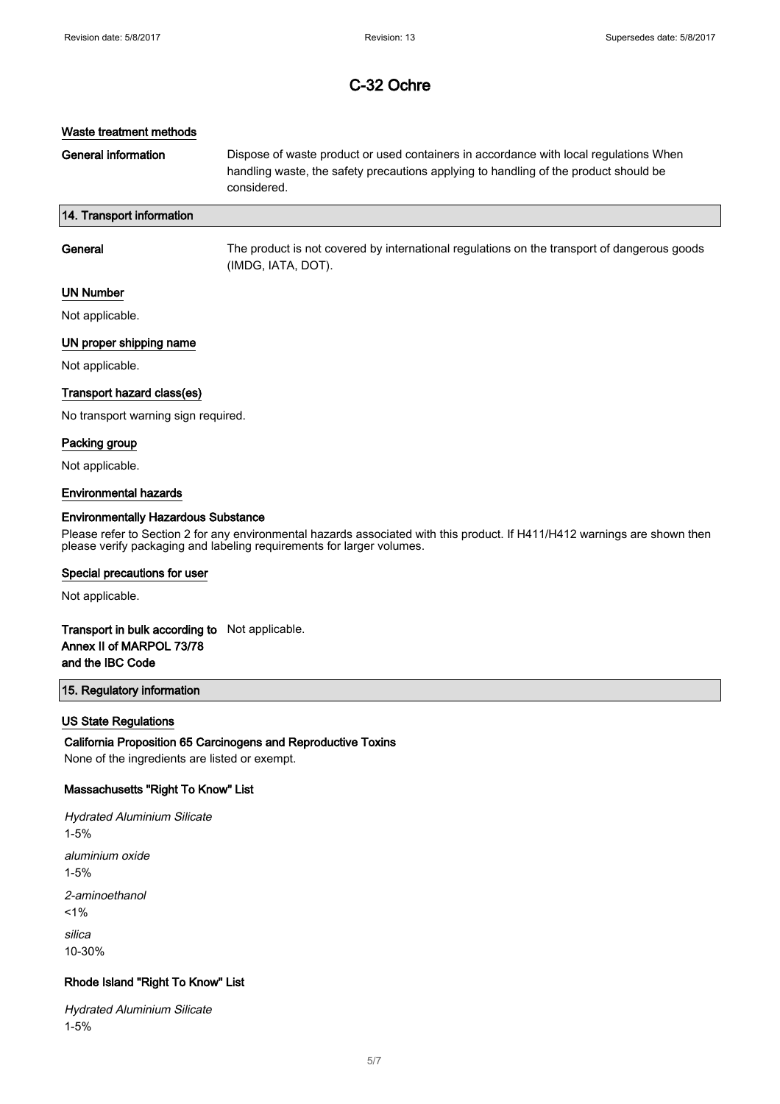### Waste treatment methods

General information **Dispose of waste product or used containers in accordance with local regulations When** handling waste, the safety precautions applying to handling of the product should be considered.

## 14. Transport information

| General | The product is not covered by international regulations on the transport of dangerous goods<br>(IMDG, IATA, DOT). |
|---------|-------------------------------------------------------------------------------------------------------------------|
|         |                                                                                                                   |

### UN Number

Not applicable.

## UN proper shipping name

Not applicable.

#### Transport hazard class(es)

No transport warning sign required.

### Packing group

Not applicable.

#### Environmental hazards

### Environmentally Hazardous Substance

Please refer to Section 2 for any environmental hazards associated with this product. If H411/H412 warnings are shown then please verify packaging and labeling requirements for larger volumes.

#### Special precautions for user

Not applicable.

## Transport in bulk according to Not applicable. Annex II of MARPOL 73/78 and the IBC Code

### 15. Regulatory information

### US State Regulations

### California Proposition 65 Carcinogens and Reproductive Toxins

None of the ingredients are listed or exempt.

## Massachusetts "Right To Know" List

Hydrated Aluminium Silicate 1-5% aluminium oxide 1-5% 2-aminoethanol  $1%$ silica 10-30%

## Rhode Island "Right To Know" List

Hydrated Aluminium Silicate 1-5%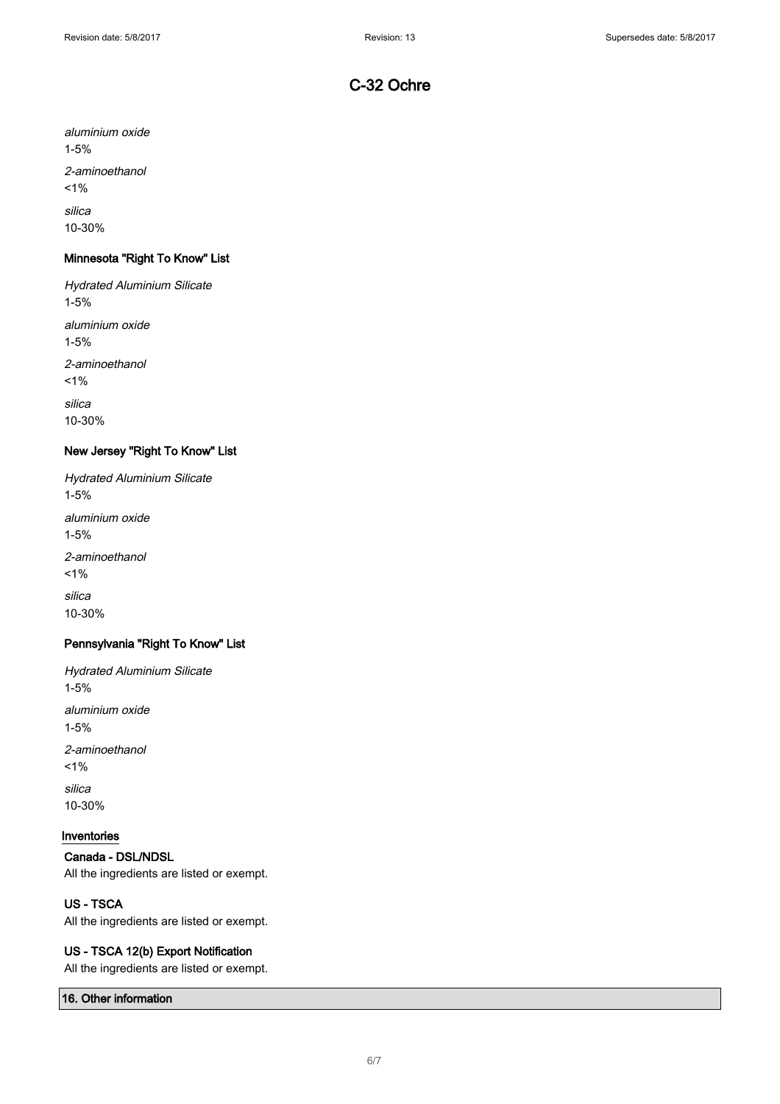aluminium oxide 1-5% 2-aminoethanol  $1%$ silica 10-30%

# Minnesota "Right To Know" List

Hydrated Aluminium Silicate 1-5% aluminium oxide 1-5% 2-aminoethanol  $1%$ silica 10-30%

## New Jersey "Right To Know" List

Hydrated Aluminium Silicate 1-5% aluminium oxide 1-5% 2-aminoethanol  $1%$ silica 10-30%

# Pennsylvania "Right To Know" List

Hydrated Aluminium Silicate 1-5% aluminium oxide 1-5% 2-aminoethanol  $1%$ silica 10-30%

# Inventories

Canada - DSL/NDSL All the ingredients are listed or exempt.

## US - TSCA

All the ingredients are listed or exempt.

## US - TSCA 12(b) Export Notification

All the ingredients are listed or exempt.

## 16. Other information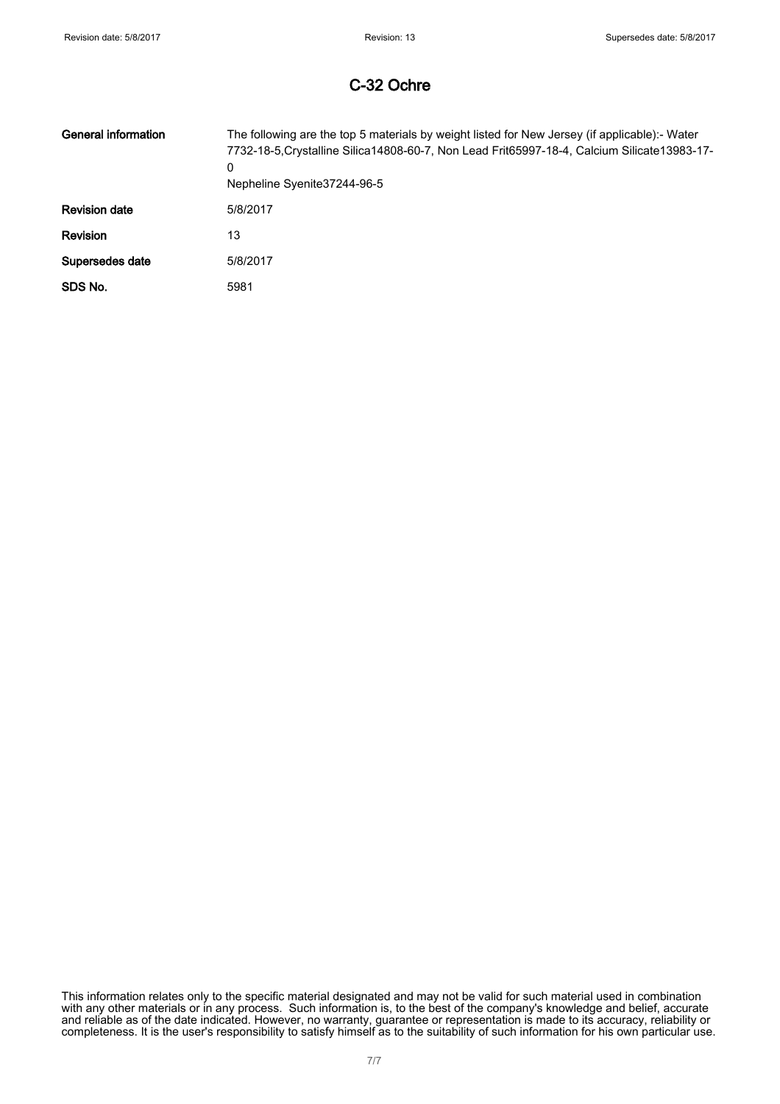| <b>General information</b> | The following are the top 5 materials by weight listed for New Jersey (if applicable):- Water<br>7732-18-5. Crystalline Silica 14808-60-7, Non Lead Frit65997-18-4, Calcium Silicate 13983-17-<br>0<br>Nepheline Syenite 37244-96-5 |
|----------------------------|-------------------------------------------------------------------------------------------------------------------------------------------------------------------------------------------------------------------------------------|
| <b>Revision date</b>       | 5/8/2017                                                                                                                                                                                                                            |
| <b>Revision</b>            | 13                                                                                                                                                                                                                                  |
| Supersedes date            | 5/8/2017                                                                                                                                                                                                                            |
| SDS No.                    | 5981                                                                                                                                                                                                                                |

This information relates only to the specific material designated and may not be valid for such material used in combination with any other materials or in any process. Such information is, to the best of the company's knowledge and belief, accurate and reliable as of the date indicated. However, no warranty, guarantee or representation is made to its accuracy, reliability or completeness. It is the user's responsibility to satisfy himself as to the suitability of such information for his own particular use.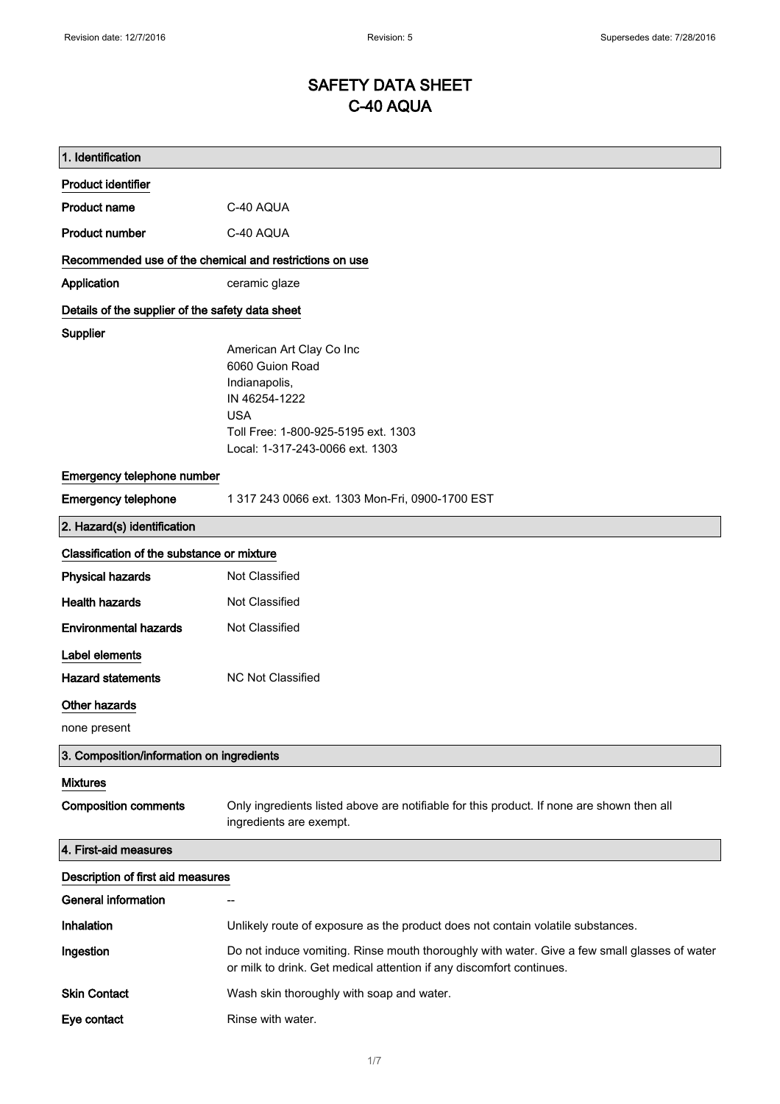# SAFETY DATA SHEET C-40 AQUA

| 1. Identification                                       |                                                                                                                                                                      |
|---------------------------------------------------------|----------------------------------------------------------------------------------------------------------------------------------------------------------------------|
| <b>Product identifier</b>                               |                                                                                                                                                                      |
| <b>Product name</b>                                     | C-40 AQUA                                                                                                                                                            |
| <b>Product number</b>                                   | C-40 AQUA                                                                                                                                                            |
| Recommended use of the chemical and restrictions on use |                                                                                                                                                                      |
| Application                                             | ceramic glaze                                                                                                                                                        |
| Details of the supplier of the safety data sheet        |                                                                                                                                                                      |
| Supplier                                                |                                                                                                                                                                      |
|                                                         | American Art Clay Co Inc<br>6060 Guion Road                                                                                                                          |
|                                                         | Indianapolis,                                                                                                                                                        |
|                                                         | IN 46254-1222                                                                                                                                                        |
|                                                         | <b>USA</b>                                                                                                                                                           |
|                                                         | Toll Free: 1-800-925-5195 ext. 1303                                                                                                                                  |
|                                                         | Local: 1-317-243-0066 ext. 1303                                                                                                                                      |
| Emergency telephone number                              |                                                                                                                                                                      |
| <b>Emergency telephone</b>                              | 1 317 243 0066 ext. 1303 Mon-Fri, 0900-1700 EST                                                                                                                      |
| 2. Hazard(s) identification                             |                                                                                                                                                                      |
| Classification of the substance or mixture              |                                                                                                                                                                      |
| <b>Physical hazards</b>                                 | Not Classified                                                                                                                                                       |
| <b>Health hazards</b>                                   | Not Classified                                                                                                                                                       |
| <b>Environmental hazards</b>                            | Not Classified                                                                                                                                                       |
| Label elements                                          |                                                                                                                                                                      |
| <b>Hazard statements</b>                                | NC Not Classified                                                                                                                                                    |
| <b>Other hazards</b>                                    |                                                                                                                                                                      |
| none present                                            |                                                                                                                                                                      |
| 3. Composition/information on ingredients               |                                                                                                                                                                      |
| <b>Mixtures</b>                                         |                                                                                                                                                                      |
| <b>Composition comments</b>                             | Only ingredients listed above are notifiable for this product. If none are shown then all<br>ingredients are exempt.                                                 |
| 4. First-aid measures                                   |                                                                                                                                                                      |
| Description of first aid measures                       |                                                                                                                                                                      |
| <b>General information</b>                              |                                                                                                                                                                      |
| Inhalation                                              | Unlikely route of exposure as the product does not contain volatile substances.                                                                                      |
| Ingestion                                               | Do not induce vomiting. Rinse mouth thoroughly with water. Give a few small glasses of water<br>or milk to drink. Get medical attention if any discomfort continues. |
| <b>Skin Contact</b>                                     | Wash skin thoroughly with soap and water.                                                                                                                            |
| Eye contact                                             | Rinse with water.                                                                                                                                                    |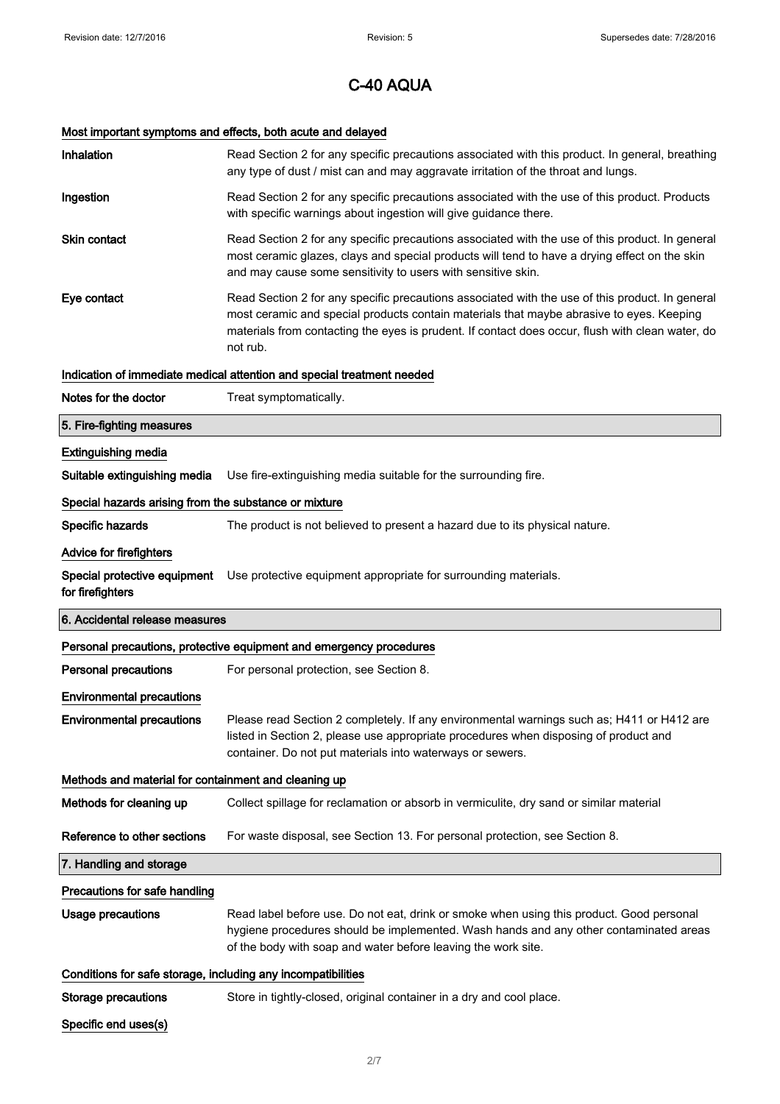# Most important symptoms and effects, both acute and delayed

| Inhalation                                                   | Read Section 2 for any specific precautions associated with this product. In general, breathing<br>any type of dust / mist can and may aggravate irritation of the throat and lungs.                                                                                                                        |
|--------------------------------------------------------------|-------------------------------------------------------------------------------------------------------------------------------------------------------------------------------------------------------------------------------------------------------------------------------------------------------------|
| Ingestion                                                    | Read Section 2 for any specific precautions associated with the use of this product. Products<br>with specific warnings about ingestion will give guidance there.                                                                                                                                           |
| <b>Skin contact</b>                                          | Read Section 2 for any specific precautions associated with the use of this product. In general<br>most ceramic glazes, clays and special products will tend to have a drying effect on the skin<br>and may cause some sensitivity to users with sensitive skin.                                            |
| Eye contact                                                  | Read Section 2 for any specific precautions associated with the use of this product. In general<br>most ceramic and special products contain materials that maybe abrasive to eyes. Keeping<br>materials from contacting the eyes is prudent. If contact does occur, flush with clean water, do<br>not rub. |
|                                                              | Indication of immediate medical attention and special treatment needed                                                                                                                                                                                                                                      |
| Notes for the doctor                                         | Treat symptomatically.                                                                                                                                                                                                                                                                                      |
| 5. Fire-fighting measures                                    |                                                                                                                                                                                                                                                                                                             |
| <b>Extinguishing media</b>                                   |                                                                                                                                                                                                                                                                                                             |
| Suitable extinguishing media                                 | Use fire-extinguishing media suitable for the surrounding fire.                                                                                                                                                                                                                                             |
| Special hazards arising from the substance or mixture        |                                                                                                                                                                                                                                                                                                             |
| Specific hazards                                             | The product is not believed to present a hazard due to its physical nature.                                                                                                                                                                                                                                 |
| <b>Advice for firefighters</b>                               |                                                                                                                                                                                                                                                                                                             |
| Special protective equipment<br>for firefighters             | Use protective equipment appropriate for surrounding materials.                                                                                                                                                                                                                                             |
|                                                              |                                                                                                                                                                                                                                                                                                             |
| 6. Accidental release measures                               |                                                                                                                                                                                                                                                                                                             |
|                                                              | Personal precautions, protective equipment and emergency procedures                                                                                                                                                                                                                                         |
| <b>Personal precautions</b>                                  | For personal protection, see Section 8.                                                                                                                                                                                                                                                                     |
| <b>Environmental precautions</b>                             |                                                                                                                                                                                                                                                                                                             |
| <b>Environmental precautions</b>                             | Please read Section 2 completely. If any environmental warnings such as; H411 or H412 are<br>listed in Section 2, please use appropriate procedures when disposing of product and<br>container. Do not put materials into waterways or sewers.                                                              |
| Methods and material for containment and cleaning up         |                                                                                                                                                                                                                                                                                                             |
| Methods for cleaning up                                      | Collect spillage for reclamation or absorb in vermiculite, dry sand or similar material                                                                                                                                                                                                                     |
| Reference to other sections                                  | For waste disposal, see Section 13. For personal protection, see Section 8.                                                                                                                                                                                                                                 |
| 7. Handling and storage                                      |                                                                                                                                                                                                                                                                                                             |
| Precautions for safe handling                                |                                                                                                                                                                                                                                                                                                             |
| <b>Usage precautions</b>                                     | Read label before use. Do not eat, drink or smoke when using this product. Good personal<br>hygiene procedures should be implemented. Wash hands and any other contaminated areas<br>of the body with soap and water before leaving the work site.                                                          |
| Conditions for safe storage, including any incompatibilities |                                                                                                                                                                                                                                                                                                             |
| <b>Storage precautions</b>                                   | Store in tightly-closed, original container in a dry and cool place.                                                                                                                                                                                                                                        |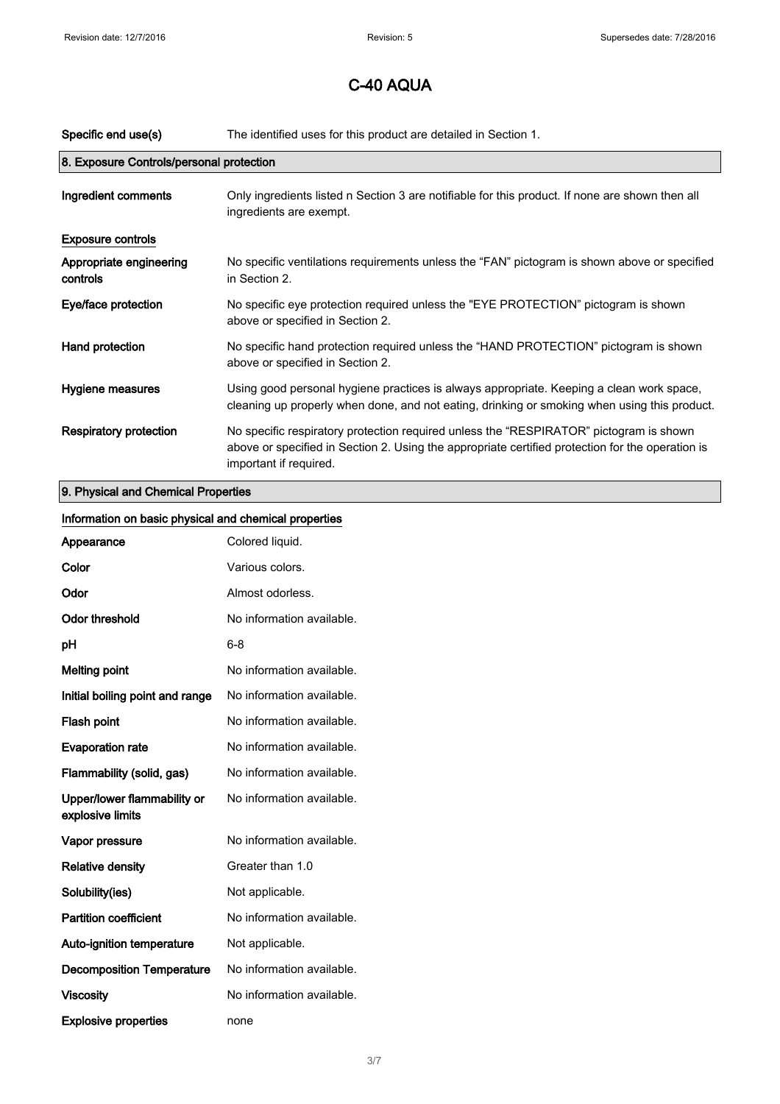| Specific end use(s)                      | The identified uses for this product are detailed in Section 1.                                                                                                                                                      |
|------------------------------------------|----------------------------------------------------------------------------------------------------------------------------------------------------------------------------------------------------------------------|
| 8. Exposure Controls/personal protection |                                                                                                                                                                                                                      |
| Ingredient comments                      | Only ingredients listed n Section 3 are notifiable for this product. If none are shown then all<br>ingredients are exempt.                                                                                           |
| <b>Exposure controls</b>                 |                                                                                                                                                                                                                      |
| Appropriate engineering<br>controls      | No specific ventilations requirements unless the "FAN" pictogram is shown above or specified<br>in Section 2.                                                                                                        |
| Eye/face protection                      | No specific eye protection required unless the "EYE PROTECTION" pictogram is shown<br>above or specified in Section 2.                                                                                               |
| Hand protection                          | No specific hand protection required unless the "HAND PROTECTION" pictogram is shown<br>above or specified in Section 2.                                                                                             |
| Hygiene measures                         | Using good personal hygiene practices is always appropriate. Keeping a clean work space,<br>cleaning up properly when done, and not eating, drinking or smoking when using this product.                             |
| <b>Respiratory protection</b>            | No specific respiratory protection required unless the "RESPIRATOR" pictogram is shown<br>above or specified in Section 2. Using the appropriate certified protection for the operation is<br>important if required. |
|                                          |                                                                                                                                                                                                                      |

# 9. Physical and Chemical Properties

| Information on basic physical and chemical properties |                           |
|-------------------------------------------------------|---------------------------|
| Appearance                                            | Colored liquid.           |
| Color                                                 | Various colors.           |
| Odor                                                  | Almost odorless.          |
| <b>Odor threshold</b>                                 | No information available. |
| pH                                                    | $6 - 8$                   |
| <b>Melting point</b>                                  | No information available. |
| Initial boiling point and range                       | No information available. |
| Flash point                                           | No information available. |
| <b>Evaporation rate</b>                               | No information available. |
| Flammability (solid, gas)                             | No information available. |
| Upper/lower flammability or<br>explosive limits       | No information available. |
| Vapor pressure                                        | No information available. |
| <b>Relative density</b>                               | Greater than 1.0          |
| Solubility(ies)                                       | Not applicable.           |
| <b>Partition coefficient</b>                          | No information available. |
| Auto-ignition temperature                             | Not applicable.           |
| <b>Decomposition Temperature</b>                      | No information available. |
| <b>Viscosity</b>                                      | No information available. |
| <b>Explosive properties</b>                           | none                      |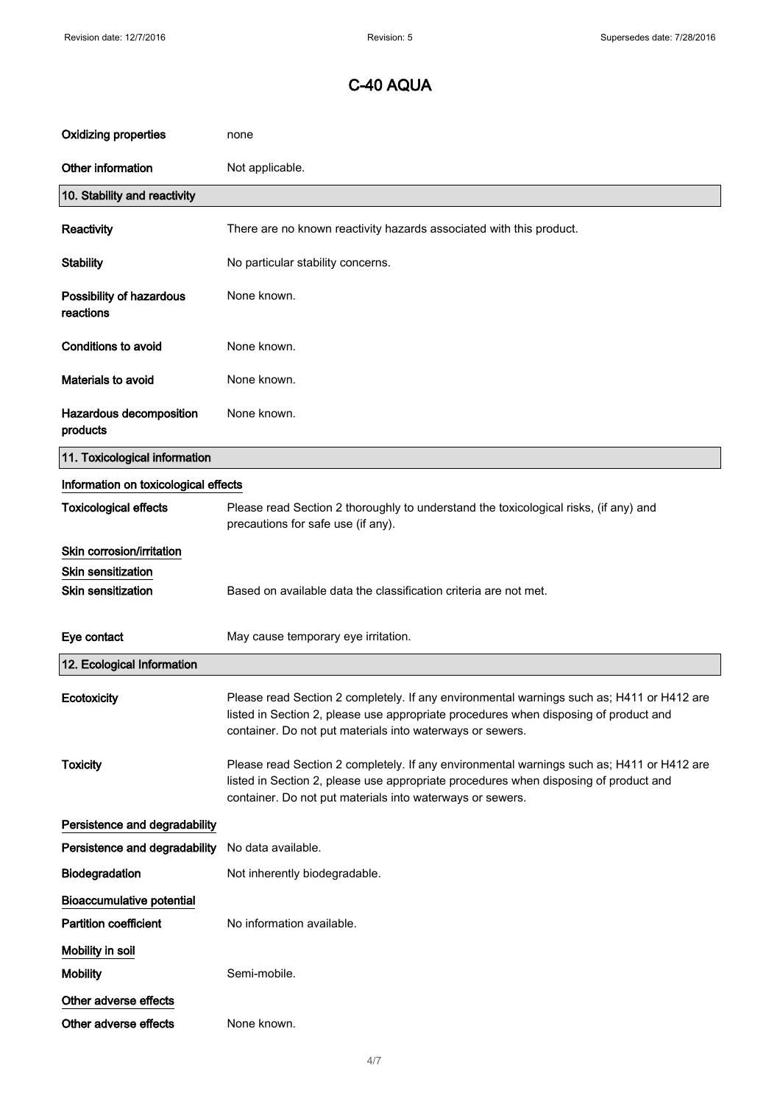| <b>Oxidizing properties</b>           | none                                                                                                                                                                                                                                           |
|---------------------------------------|------------------------------------------------------------------------------------------------------------------------------------------------------------------------------------------------------------------------------------------------|
| Other information                     | Not applicable.                                                                                                                                                                                                                                |
| 10. Stability and reactivity          |                                                                                                                                                                                                                                                |
| Reactivity                            | There are no known reactivity hazards associated with this product.                                                                                                                                                                            |
| <b>Stability</b>                      | No particular stability concerns.                                                                                                                                                                                                              |
| Possibility of hazardous<br>reactions | None known.                                                                                                                                                                                                                                    |
| <b>Conditions to avoid</b>            | None known.                                                                                                                                                                                                                                    |
| Materials to avoid                    | None known.                                                                                                                                                                                                                                    |
| Hazardous decomposition<br>products   | None known.                                                                                                                                                                                                                                    |
| 11. Toxicological information         |                                                                                                                                                                                                                                                |
| Information on toxicological effects  |                                                                                                                                                                                                                                                |
| <b>Toxicological effects</b>          | Please read Section 2 thoroughly to understand the toxicological risks, (if any) and<br>precautions for safe use (if any).                                                                                                                     |
| Skin corrosion/irritation             |                                                                                                                                                                                                                                                |
| <b>Skin sensitization</b>             |                                                                                                                                                                                                                                                |
| <b>Skin sensitization</b>             | Based on available data the classification criteria are not met.                                                                                                                                                                               |
| Eye contact                           | May cause temporary eye irritation.                                                                                                                                                                                                            |
| 12. Ecological Information            |                                                                                                                                                                                                                                                |
| Ecotoxicity                           | Please read Section 2 completely. If any environmental warnings such as; H411 or H412 are<br>listed in Section 2, please use appropriate procedures when disposing of product and<br>container. Do not put materials into waterways or sewers. |
| <b>Toxicity</b>                       | Please read Section 2 completely. If any environmental warnings such as; H411 or H412 are<br>listed in Section 2, please use appropriate procedures when disposing of product and<br>container. Do not put materials into waterways or sewers. |
| Persistence and degradability         |                                                                                                                                                                                                                                                |
| Persistence and degradability         | No data available.                                                                                                                                                                                                                             |
| Biodegradation                        | Not inherently biodegradable.                                                                                                                                                                                                                  |
| <b>Bioaccumulative potential</b>      |                                                                                                                                                                                                                                                |
| <b>Partition coefficient</b>          | No information available.                                                                                                                                                                                                                      |
| Mobility in soil                      |                                                                                                                                                                                                                                                |
| <b>Mobility</b>                       | Semi-mobile.                                                                                                                                                                                                                                   |
| Other adverse effects                 |                                                                                                                                                                                                                                                |
| Other adverse effects                 | None known.                                                                                                                                                                                                                                    |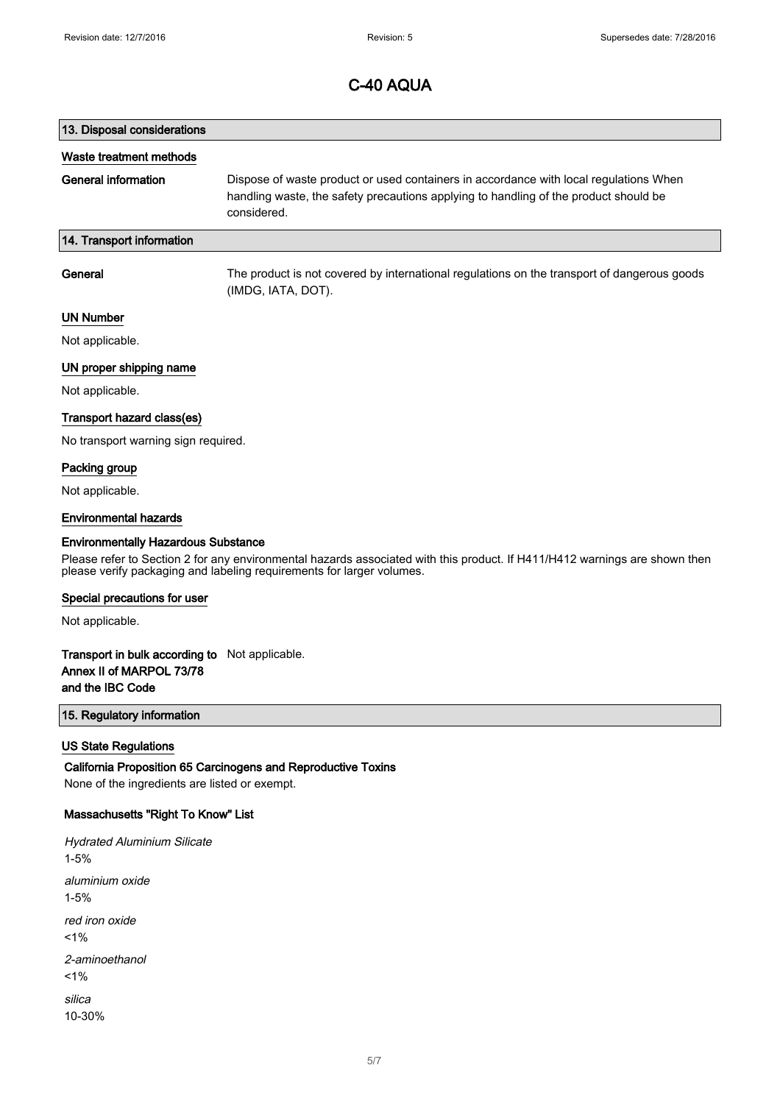# 13. Disposal considerations Waste treatment methods General information Dispose of waste product or used containers in accordance with local regulations When handling waste, the safety precautions applying to handling of the product should be considered. 14. Transport information General The product is not covered by international regulations on the transport of dangerous goods (IMDG, IATA, DOT).

## UN Number

Not applicable.

### UN proper shipping name

Not applicable.

### Transport hazard class(es)

No transport warning sign required.

## Packing group

Not applicable.

### Environmental hazards

### Environmentally Hazardous Substance

Please refer to Section 2 for any environmental hazards associated with this product. If H411/H412 warnings are shown then please verify packaging and labeling requirements for larger volumes.

#### Special precautions for user

Not applicable.

## Transport in bulk according to Not applicable. Annex II of MARPOL 73/78 and the IBC Code

## 15. Regulatory information

### US State Regulations

California Proposition 65 Carcinogens and Reproductive Toxins None of the ingredients are listed or exempt.

### Massachusetts "Right To Know" List

Hydrated Aluminium Silicate 1-5% aluminium oxide 1-5% red iron oxide  $1%$ 2-aminoethanol  $1%$ silica 10-30%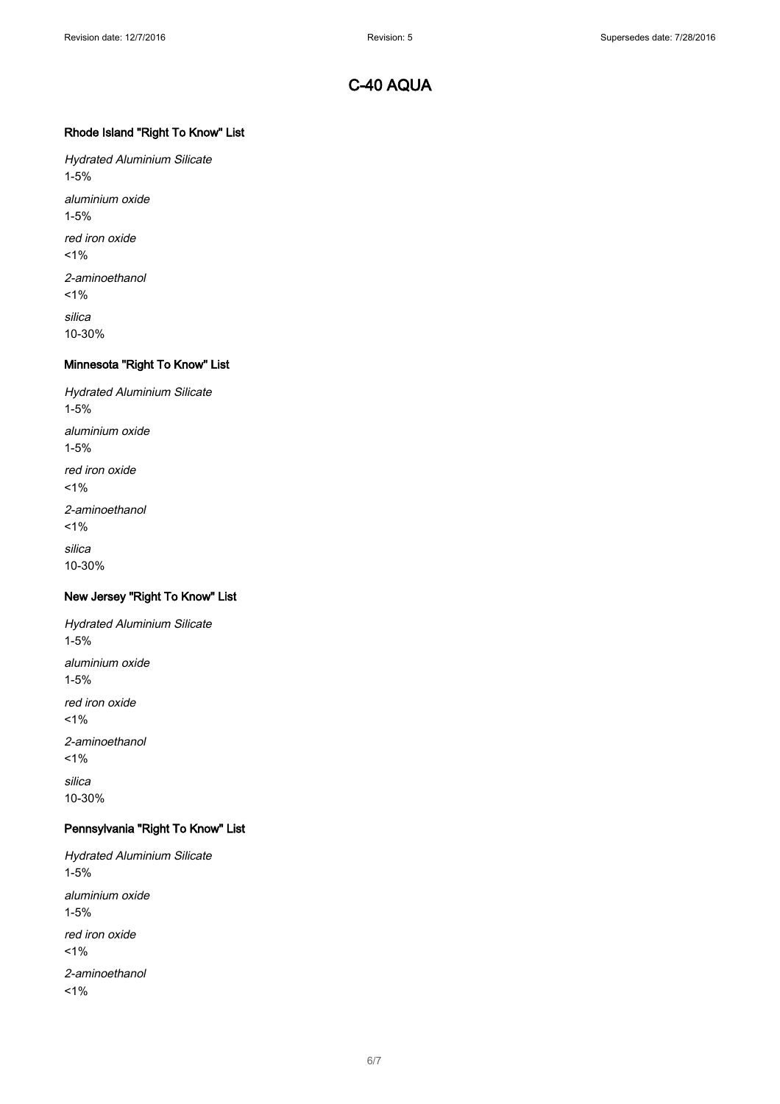## Rhode Island "Right To Know" List

Hydrated Aluminium Silicate 1-5% aluminium oxide 1-5% red iron oxide  $1\%$ 2-aminoethanol  $1%$ silica 10-30%

## Minnesota "Right To Know" List

Hydrated Aluminium Silicate 1-5% aluminium oxide 1-5% red iron oxide  $1%$ 2-aminoethanol  $1\%$ silica 10-30%

# New Jersey "Right To Know" List

Hydrated Aluminium Silicate 1-5% aluminium oxide 1-5% red iron oxide  $1%$ 2-aminoethanol  $1%$ silica 10-30%

# Pennsylvania "Right To Know" List

Hydrated Aluminium Silicate 1-5% aluminium oxide 1-5% red iron oxide  $1%$ 2-aminoethanol  $1%$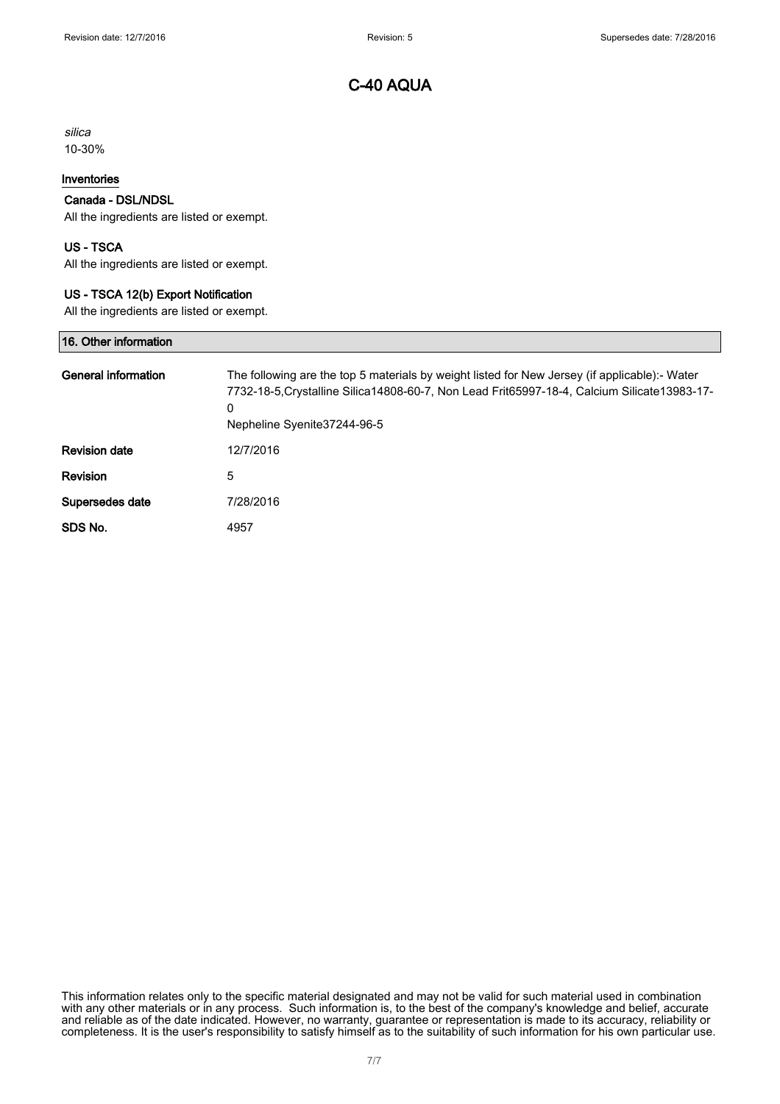silica 10-30%

## Inventories

## Canada - DSL/NDSL

All the ingredients are listed or exempt.

## US - TSCA

All the ingredients are listed or exempt.

## US - TSCA 12(b) Export Notification

All the ingredients are listed or exempt.

| 16. Other information      |                                                                                                                                                                                                                                     |
|----------------------------|-------------------------------------------------------------------------------------------------------------------------------------------------------------------------------------------------------------------------------------|
| <b>General information</b> | The following are the top 5 materials by weight listed for New Jersey (if applicable):- Water<br>7732-18-5, Crystalline Silica 14808-60-7, Non Lead Frit65997-18-4, Calcium Silicate 13983-17-<br>0<br>Nepheline Syenite 37244-96-5 |
| <b>Revision date</b>       | 12/7/2016                                                                                                                                                                                                                           |
| Revision                   | 5                                                                                                                                                                                                                                   |
| Supersedes date            | 7/28/2016                                                                                                                                                                                                                           |
| SDS No.                    | 4957                                                                                                                                                                                                                                |

This information relates only to the specific material designated and may not be valid for such material used in combination with any other materials or in any process. Such information is, to the best of the company's knowledge and belief, accurate and reliable as of the date indicated. However, no warranty, guarantee or representation is made to its accuracy, reliability or completeness. It is the user's responsibility to satisfy himself as to the suitability of such information for his own particular use.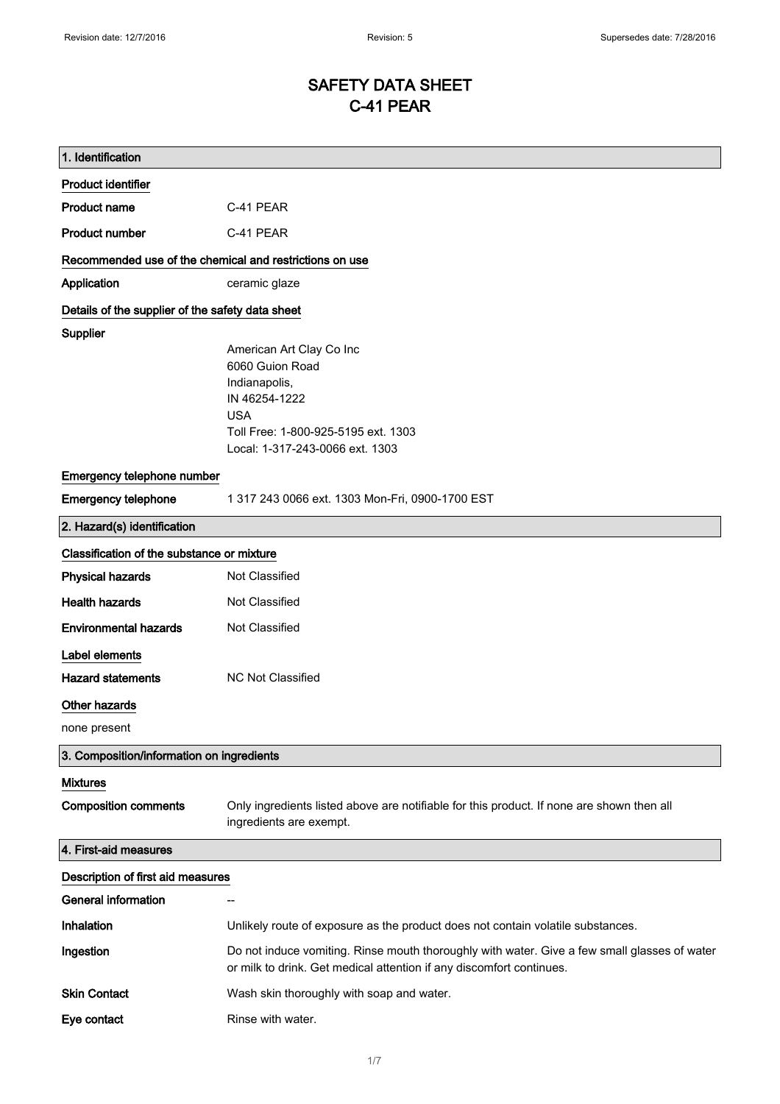# SAFETY DATA SHEET C-41 PEAR

| 1. Identification                                       |                                                                                                                                                                      |
|---------------------------------------------------------|----------------------------------------------------------------------------------------------------------------------------------------------------------------------|
| <b>Product identifier</b>                               |                                                                                                                                                                      |
| <b>Product name</b>                                     | C-41 PEAR                                                                                                                                                            |
| <b>Product number</b>                                   | C-41 PEAR                                                                                                                                                            |
| Recommended use of the chemical and restrictions on use |                                                                                                                                                                      |
| Application                                             | ceramic glaze                                                                                                                                                        |
| Details of the supplier of the safety data sheet        |                                                                                                                                                                      |
| Supplier                                                |                                                                                                                                                                      |
|                                                         | American Art Clay Co Inc<br>6060 Guion Road                                                                                                                          |
|                                                         | Indianapolis,                                                                                                                                                        |
|                                                         | IN 46254-1222                                                                                                                                                        |
|                                                         | <b>USA</b>                                                                                                                                                           |
|                                                         | Toll Free: 1-800-925-5195 ext. 1303                                                                                                                                  |
|                                                         | Local: 1-317-243-0066 ext. 1303                                                                                                                                      |
| Emergency telephone number                              |                                                                                                                                                                      |
| <b>Emergency telephone</b>                              | 1 317 243 0066 ext. 1303 Mon-Fri, 0900-1700 EST                                                                                                                      |
| 2. Hazard(s) identification                             |                                                                                                                                                                      |
| Classification of the substance or mixture              |                                                                                                                                                                      |
| <b>Physical hazards</b>                                 | Not Classified                                                                                                                                                       |
| <b>Health hazards</b>                                   | Not Classified                                                                                                                                                       |
| <b>Environmental hazards</b>                            | Not Classified                                                                                                                                                       |
| Label elements                                          |                                                                                                                                                                      |
| <b>Hazard statements</b>                                | <b>NC Not Classified</b>                                                                                                                                             |
| Other hazards                                           |                                                                                                                                                                      |
| none present                                            |                                                                                                                                                                      |
| 3. Composition/information on ingredients               |                                                                                                                                                                      |
| <b>Mixtures</b>                                         |                                                                                                                                                                      |
| <b>Composition comments</b>                             | Only ingredients listed above are notifiable for this product. If none are shown then all<br>ingredients are exempt.                                                 |
| 4. First-aid measures                                   |                                                                                                                                                                      |
| Description of first aid measures                       |                                                                                                                                                                      |
| <b>General information</b>                              |                                                                                                                                                                      |
| <b>Inhalation</b>                                       | Unlikely route of exposure as the product does not contain volatile substances.                                                                                      |
| Ingestion                                               | Do not induce vomiting. Rinse mouth thoroughly with water. Give a few small glasses of water<br>or milk to drink. Get medical attention if any discomfort continues. |
| <b>Skin Contact</b>                                     | Wash skin thoroughly with soap and water.                                                                                                                            |
| Eye contact                                             | Rinse with water.                                                                                                                                                    |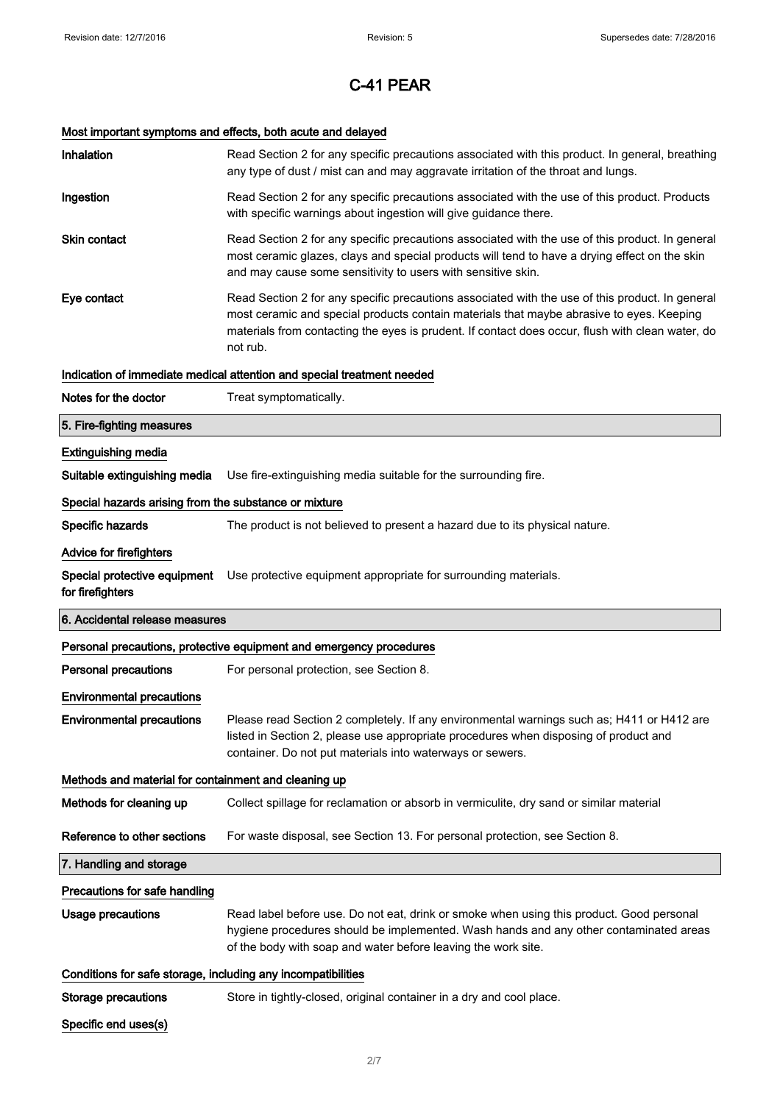# Most important symptoms and effects, both acute and delayed

| Inhalation                                                   | Read Section 2 for any specific precautions associated with this product. In general, breathing<br>any type of dust / mist can and may aggravate irritation of the throat and lungs.                                                                                                                        |
|--------------------------------------------------------------|-------------------------------------------------------------------------------------------------------------------------------------------------------------------------------------------------------------------------------------------------------------------------------------------------------------|
| Ingestion                                                    | Read Section 2 for any specific precautions associated with the use of this product. Products<br>with specific warnings about ingestion will give guidance there.                                                                                                                                           |
| <b>Skin contact</b>                                          | Read Section 2 for any specific precautions associated with the use of this product. In general<br>most ceramic glazes, clays and special products will tend to have a drying effect on the skin<br>and may cause some sensitivity to users with sensitive skin.                                            |
| Eye contact                                                  | Read Section 2 for any specific precautions associated with the use of this product. In general<br>most ceramic and special products contain materials that maybe abrasive to eyes. Keeping<br>materials from contacting the eyes is prudent. If contact does occur, flush with clean water, do<br>not rub. |
|                                                              | Indication of immediate medical attention and special treatment needed                                                                                                                                                                                                                                      |
| Notes for the doctor                                         | Treat symptomatically.                                                                                                                                                                                                                                                                                      |
| 5. Fire-fighting measures                                    |                                                                                                                                                                                                                                                                                                             |
| <b>Extinguishing media</b>                                   |                                                                                                                                                                                                                                                                                                             |
| Suitable extinguishing media                                 | Use fire-extinguishing media suitable for the surrounding fire.                                                                                                                                                                                                                                             |
| Special hazards arising from the substance or mixture        |                                                                                                                                                                                                                                                                                                             |
| Specific hazards                                             | The product is not believed to present a hazard due to its physical nature.                                                                                                                                                                                                                                 |
| <b>Advice for firefighters</b>                               |                                                                                                                                                                                                                                                                                                             |
| Special protective equipment<br>for firefighters             | Use protective equipment appropriate for surrounding materials.                                                                                                                                                                                                                                             |
|                                                              |                                                                                                                                                                                                                                                                                                             |
| 6. Accidental release measures                               |                                                                                                                                                                                                                                                                                                             |
|                                                              | Personal precautions, protective equipment and emergency procedures                                                                                                                                                                                                                                         |
| <b>Personal precautions</b>                                  | For personal protection, see Section 8.                                                                                                                                                                                                                                                                     |
| <b>Environmental precautions</b>                             |                                                                                                                                                                                                                                                                                                             |
| <b>Environmental precautions</b>                             | Please read Section 2 completely. If any environmental warnings such as; H411 or H412 are<br>listed in Section 2, please use appropriate procedures when disposing of product and<br>container. Do not put materials into waterways or sewers.                                                              |
| Methods and material for containment and cleaning up         |                                                                                                                                                                                                                                                                                                             |
| Methods for cleaning up                                      | Collect spillage for reclamation or absorb in vermiculite, dry sand or similar material                                                                                                                                                                                                                     |
| Reference to other sections                                  | For waste disposal, see Section 13. For personal protection, see Section 8.                                                                                                                                                                                                                                 |
| 7. Handling and storage                                      |                                                                                                                                                                                                                                                                                                             |
| Precautions for safe handling                                |                                                                                                                                                                                                                                                                                                             |
| <b>Usage precautions</b>                                     | Read label before use. Do not eat, drink or smoke when using this product. Good personal<br>hygiene procedures should be implemented. Wash hands and any other contaminated areas<br>of the body with soap and water before leaving the work site.                                                          |
| Conditions for safe storage, including any incompatibilities |                                                                                                                                                                                                                                                                                                             |
| <b>Storage precautions</b>                                   | Store in tightly-closed, original container in a dry and cool place.                                                                                                                                                                                                                                        |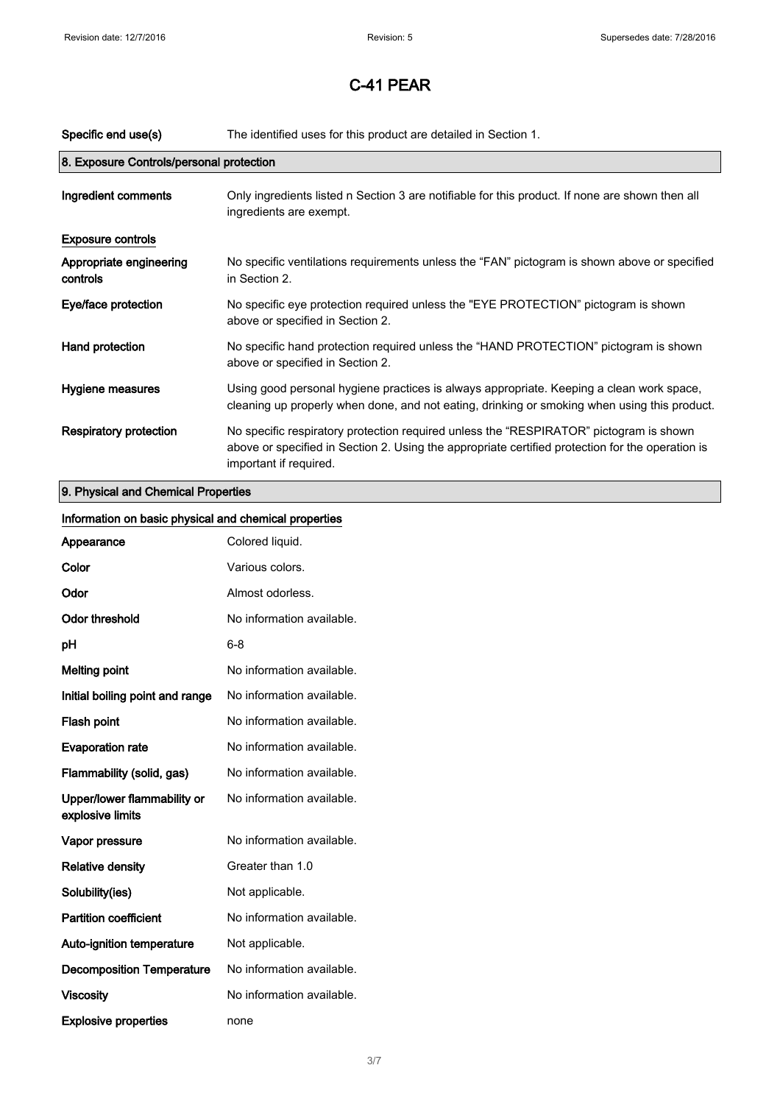| Specific end use(s)                      | The identified uses for this product are detailed in Section 1.                                                                                                                                                      |
|------------------------------------------|----------------------------------------------------------------------------------------------------------------------------------------------------------------------------------------------------------------------|
| 8. Exposure Controls/personal protection |                                                                                                                                                                                                                      |
| Ingredient comments                      | Only ingredients listed n Section 3 are notifiable for this product. If none are shown then all<br>ingredients are exempt.                                                                                           |
| <b>Exposure controls</b>                 |                                                                                                                                                                                                                      |
| Appropriate engineering<br>controls      | No specific ventilations requirements unless the "FAN" pictogram is shown above or specified<br>in Section 2.                                                                                                        |
| Eye/face protection                      | No specific eye protection required unless the "EYE PROTECTION" pictogram is shown<br>above or specified in Section 2.                                                                                               |
| Hand protection                          | No specific hand protection required unless the "HAND PROTECTION" pictogram is shown<br>above or specified in Section 2.                                                                                             |
| Hygiene measures                         | Using good personal hygiene practices is always appropriate. Keeping a clean work space,<br>cleaning up properly when done, and not eating, drinking or smoking when using this product.                             |
| <b>Respiratory protection</b>            | No specific respiratory protection required unless the "RESPIRATOR" pictogram is shown<br>above or specified in Section 2. Using the appropriate certified protection for the operation is<br>important if required. |
| 9. Physical and Chemical Properties      |                                                                                                                                                                                                                      |

| Information on basic physical and chemical properties |                           |
|-------------------------------------------------------|---------------------------|
| Appearance                                            | Colored liquid.           |
| Color                                                 | Various colors.           |
| Odor                                                  | Almost odorless.          |
| <b>Odor threshold</b>                                 | No information available. |
| pH                                                    | $6 - 8$                   |
| <b>Melting point</b>                                  | No information available. |
| Initial boiling point and range                       | No information available. |
| Flash point                                           | No information available. |
| <b>Evaporation rate</b>                               | No information available. |
| Flammability (solid, gas)                             | No information available. |
| Upper/lower flammability or<br>explosive limits       | No information available. |
| Vapor pressure                                        | No information available. |
| <b>Relative density</b>                               | Greater than 1.0          |
| Solubility(ies)                                       | Not applicable.           |
| <b>Partition coefficient</b>                          | No information available. |
| Auto-ignition temperature                             | Not applicable.           |
| <b>Decomposition Temperature</b>                      | No information available. |
| <b>Viscosity</b>                                      | No information available. |
| <b>Explosive properties</b>                           | none                      |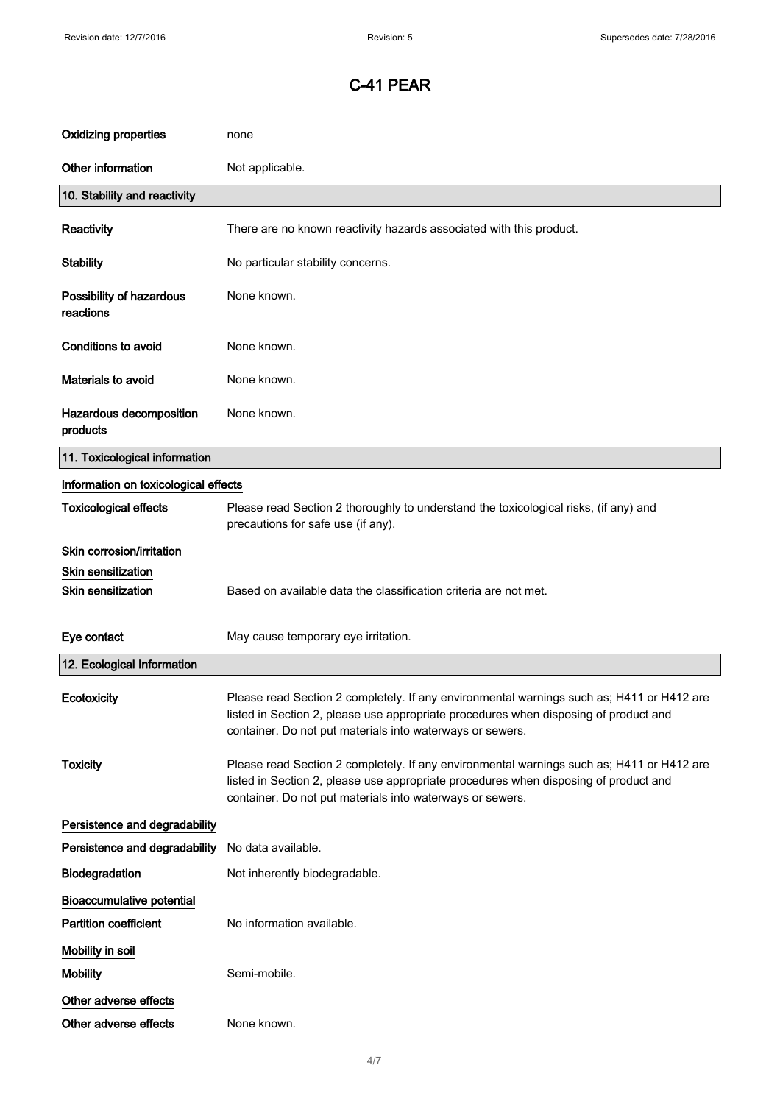| <b>Oxidizing properties</b>           | none                                                                                                                                                                                                                                           |
|---------------------------------------|------------------------------------------------------------------------------------------------------------------------------------------------------------------------------------------------------------------------------------------------|
| Other information                     | Not applicable.                                                                                                                                                                                                                                |
| 10. Stability and reactivity          |                                                                                                                                                                                                                                                |
| Reactivity                            | There are no known reactivity hazards associated with this product.                                                                                                                                                                            |
| <b>Stability</b>                      | No particular stability concerns.                                                                                                                                                                                                              |
| Possibility of hazardous<br>reactions | None known.                                                                                                                                                                                                                                    |
| Conditions to avoid                   | None known.                                                                                                                                                                                                                                    |
| Materials to avoid                    | None known.                                                                                                                                                                                                                                    |
| Hazardous decomposition<br>products   | None known.                                                                                                                                                                                                                                    |
| 11. Toxicological information         |                                                                                                                                                                                                                                                |
| Information on toxicological effects  |                                                                                                                                                                                                                                                |
| <b>Toxicological effects</b>          | Please read Section 2 thoroughly to understand the toxicological risks, (if any) and<br>precautions for safe use (if any).                                                                                                                     |
| Skin corrosion/irritation             |                                                                                                                                                                                                                                                |
| <b>Skin sensitization</b>             |                                                                                                                                                                                                                                                |
| <b>Skin sensitization</b>             | Based on available data the classification criteria are not met.                                                                                                                                                                               |
| Eye contact                           | May cause temporary eye irritation.                                                                                                                                                                                                            |
| 12. Ecological Information            |                                                                                                                                                                                                                                                |
| Ecotoxicity                           | Please read Section 2 completely. If any environmental warnings such as; H411 or H412 are<br>listed in Section 2, please use appropriate procedures when disposing of product and<br>container. Do not put materials into waterways or sewers. |
| <b>Toxicity</b>                       | Please read Section 2 completely. If any environmental warnings such as; H411 or H412 are<br>listed in Section 2, please use appropriate procedures when disposing of product and<br>container. Do not put materials into waterways or sewers. |
| Persistence and degradability         |                                                                                                                                                                                                                                                |
| Persistence and degradability         | No data available.                                                                                                                                                                                                                             |
| Biodegradation                        | Not inherently biodegradable.                                                                                                                                                                                                                  |
| <b>Bioaccumulative potential</b>      |                                                                                                                                                                                                                                                |
| <b>Partition coefficient</b>          | No information available.                                                                                                                                                                                                                      |
| Mobility in soil                      |                                                                                                                                                                                                                                                |
|                                       |                                                                                                                                                                                                                                                |
| <b>Mobility</b>                       | Semi-mobile.                                                                                                                                                                                                                                   |
| Other adverse effects                 |                                                                                                                                                                                                                                                |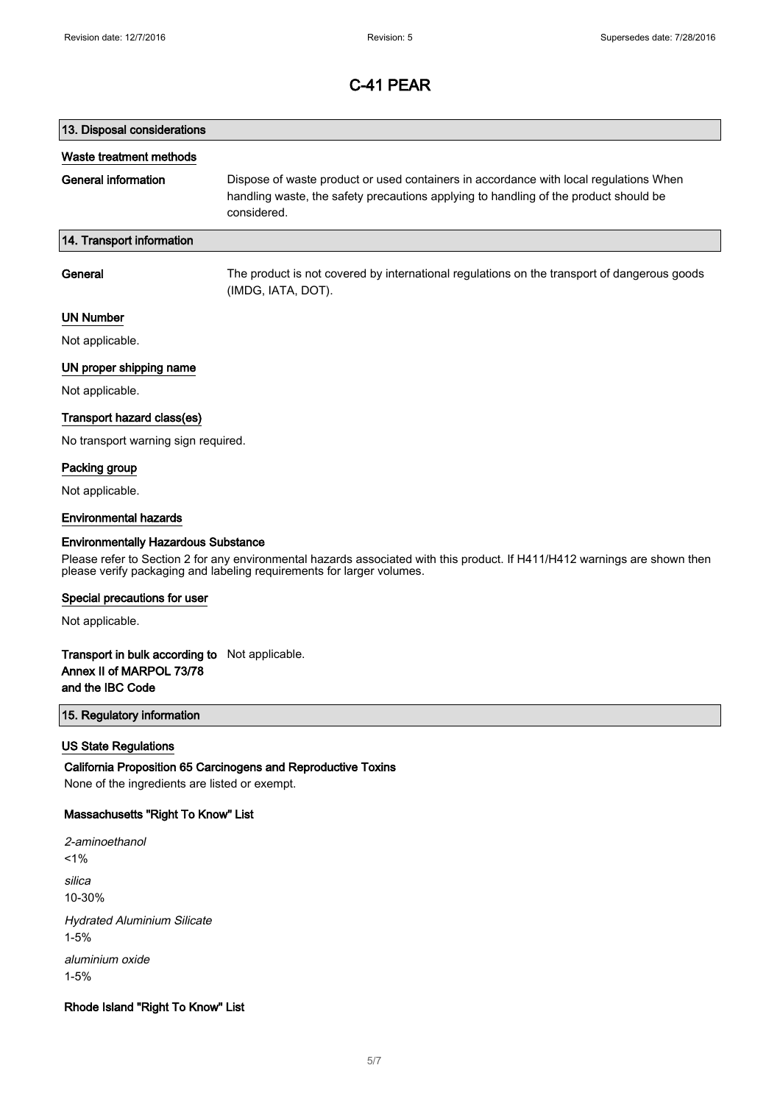# 13. Disposal considerations Waste treatment methods General information Dispose of waste product or used containers in accordance with local regulations When handling waste, the safety precautions applying to handling of the product should be considered. 14. Transport information General The product is not covered by international regulations on the transport of dangerous goods (IMDG, IATA, DOT).

## UN Number

Not applicable.

### UN proper shipping name

Not applicable.

### Transport hazard class(es)

No transport warning sign required.

### Packing group

Not applicable.

#### Environmental hazards

#### Environmentally Hazardous Substance

Please refer to Section 2 for any environmental hazards associated with this product. If H411/H412 warnings are shown then please verify packaging and labeling requirements for larger volumes.

#### Special precautions for user

Not applicable.

## Transport in bulk according to Not applicable. Annex II of MARPOL 73/78 and the IBC Code

## 15. Regulatory information

### US State Regulations

California Proposition 65 Carcinogens and Reproductive Toxins None of the ingredients are listed or exempt.

## Massachusetts "Right To Know" List

2-aminoethanol  $1%$ silica 10-30% Hydrated Aluminium Silicate 1-5% aluminium oxide 1-5%

### Rhode Island "Right To Know" List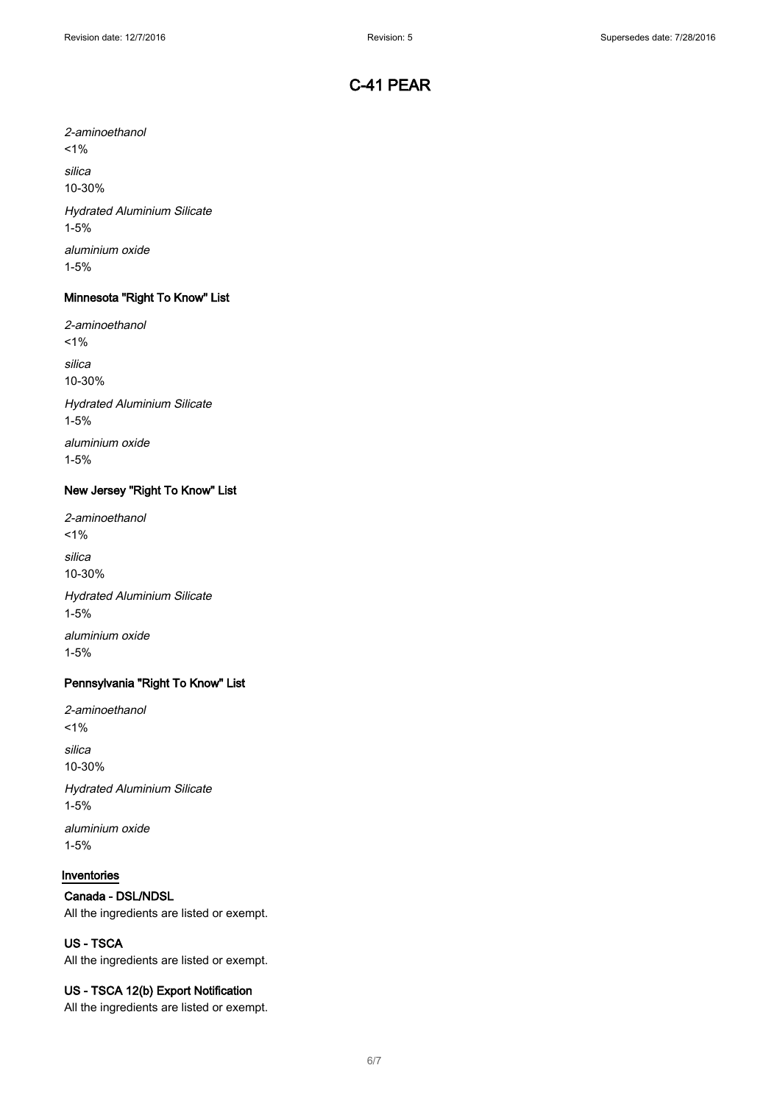2-aminoethanol  $1%$ silica 10-30% Hydrated Aluminium Silicate 1-5% aluminium oxide

1-5%

## Minnesota "Right To Know" List

2-aminoethanol  $1%$ silica 10-30% Hydrated Aluminium Silicate 1-5% aluminium oxide

1-5%

## New Jersey "Right To Know" List

2-aminoethanol  $1\%$ silica 10-30% Hydrated Aluminium Silicate 1-5% aluminium oxide

1-5%

## Pennsylvania "Right To Know" List

2-aminoethanol  $1%$ silica 10-30% Hydrated Aluminium Silicate 1-5%

aluminium oxide 1-5%

## Inventories

## Canada - DSL/NDSL

All the ingredients are listed or exempt.

## US - TSCA

All the ingredients are listed or exempt.

## US - TSCA 12(b) Export Notification

All the ingredients are listed or exempt.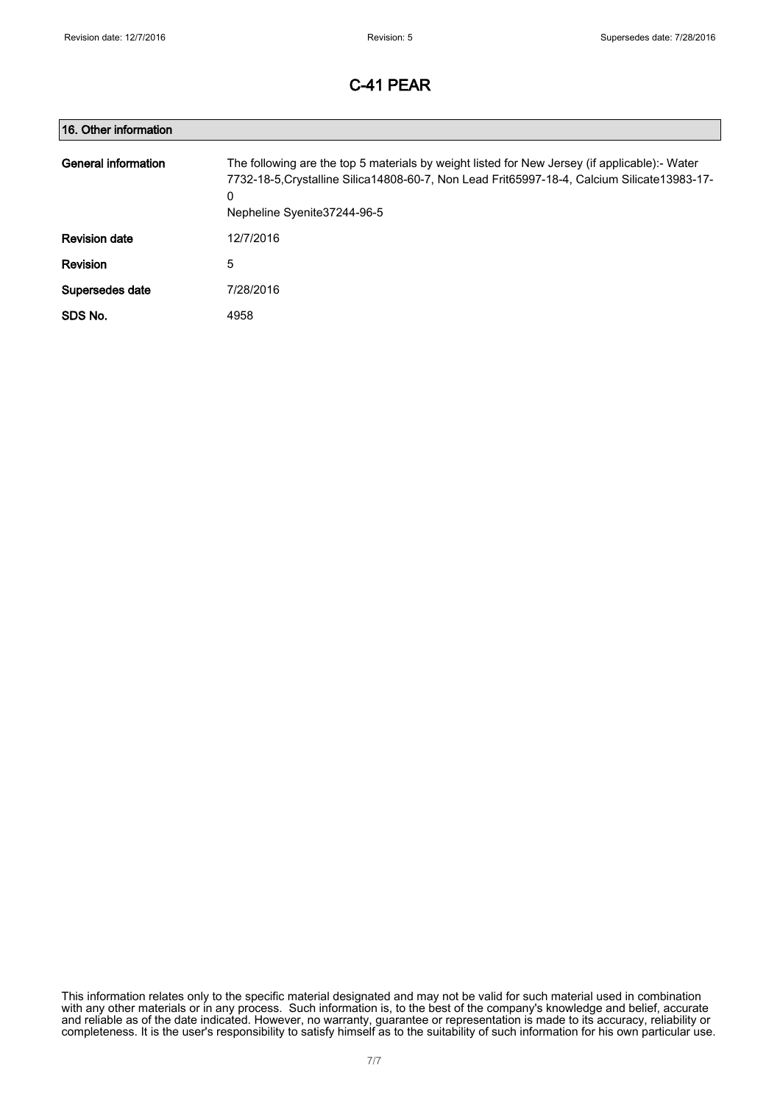| 16. Other information |                                                                                                                                                                                                                                     |
|-----------------------|-------------------------------------------------------------------------------------------------------------------------------------------------------------------------------------------------------------------------------------|
| General information   | The following are the top 5 materials by weight listed for New Jersey (if applicable):- Water<br>7732-18-5, Crystalline Silica 14808-60-7, Non Lead Frit65997-18-4, Calcium Silicate 13983-17-<br>0<br>Nepheline Syenite 37244-96-5 |
| <b>Revision date</b>  | 12/7/2016                                                                                                                                                                                                                           |
| <b>Revision</b>       | 5                                                                                                                                                                                                                                   |
| Supersedes date       | 7/28/2016                                                                                                                                                                                                                           |
| SDS No.               | 4958                                                                                                                                                                                                                                |

This information relates only to the specific material designated and may not be valid for such material used in combination with any other materials or in any process. Such information is, to the best of the company's knowledge and belief, accurate and reliable as of the date indicated. However, no warranty, guarantee or representation is made to its accuracy, reliability or completeness. It is the user's responsibility to satisfy himself as to the suitability of such information for his own particular use.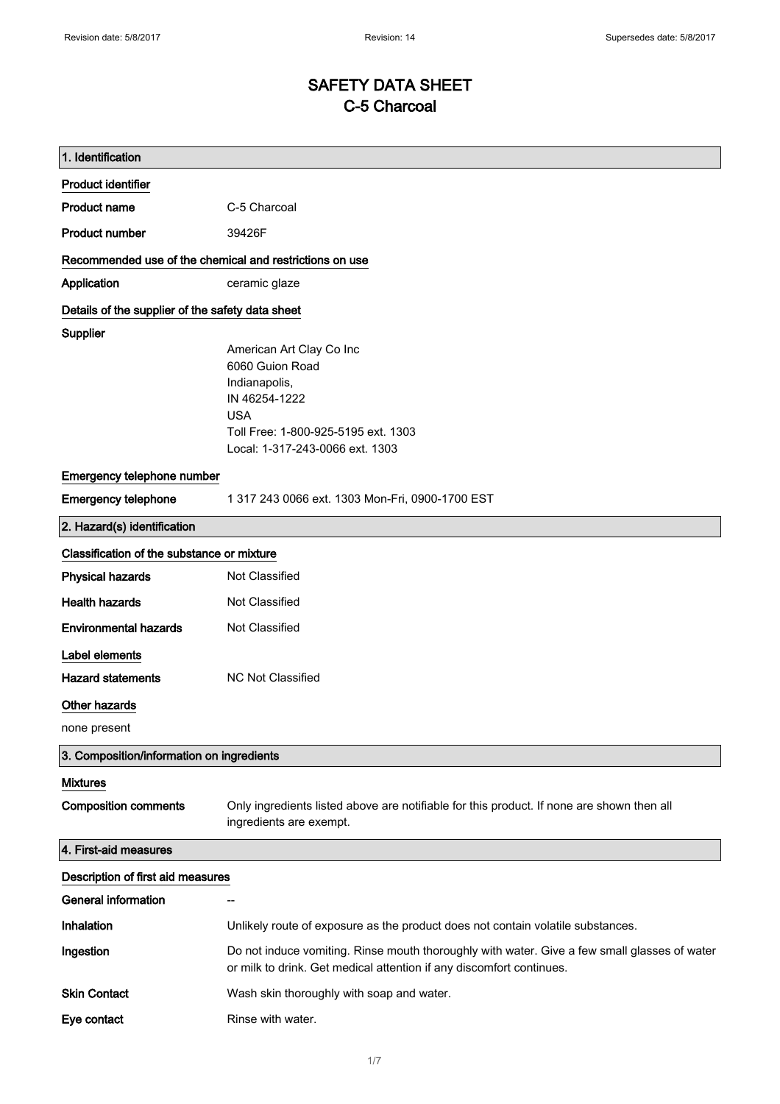# SAFETY DATA SHEET C-5 Charcoal

| 1. Identification                                       |                                                                                                                                                                       |
|---------------------------------------------------------|-----------------------------------------------------------------------------------------------------------------------------------------------------------------------|
| <b>Product identifier</b>                               |                                                                                                                                                                       |
| <b>Product name</b>                                     | C-5 Charcoal                                                                                                                                                          |
| <b>Product number</b>                                   | 39426F                                                                                                                                                                |
| Recommended use of the chemical and restrictions on use |                                                                                                                                                                       |
| Application                                             | ceramic glaze                                                                                                                                                         |
| Details of the supplier of the safety data sheet        |                                                                                                                                                                       |
| <b>Supplier</b>                                         | American Art Clay Co Inc<br>6060 Guion Road<br>Indianapolis,<br>IN 46254-1222<br><b>USA</b><br>Toll Free: 1-800-925-5195 ext. 1303<br>Local: 1-317-243-0066 ext. 1303 |
| Emergency telephone number                              |                                                                                                                                                                       |
| <b>Emergency telephone</b>                              | 1 317 243 0066 ext. 1303 Mon-Fri, 0900-1700 EST                                                                                                                       |
| 2. Hazard(s) identification                             |                                                                                                                                                                       |
| Classification of the substance or mixture              |                                                                                                                                                                       |
| <b>Physical hazards</b>                                 | Not Classified                                                                                                                                                        |
| <b>Health hazards</b>                                   | Not Classified                                                                                                                                                        |
| <b>Environmental hazards</b>                            | Not Classified                                                                                                                                                        |
| Label elements                                          |                                                                                                                                                                       |
| <b>Hazard statements</b>                                | NC Not Classified                                                                                                                                                     |
| Other hazards                                           |                                                                                                                                                                       |
| none present                                            |                                                                                                                                                                       |
| 3. Composition/information on ingredients               |                                                                                                                                                                       |
| <b>Mixtures</b><br><b>Composition comments</b>          | Only ingredients listed above are notifiable for this product. If none are shown then all<br>ingredients are exempt.                                                  |
| 4. First-aid measures                                   |                                                                                                                                                                       |
| Description of first aid measures                       |                                                                                                                                                                       |
| <b>General information</b>                              |                                                                                                                                                                       |
| Inhalation                                              | Unlikely route of exposure as the product does not contain volatile substances.                                                                                       |
| Ingestion                                               | Do not induce vomiting. Rinse mouth thoroughly with water. Give a few small glasses of water<br>or milk to drink. Get medical attention if any discomfort continues.  |
| <b>Skin Contact</b>                                     | Wash skin thoroughly with soap and water.                                                                                                                             |
| Eye contact                                             | Rinse with water.                                                                                                                                                     |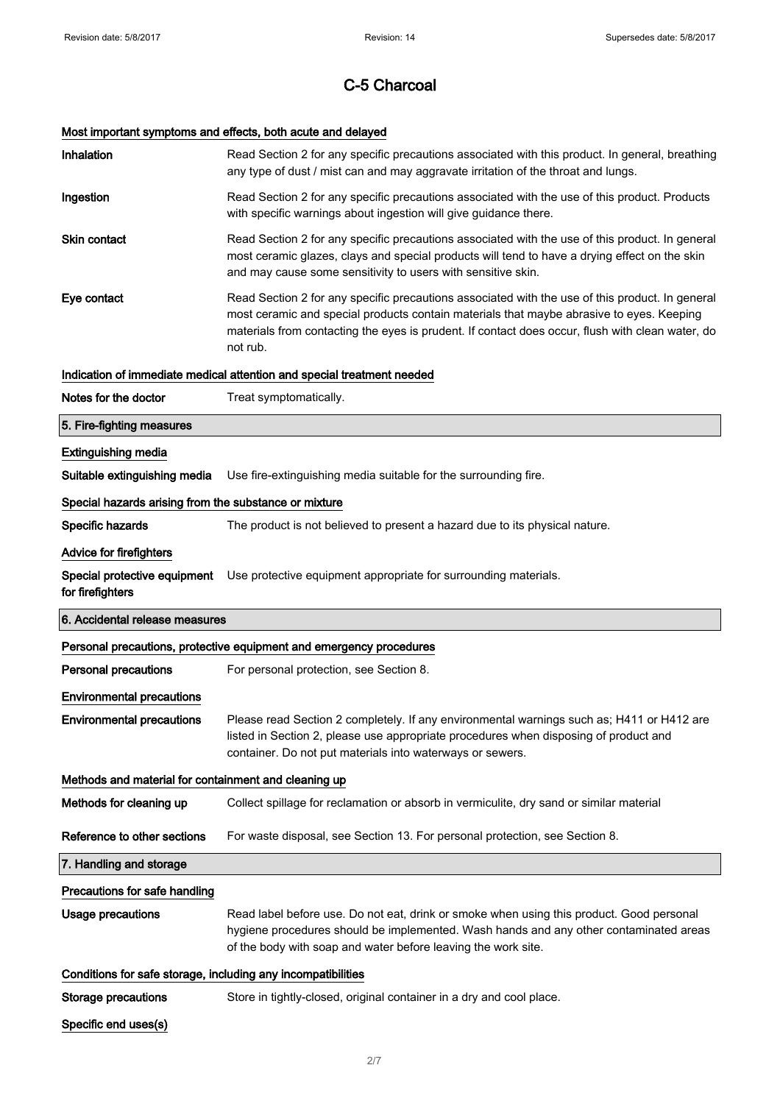# Most important symptoms and effects, both acute and delayed

| Inhalation                                                   | Read Section 2 for any specific precautions associated with this product. In general, breathing<br>any type of dust / mist can and may aggravate irritation of the throat and lungs.                                                                                                                        |  |
|--------------------------------------------------------------|-------------------------------------------------------------------------------------------------------------------------------------------------------------------------------------------------------------------------------------------------------------------------------------------------------------|--|
| Ingestion                                                    | Read Section 2 for any specific precautions associated with the use of this product. Products<br>with specific warnings about ingestion will give guidance there.                                                                                                                                           |  |
| <b>Skin contact</b>                                          | Read Section 2 for any specific precautions associated with the use of this product. In general<br>most ceramic glazes, clays and special products will tend to have a drying effect on the skin<br>and may cause some sensitivity to users with sensitive skin.                                            |  |
| Eye contact                                                  | Read Section 2 for any specific precautions associated with the use of this product. In general<br>most ceramic and special products contain materials that maybe abrasive to eyes. Keeping<br>materials from contacting the eyes is prudent. If contact does occur, flush with clean water, do<br>not rub. |  |
|                                                              | Indication of immediate medical attention and special treatment needed                                                                                                                                                                                                                                      |  |
| Notes for the doctor                                         | Treat symptomatically.                                                                                                                                                                                                                                                                                      |  |
| 5. Fire-fighting measures                                    |                                                                                                                                                                                                                                                                                                             |  |
| <b>Extinguishing media</b>                                   |                                                                                                                                                                                                                                                                                                             |  |
| Suitable extinguishing media                                 | Use fire-extinguishing media suitable for the surrounding fire.                                                                                                                                                                                                                                             |  |
| Special hazards arising from the substance or mixture        |                                                                                                                                                                                                                                                                                                             |  |
| Specific hazards                                             | The product is not believed to present a hazard due to its physical nature.                                                                                                                                                                                                                                 |  |
| Advice for firefighters                                      |                                                                                                                                                                                                                                                                                                             |  |
| Special protective equipment<br>for firefighters             | Use protective equipment appropriate for surrounding materials.                                                                                                                                                                                                                                             |  |
| 6. Accidental release measures                               |                                                                                                                                                                                                                                                                                                             |  |
|                                                              |                                                                                                                                                                                                                                                                                                             |  |
|                                                              | Personal precautions, protective equipment and emergency procedures                                                                                                                                                                                                                                         |  |
| <b>Personal precautions</b>                                  | For personal protection, see Section 8.                                                                                                                                                                                                                                                                     |  |
| <b>Environmental precautions</b>                             |                                                                                                                                                                                                                                                                                                             |  |
| <b>Environmental precautions</b>                             | Please read Section 2 completely. If any environmental warnings such as; H411 or H412 are<br>listed in Section 2, please use appropriate procedures when disposing of product and<br>container. Do not put materials into waterways or sewers.                                                              |  |
| Methods and material for containment and cleaning up         |                                                                                                                                                                                                                                                                                                             |  |
| Methods for cleaning up                                      | Collect spillage for reclamation or absorb in vermiculite, dry sand or similar material                                                                                                                                                                                                                     |  |
| Reference to other sections                                  | For waste disposal, see Section 13. For personal protection, see Section 8.                                                                                                                                                                                                                                 |  |
| 7. Handling and storage                                      |                                                                                                                                                                                                                                                                                                             |  |
| Precautions for safe handling                                |                                                                                                                                                                                                                                                                                                             |  |
| <b>Usage precautions</b>                                     | Read label before use. Do not eat, drink or smoke when using this product. Good personal<br>hygiene procedures should be implemented. Wash hands and any other contaminated areas<br>of the body with soap and water before leaving the work site.                                                          |  |
| Conditions for safe storage, including any incompatibilities |                                                                                                                                                                                                                                                                                                             |  |
| <b>Storage precautions</b>                                   | Store in tightly-closed, original container in a dry and cool place.                                                                                                                                                                                                                                        |  |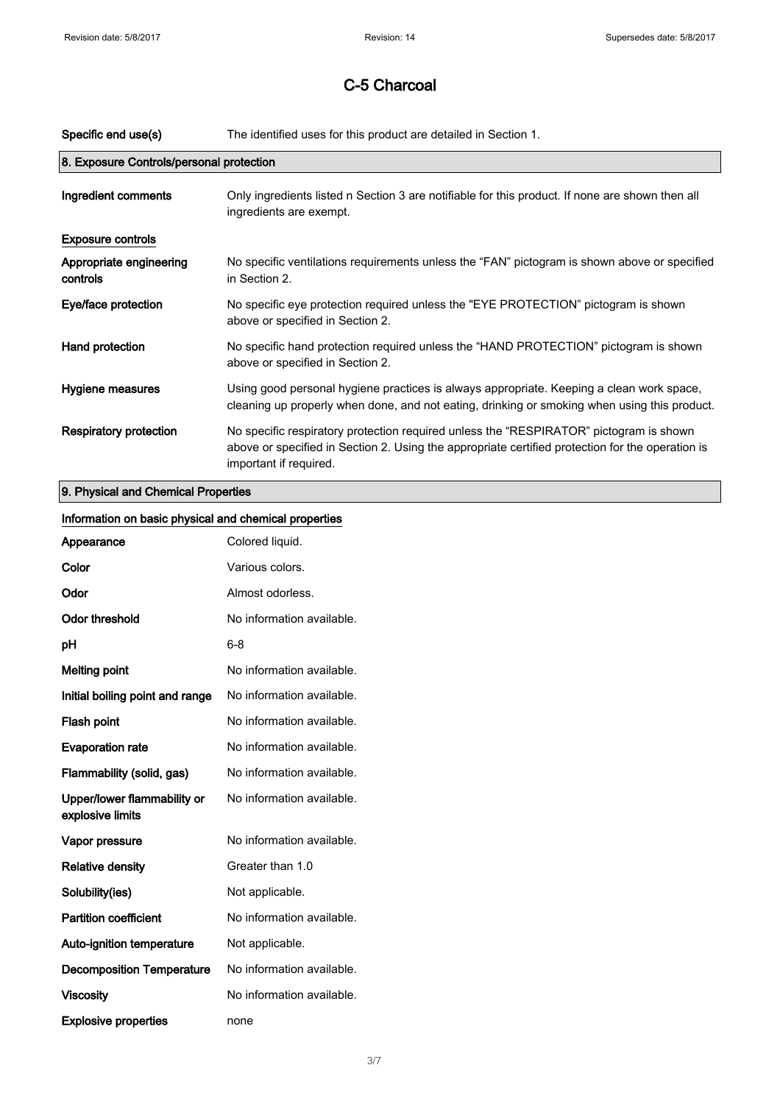| Specific end use(s)                      | The identified uses for this product are detailed in Section 1.                                                                                                                                                      |
|------------------------------------------|----------------------------------------------------------------------------------------------------------------------------------------------------------------------------------------------------------------------|
| 8. Exposure Controls/personal protection |                                                                                                                                                                                                                      |
| Ingredient comments                      | Only ingredients listed n Section 3 are notifiable for this product. If none are shown then all<br>ingredients are exempt.                                                                                           |
| <b>Exposure controls</b>                 |                                                                                                                                                                                                                      |
| Appropriate engineering<br>controls      | No specific ventilations requirements unless the "FAN" pictogram is shown above or specified<br>in Section 2.                                                                                                        |
| Eye/face protection                      | No specific eye protection required unless the "EYE PROTECTION" pictogram is shown<br>above or specified in Section 2.                                                                                               |
| Hand protection                          | No specific hand protection required unless the "HAND PROTECTION" pictogram is shown<br>above or specified in Section 2.                                                                                             |
| Hygiene measures                         | Using good personal hygiene practices is always appropriate. Keeping a clean work space,<br>cleaning up properly when done, and not eating, drinking or smoking when using this product.                             |
| <b>Respiratory protection</b>            | No specific respiratory protection required unless the "RESPIRATOR" pictogram is shown<br>above or specified in Section 2. Using the appropriate certified protection for the operation is<br>important if required. |
| 9. Physical and Chemical Properties      |                                                                                                                                                                                                                      |

| Information on basic physical and chemical properties |                           |
|-------------------------------------------------------|---------------------------|
| Appearance                                            | Colored liquid.           |
| Color                                                 | Various colors.           |
| Odor                                                  | Almost odorless.          |
| <b>Odor threshold</b>                                 | No information available. |
| pH                                                    | $6 - 8$                   |
| <b>Melting point</b>                                  | No information available. |
| Initial boiling point and range                       | No information available. |
| Flash point                                           | No information available. |
| <b>Evaporation rate</b>                               | No information available. |
| Flammability (solid, gas)                             | No information available. |
| Upper/lower flammability or<br>explosive limits       | No information available. |
| Vapor pressure                                        | No information available. |
| <b>Relative density</b>                               | Greater than 1.0          |
| Solubility(ies)                                       | Not applicable.           |
| <b>Partition coefficient</b>                          | No information available. |
| Auto-ignition temperature                             | Not applicable.           |
| <b>Decomposition Temperature</b>                      | No information available. |
| <b>Viscosity</b>                                      | No information available. |
| <b>Explosive properties</b>                           | none                      |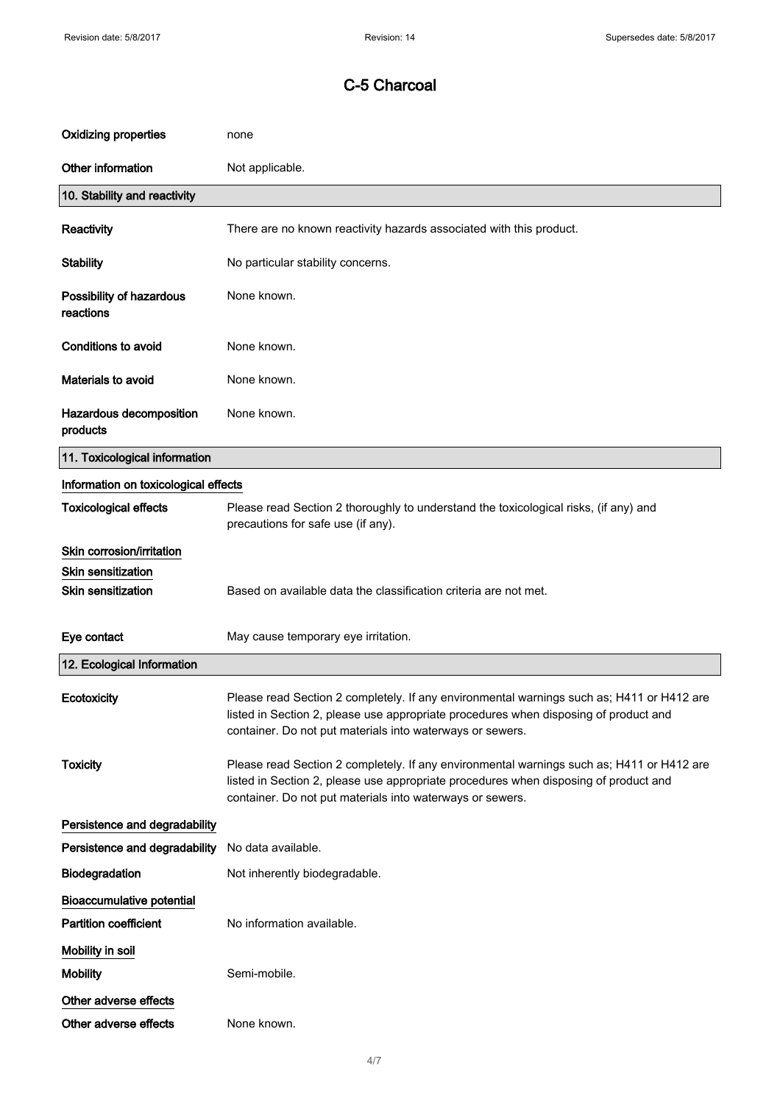| <b>Oxidizing properties</b>           | none                                                                                                                                                                                                                                           |
|---------------------------------------|------------------------------------------------------------------------------------------------------------------------------------------------------------------------------------------------------------------------------------------------|
| Other information                     | Not applicable.                                                                                                                                                                                                                                |
| 10. Stability and reactivity          |                                                                                                                                                                                                                                                |
| Reactivity                            | There are no known reactivity hazards associated with this product.                                                                                                                                                                            |
| <b>Stability</b>                      | No particular stability concerns.                                                                                                                                                                                                              |
| Possibility of hazardous<br>reactions | None known.                                                                                                                                                                                                                                    |
| <b>Conditions to avoid</b>            | None known.                                                                                                                                                                                                                                    |
| Materials to avoid                    | None known.                                                                                                                                                                                                                                    |
| Hazardous decomposition<br>products   | None known.                                                                                                                                                                                                                                    |
| 11. Toxicological information         |                                                                                                                                                                                                                                                |
| Information on toxicological effects  |                                                                                                                                                                                                                                                |
| <b>Toxicological effects</b>          | Please read Section 2 thoroughly to understand the toxicological risks, (if any) and<br>precautions for safe use (if any).                                                                                                                     |
| Skin corrosion/irritation             |                                                                                                                                                                                                                                                |
| <b>Skin sensitization</b>             |                                                                                                                                                                                                                                                |
| <b>Skin sensitization</b>             | Based on available data the classification criteria are not met.                                                                                                                                                                               |
| Eye contact                           | May cause temporary eye irritation.                                                                                                                                                                                                            |
| 12. Ecological Information            |                                                                                                                                                                                                                                                |
| Ecotoxicity                           | Please read Section 2 completely. If any environmental warnings such as; H411 or H412 are<br>listed in Section 2, please use appropriate procedures when disposing of product and<br>container. Do not put materials into waterways or sewers. |
| <b>Toxicity</b>                       | Please read Section 2 completely. If any environmental warnings such as; H411 or H412 are<br>listed in Section 2, please use appropriate procedures when disposing of product and<br>container. Do not put materials into waterways or sewers. |
| Persistence and degradability         |                                                                                                                                                                                                                                                |
| Persistence and degradability         | No data available.                                                                                                                                                                                                                             |
| Biodegradation                        | Not inherently biodegradable.                                                                                                                                                                                                                  |
| <b>Bioaccumulative potential</b>      |                                                                                                                                                                                                                                                |
| <b>Partition coefficient</b>          | No information available.                                                                                                                                                                                                                      |
| Mobility in soil                      |                                                                                                                                                                                                                                                |
| <b>Mobility</b>                       | Semi-mobile.                                                                                                                                                                                                                                   |
| Other adverse effects                 |                                                                                                                                                                                                                                                |
| Other adverse effects                 | None known.                                                                                                                                                                                                                                    |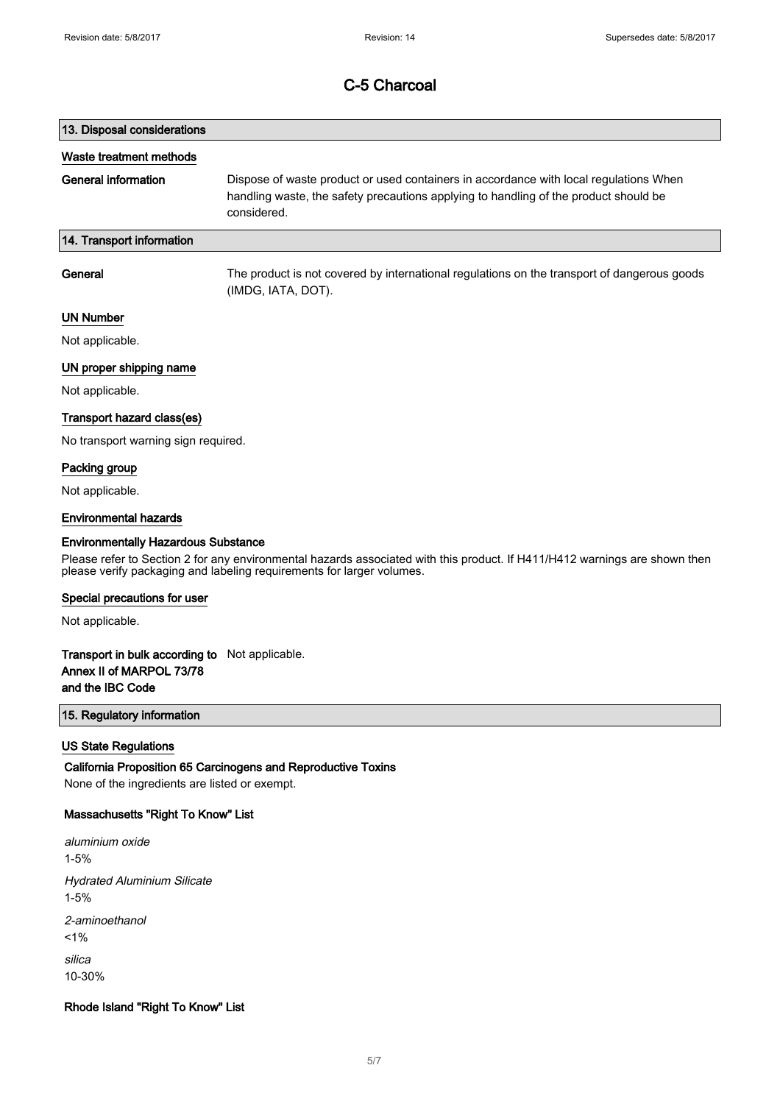# 13. Disposal considerations Waste treatment methods General information Dispose of waste product or used containers in accordance with local regulations When handling waste, the safety precautions applying to handling of the product should be considered. 14. Transport information General The product is not covered by international regulations on the transport of dangerous goods

(IMDG, IATA, DOT).

## UN Number

Not applicable.

## UN proper shipping name

Not applicable.

### Transport hazard class(es)

No transport warning sign required.

### Packing group

Not applicable.

#### Environmental hazards

#### Environmentally Hazardous Substance

Please refer to Section 2 for any environmental hazards associated with this product. If H411/H412 warnings are shown then please verify packaging and labeling requirements for larger volumes.

#### Special precautions for user

Not applicable.

## Transport in bulk according to Not applicable. Annex II of MARPOL 73/78 and the IBC Code

## 15. Regulatory information

### US State Regulations

California Proposition 65 Carcinogens and Reproductive Toxins None of the ingredients are listed or exempt.

### Massachusetts "Right To Know" List

aluminium oxide 1-5% Hydrated Aluminium Silicate 1-5% 2-aminoethanol  $1%$ silica 10-30%

### Rhode Island "Right To Know" List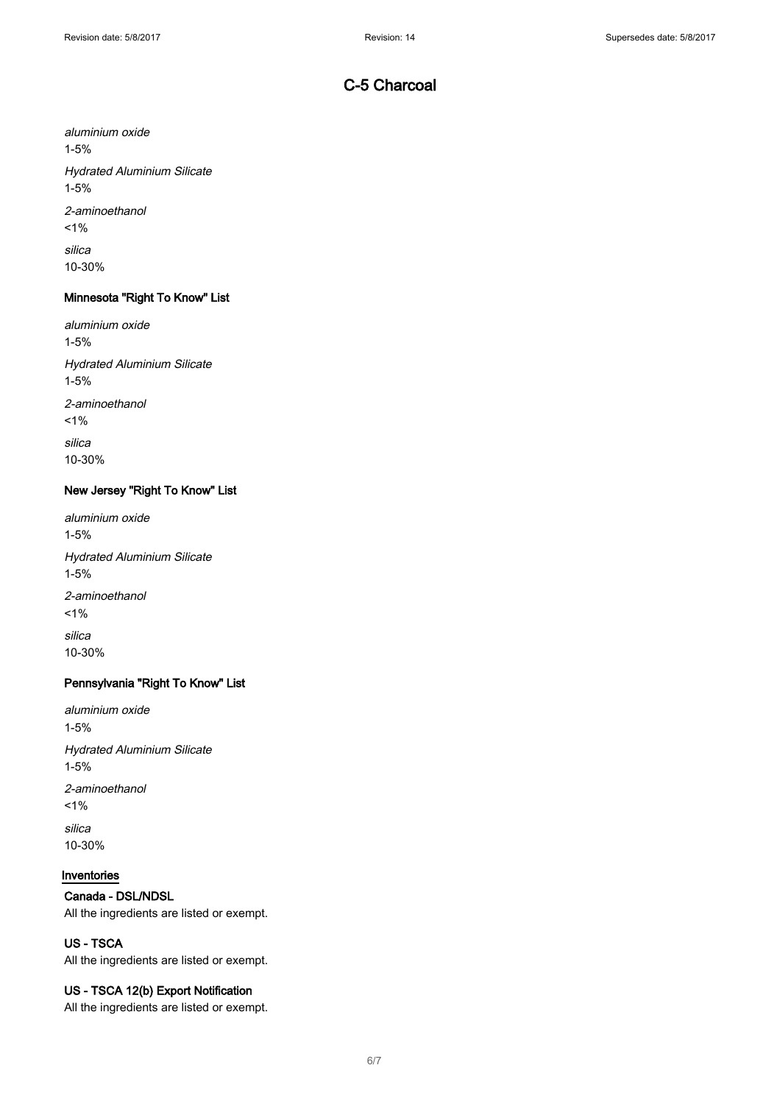aluminium oxide 1-5% Hydrated Aluminium Silicate 1-5% 2-aminoethanol  $1\%$ silica 10-30%

# Minnesota "Right To Know" List

aluminium oxide 1-5% Hydrated Aluminium Silicate 1-5% 2-aminoethanol  $1\%$ silica 10-30%

## New Jersey "Right To Know" List

aluminium oxide 1-5% Hydrated Aluminium Silicate 1-5% 2-aminoethanol  $1%$ silica 10-30%

## Pennsylvania "Right To Know" List

aluminium oxide 1-5% Hydrated Aluminium Silicate 1-5% 2-aminoethanol  $1%$ silica 10-30%

## Inventories

## Canada - DSL/NDSL

All the ingredients are listed or exempt.

## US - TSCA

All the ingredients are listed or exempt.

## US - TSCA 12(b) Export Notification

All the ingredients are listed or exempt.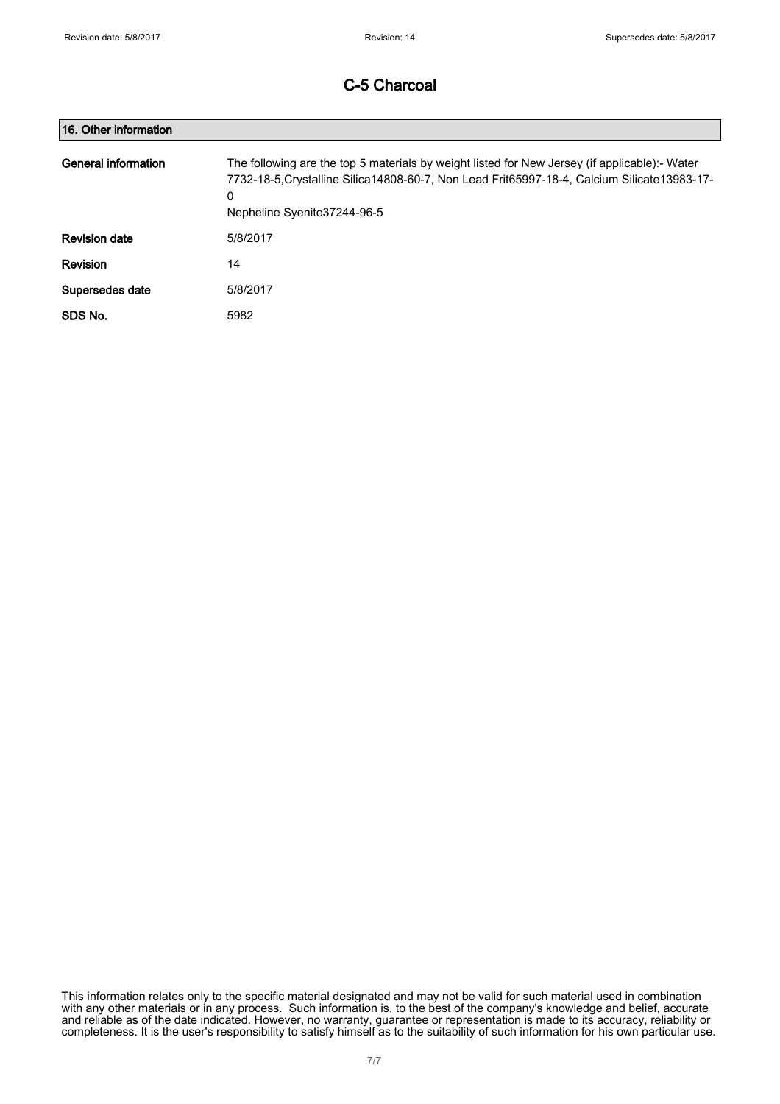| 16. Other information |                                                                                                                                                                                                                                     |
|-----------------------|-------------------------------------------------------------------------------------------------------------------------------------------------------------------------------------------------------------------------------------|
| General information   | The following are the top 5 materials by weight listed for New Jersey (if applicable):- Water<br>7732-18-5. Crystalline Silica 14808-60-7, Non Lead Frit65997-18-4, Calcium Silicate 13983-17-<br>0<br>Nepheline Syenite 37244-96-5 |
| <b>Revision date</b>  | 5/8/2017                                                                                                                                                                                                                            |
| Revision              | 14                                                                                                                                                                                                                                  |
| Supersedes date       | 5/8/2017                                                                                                                                                                                                                            |
| SDS No.               | 5982                                                                                                                                                                                                                                |

This information relates only to the specific material designated and may not be valid for such material used in combination with any other materials or in any process. Such information is, to the best of the company's knowledge and belief, accurate and reliable as of the date indicated. However, no warranty, guarantee or representation is made to its accuracy, reliability or completeness. It is the user's responsibility to satisfy himself as to the suitability of such information for his own particular use.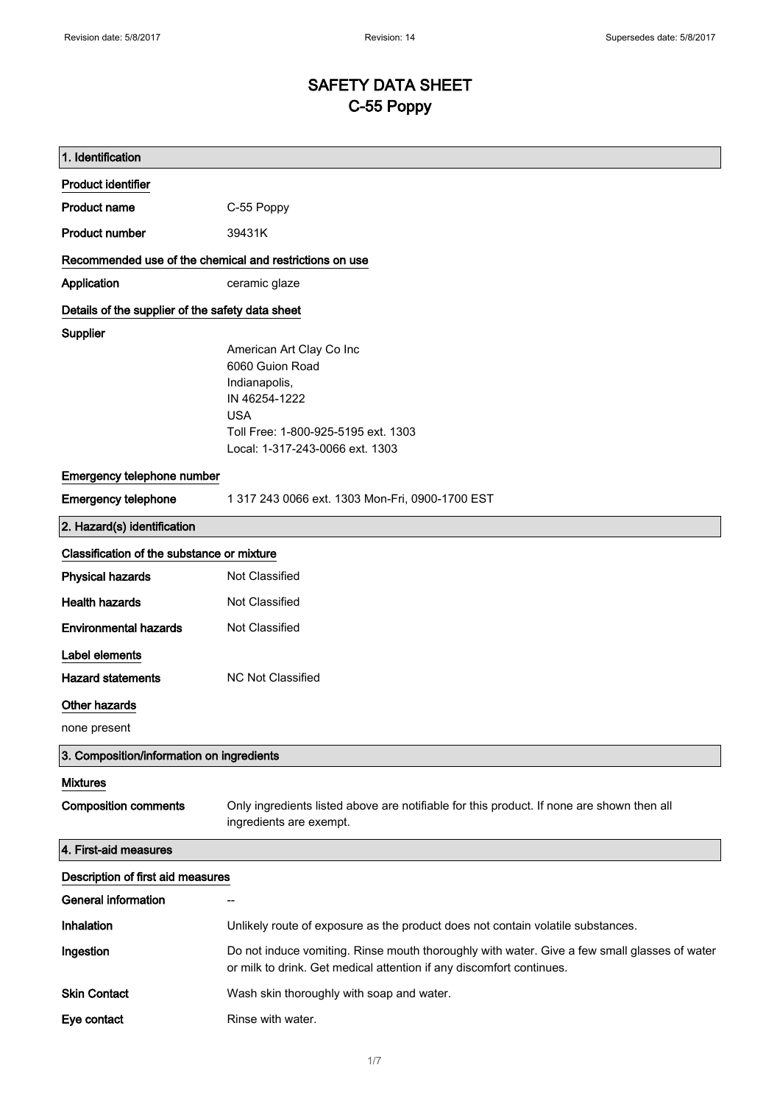# SAFETY DATA SHEET C-55 Poppy

| 1. Identification                                |                                                                                                                                                                       |  |  |
|--------------------------------------------------|-----------------------------------------------------------------------------------------------------------------------------------------------------------------------|--|--|
| <b>Product identifier</b>                        |                                                                                                                                                                       |  |  |
| <b>Product name</b>                              | C-55 Poppy                                                                                                                                                            |  |  |
| <b>Product number</b>                            | 39431K                                                                                                                                                                |  |  |
|                                                  | Recommended use of the chemical and restrictions on use                                                                                                               |  |  |
| Application                                      | ceramic glaze                                                                                                                                                         |  |  |
| Details of the supplier of the safety data sheet |                                                                                                                                                                       |  |  |
| Supplier                                         | American Art Clay Co Inc<br>6060 Guion Road<br>Indianapolis,<br>IN 46254-1222<br><b>USA</b><br>Toll Free: 1-800-925-5195 ext. 1303<br>Local: 1-317-243-0066 ext. 1303 |  |  |
| Emergency telephone number                       |                                                                                                                                                                       |  |  |
| <b>Emergency telephone</b>                       | 1 317 243 0066 ext. 1303 Mon-Fri, 0900-1700 EST                                                                                                                       |  |  |
| 2. Hazard(s) identification                      |                                                                                                                                                                       |  |  |
| Classification of the substance or mixture       |                                                                                                                                                                       |  |  |
| <b>Physical hazards</b>                          | Not Classified                                                                                                                                                        |  |  |
| <b>Health hazards</b>                            | Not Classified                                                                                                                                                        |  |  |
| <b>Environmental hazards</b>                     | Not Classified                                                                                                                                                        |  |  |
| Label elements                                   |                                                                                                                                                                       |  |  |
| <b>Hazard statements</b>                         | <b>NC Not Classified</b>                                                                                                                                              |  |  |
| <b>Other hazards</b>                             |                                                                                                                                                                       |  |  |
| none present                                     |                                                                                                                                                                       |  |  |
| 3. Composition/information on ingredients        |                                                                                                                                                                       |  |  |
| <b>Mixtures</b>                                  |                                                                                                                                                                       |  |  |
| <b>Composition comments</b>                      | Only ingredients listed above are notifiable for this product. If none are shown then all<br>ingredients are exempt.                                                  |  |  |
| 4. First-aid measures                            |                                                                                                                                                                       |  |  |
| Description of first aid measures                |                                                                                                                                                                       |  |  |
| <b>General information</b>                       |                                                                                                                                                                       |  |  |
| <b>Inhalation</b>                                | Unlikely route of exposure as the product does not contain volatile substances.                                                                                       |  |  |
| Ingestion                                        | Do not induce vomiting. Rinse mouth thoroughly with water. Give a few small glasses of water<br>or milk to drink. Get medical attention if any discomfort continues.  |  |  |
| <b>Skin Contact</b>                              | Wash skin thoroughly with soap and water.                                                                                                                             |  |  |
| Eye contact                                      | Rinse with water.                                                                                                                                                     |  |  |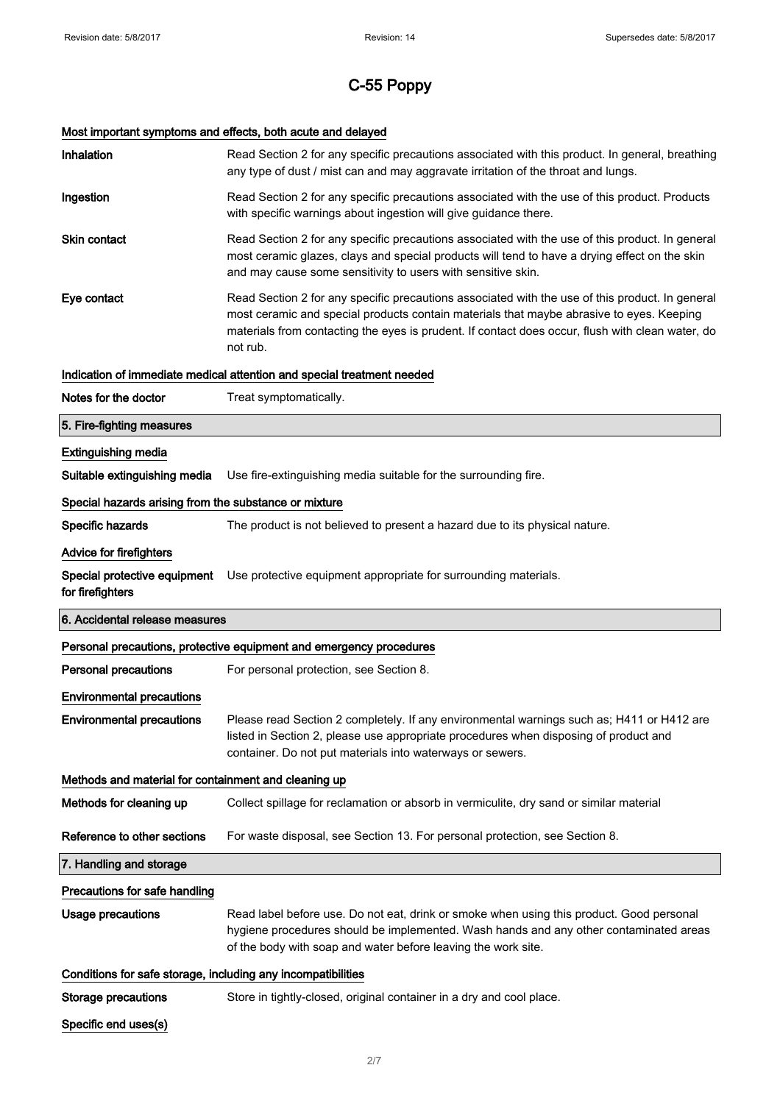# C-55 Poppy

# Most important symptoms and effects, both acute and delayed

| Inhalation                                                   | Read Section 2 for any specific precautions associated with this product. In general, breathing<br>any type of dust / mist can and may aggravate irritation of the throat and lungs.                                                                                                                        |
|--------------------------------------------------------------|-------------------------------------------------------------------------------------------------------------------------------------------------------------------------------------------------------------------------------------------------------------------------------------------------------------|
| Ingestion                                                    | Read Section 2 for any specific precautions associated with the use of this product. Products<br>with specific warnings about ingestion will give guidance there.                                                                                                                                           |
| <b>Skin contact</b>                                          | Read Section 2 for any specific precautions associated with the use of this product. In general<br>most ceramic glazes, clays and special products will tend to have a drying effect on the skin<br>and may cause some sensitivity to users with sensitive skin.                                            |
| Eye contact                                                  | Read Section 2 for any specific precautions associated with the use of this product. In general<br>most ceramic and special products contain materials that maybe abrasive to eyes. Keeping<br>materials from contacting the eyes is prudent. If contact does occur, flush with clean water, do<br>not rub. |
|                                                              | Indication of immediate medical attention and special treatment needed                                                                                                                                                                                                                                      |
| Notes for the doctor                                         | Treat symptomatically.                                                                                                                                                                                                                                                                                      |
| 5. Fire-fighting measures                                    |                                                                                                                                                                                                                                                                                                             |
| <b>Extinguishing media</b>                                   |                                                                                                                                                                                                                                                                                                             |
| Suitable extinguishing media                                 | Use fire-extinguishing media suitable for the surrounding fire.                                                                                                                                                                                                                                             |
| Special hazards arising from the substance or mixture        |                                                                                                                                                                                                                                                                                                             |
| Specific hazards                                             | The product is not believed to present a hazard due to its physical nature.                                                                                                                                                                                                                                 |
| <b>Advice for firefighters</b>                               |                                                                                                                                                                                                                                                                                                             |
| Special protective equipment<br>for firefighters             | Use protective equipment appropriate for surrounding materials.                                                                                                                                                                                                                                             |
| 6. Accidental release measures                               |                                                                                                                                                                                                                                                                                                             |
|                                                              | Personal precautions, protective equipment and emergency procedures                                                                                                                                                                                                                                         |
| <b>Personal precautions</b>                                  | For personal protection, see Section 8.                                                                                                                                                                                                                                                                     |
| <b>Environmental precautions</b>                             |                                                                                                                                                                                                                                                                                                             |
| <b>Environmental precautions</b>                             | Please read Section 2 completely. If any environmental warnings such as; H411 or H412 are<br>listed in Section 2, please use appropriate procedures when disposing of product and<br>container. Do not put materials into waterways or sewers.                                                              |
| Methods and material for containment and cleaning up         |                                                                                                                                                                                                                                                                                                             |
| Methods for cleaning up                                      | Collect spillage for reclamation or absorb in vermiculite, dry sand or similar material                                                                                                                                                                                                                     |
| Reference to other sections                                  | For waste disposal, see Section 13. For personal protection, see Section 8.                                                                                                                                                                                                                                 |
| 7. Handling and storage                                      |                                                                                                                                                                                                                                                                                                             |
| Precautions for safe handling                                |                                                                                                                                                                                                                                                                                                             |
| <b>Usage precautions</b>                                     | Read label before use. Do not eat, drink or smoke when using this product. Good personal<br>hygiene procedures should be implemented. Wash hands and any other contaminated areas<br>of the body with soap and water before leaving the work site.                                                          |
| Conditions for safe storage, including any incompatibilities |                                                                                                                                                                                                                                                                                                             |
| <b>Storage precautions</b>                                   |                                                                                                                                                                                                                                                                                                             |
|                                                              | Store in tightly-closed, original container in a dry and cool place.                                                                                                                                                                                                                                        |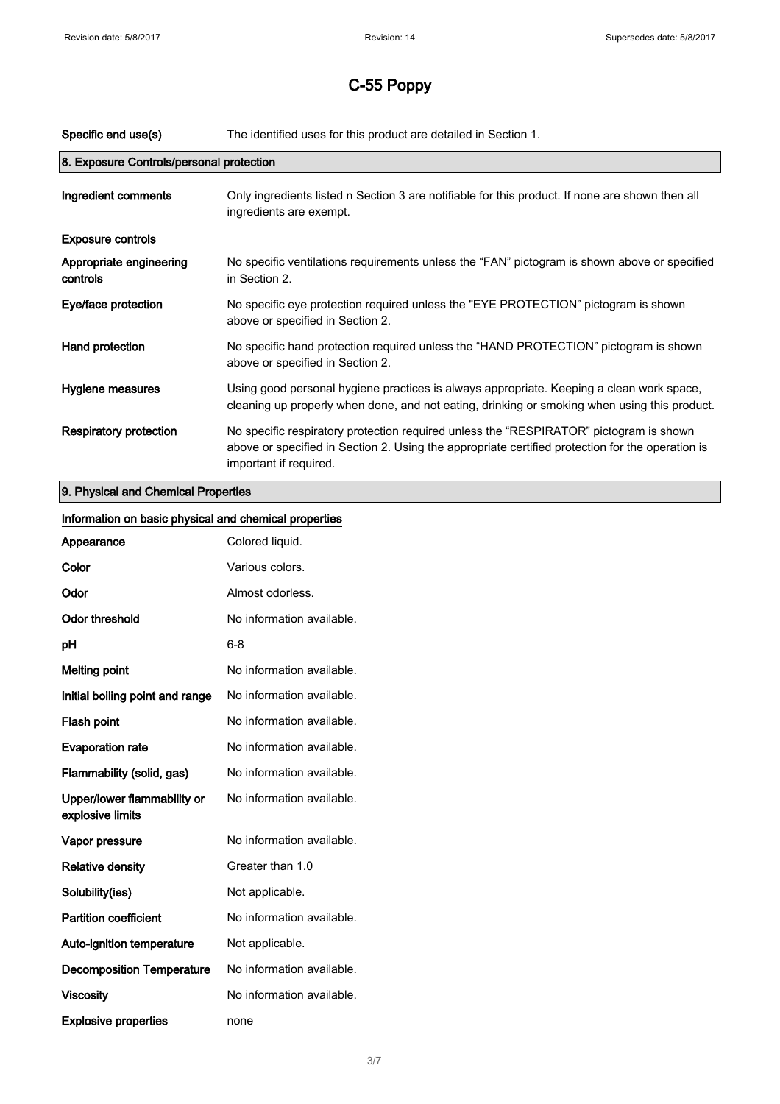| Specific end use(s)                      | The identified uses for this product are detailed in Section 1.                                                                                                                                                      |
|------------------------------------------|----------------------------------------------------------------------------------------------------------------------------------------------------------------------------------------------------------------------|
| 8. Exposure Controls/personal protection |                                                                                                                                                                                                                      |
| Ingredient comments                      | Only ingredients listed n Section 3 are notifiable for this product. If none are shown then all<br>ingredients are exempt.                                                                                           |
| <b>Exposure controls</b>                 |                                                                                                                                                                                                                      |
| Appropriate engineering<br>controls      | No specific ventilations requirements unless the "FAN" pictogram is shown above or specified<br>in Section 2.                                                                                                        |
| Eye/face protection                      | No specific eye protection required unless the "EYE PROTECTION" pictogram is shown<br>above or specified in Section 2.                                                                                               |
| Hand protection                          | No specific hand protection required unless the "HAND PROTECTION" pictogram is shown<br>above or specified in Section 2.                                                                                             |
| Hygiene measures                         | Using good personal hygiene practices is always appropriate. Keeping a clean work space,<br>cleaning up properly when done, and not eating, drinking or smoking when using this product.                             |
| <b>Respiratory protection</b>            | No specific respiratory protection required unless the "RESPIRATOR" pictogram is shown<br>above or specified in Section 2. Using the appropriate certified protection for the operation is<br>important if required. |
| O. Dhuated and Ohamical Dave adjace      |                                                                                                                                                                                                                      |

## 9. Physical and Chemical Properties

| Information on basic physical and chemical properties |                           |
|-------------------------------------------------------|---------------------------|
| Appearance                                            | Colored liquid.           |
| Color                                                 | Various colors.           |
| Odor                                                  | Almost odorless.          |
| <b>Odor threshold</b>                                 | No information available. |
| pH                                                    | $6 - 8$                   |
| <b>Melting point</b>                                  | No information available. |
| Initial boiling point and range                       | No information available. |
| Flash point                                           | No information available. |
| <b>Evaporation rate</b>                               | No information available. |
| Flammability (solid, gas)                             | No information available. |
| Upper/lower flammability or<br>explosive limits       | No information available. |
| Vapor pressure                                        | No information available. |
| <b>Relative density</b>                               | Greater than 1.0          |
| Solubility(ies)                                       | Not applicable.           |
| <b>Partition coefficient</b>                          | No information available. |
| Auto-ignition temperature                             | Not applicable.           |
| <b>Decomposition Temperature</b>                      | No information available. |
| <b>Viscosity</b>                                      | No information available. |
| <b>Explosive properties</b>                           | none                      |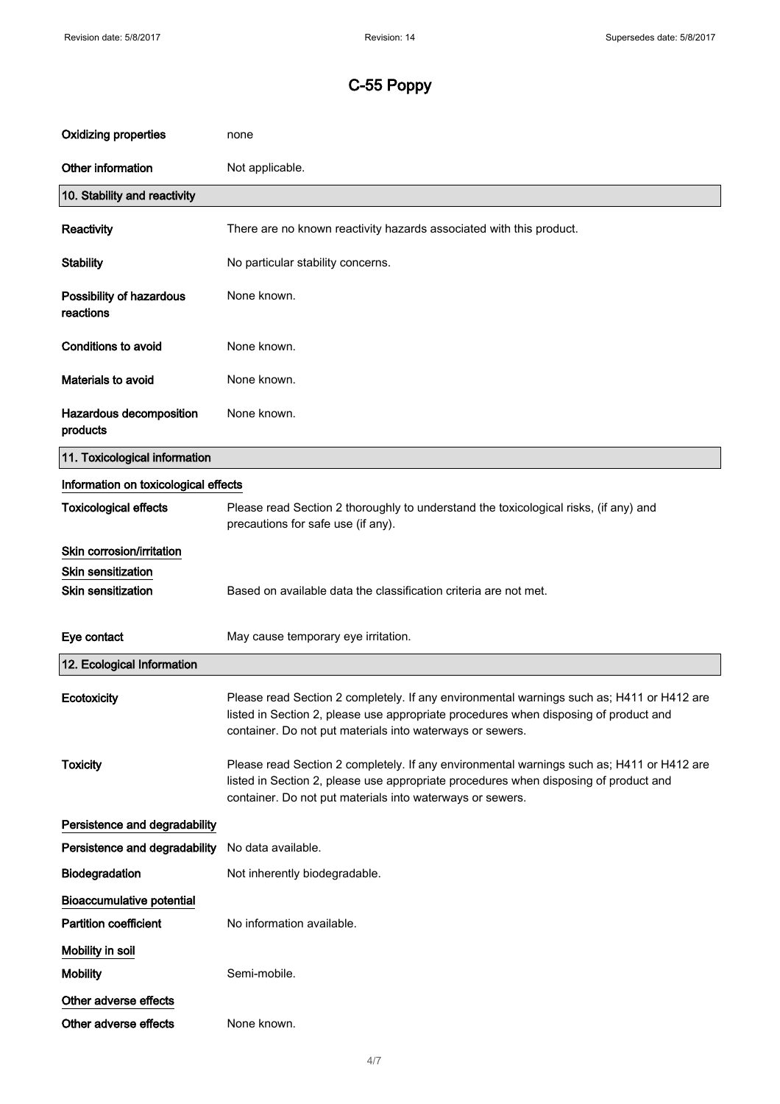| <b>Oxidizing properties</b>           | none                                                                                                                                                                                                                                           |
|---------------------------------------|------------------------------------------------------------------------------------------------------------------------------------------------------------------------------------------------------------------------------------------------|
| Other information                     | Not applicable.                                                                                                                                                                                                                                |
| 10. Stability and reactivity          |                                                                                                                                                                                                                                                |
| Reactivity                            | There are no known reactivity hazards associated with this product.                                                                                                                                                                            |
| <b>Stability</b>                      | No particular stability concerns.                                                                                                                                                                                                              |
| Possibility of hazardous<br>reactions | None known.                                                                                                                                                                                                                                    |
| <b>Conditions to avoid</b>            | None known.                                                                                                                                                                                                                                    |
| Materials to avoid                    | None known.                                                                                                                                                                                                                                    |
| Hazardous decomposition<br>products   | None known.                                                                                                                                                                                                                                    |
| 11. Toxicological information         |                                                                                                                                                                                                                                                |
| Information on toxicological effects  |                                                                                                                                                                                                                                                |
| <b>Toxicological effects</b>          | Please read Section 2 thoroughly to understand the toxicological risks, (if any) and<br>precautions for safe use (if any).                                                                                                                     |
| Skin corrosion/irritation             |                                                                                                                                                                                                                                                |
| <b>Skin sensitization</b>             |                                                                                                                                                                                                                                                |
| <b>Skin sensitization</b>             | Based on available data the classification criteria are not met.                                                                                                                                                                               |
| Eye contact                           | May cause temporary eye irritation.                                                                                                                                                                                                            |
| 12. Ecological Information            |                                                                                                                                                                                                                                                |
| Ecotoxicity                           | Please read Section 2 completely. If any environmental warnings such as; H411 or H412 are<br>listed in Section 2, please use appropriate procedures when disposing of product and<br>container. Do not put materials into waterways or sewers. |
| <b>Toxicity</b>                       | Please read Section 2 completely. If any environmental warnings such as; H411 or H412 are<br>listed in Section 2, please use appropriate procedures when disposing of product and<br>container. Do not put materials into waterways or sewers. |
| Persistence and degradability         |                                                                                                                                                                                                                                                |
| Persistence and degradability         | No data available.                                                                                                                                                                                                                             |
| Biodegradation                        | Not inherently biodegradable.                                                                                                                                                                                                                  |
| <b>Bioaccumulative potential</b>      |                                                                                                                                                                                                                                                |
| <b>Partition coefficient</b>          | No information available.                                                                                                                                                                                                                      |
| Mobility in soil                      |                                                                                                                                                                                                                                                |
| <b>Mobility</b>                       | Semi-mobile.                                                                                                                                                                                                                                   |
| Other adverse effects                 |                                                                                                                                                                                                                                                |
| Other adverse effects                 | None known.                                                                                                                                                                                                                                    |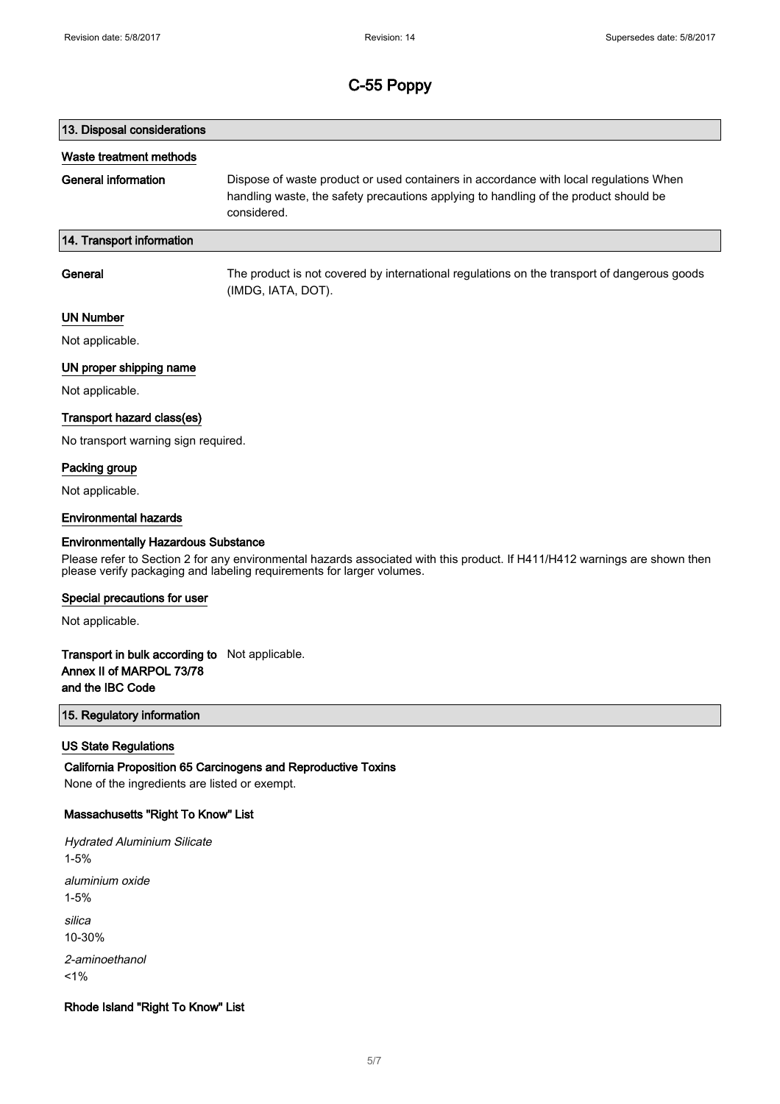# 13. Disposal considerations Waste treatment methods General information Dispose of waste product or used containers in accordance with local regulations When handling waste, the safety precautions applying to handling of the product should be considered. 14. Transport information General The product is not covered by international regulations on the transport of dangerous goods

(IMDG, IATA, DOT).

## UN Number

Not applicable.

## UN proper shipping name

Not applicable.

### Transport hazard class(es)

No transport warning sign required.

### Packing group

Not applicable.

#### Environmental hazards

#### Environmentally Hazardous Substance

Please refer to Section 2 for any environmental hazards associated with this product. If H411/H412 warnings are shown then please verify packaging and labeling requirements for larger volumes.

#### Special precautions for user

Not applicable.

## Transport in bulk according to Not applicable. Annex II of MARPOL 73/78 and the IBC Code

## 15. Regulatory information

### US State Regulations

California Proposition 65 Carcinogens and Reproductive Toxins None of the ingredients are listed or exempt.

### Massachusetts "Right To Know" List

Hydrated Aluminium Silicate 1-5% aluminium oxide 1-5% silica 10-30% 2-aminoethanol  $1%$ 

### Rhode Island "Right To Know" List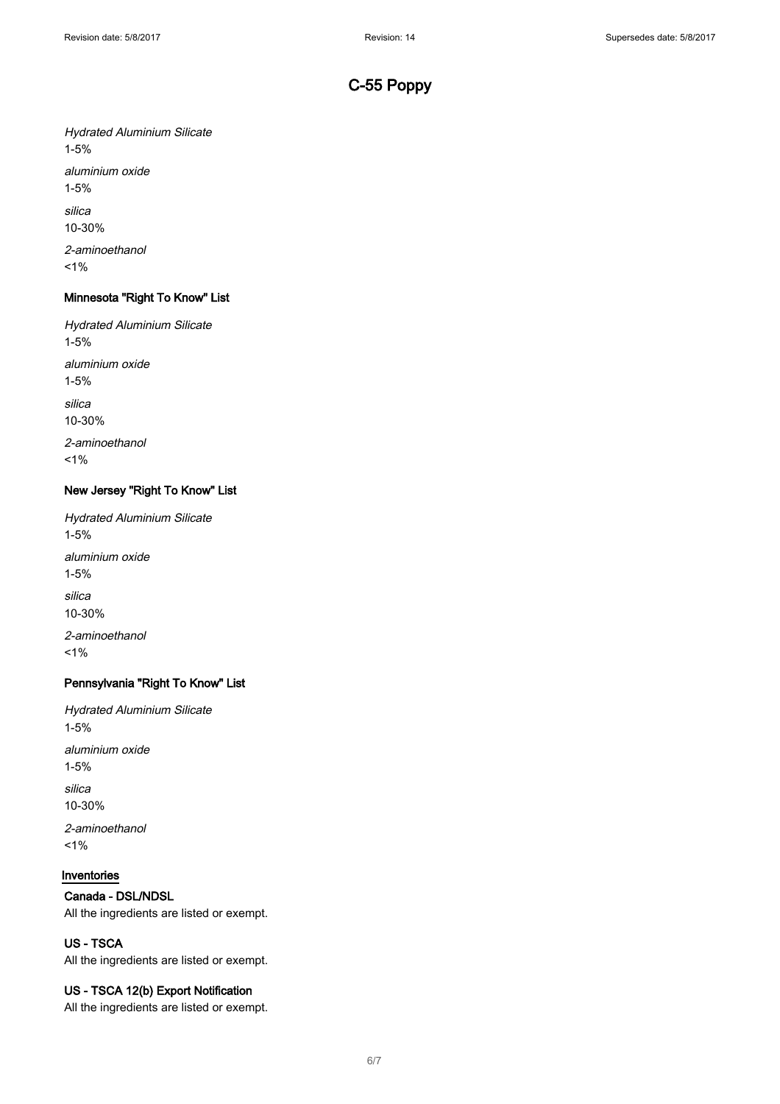Hydrated Aluminium Silicate 1-5% aluminium oxide 1-5% silica 10-30% 2-aminoethanol  $1%$ 

## Minnesota "Right To Know" List

Hydrated Aluminium Silicate 1-5% aluminium oxide 1-5% silica 10-30% 2-aminoethanol

 $1%$ 

## New Jersey "Right To Know" List

Hydrated Aluminium Silicate 1-5% aluminium oxide 1-5% silica 10-30% 2-aminoethanol  $1%$ 

## Pennsylvania "Right To Know" List

Hydrated Aluminium Silicate 1-5% aluminium oxide 1-5%

silica 10-30%

2-aminoethanol  $1%$ 

## Inventories

## Canada - DSL/NDSL

All the ingredients are listed or exempt.

## US - TSCA

All the ingredients are listed or exempt.

## US - TSCA 12(b) Export Notification

All the ingredients are listed or exempt.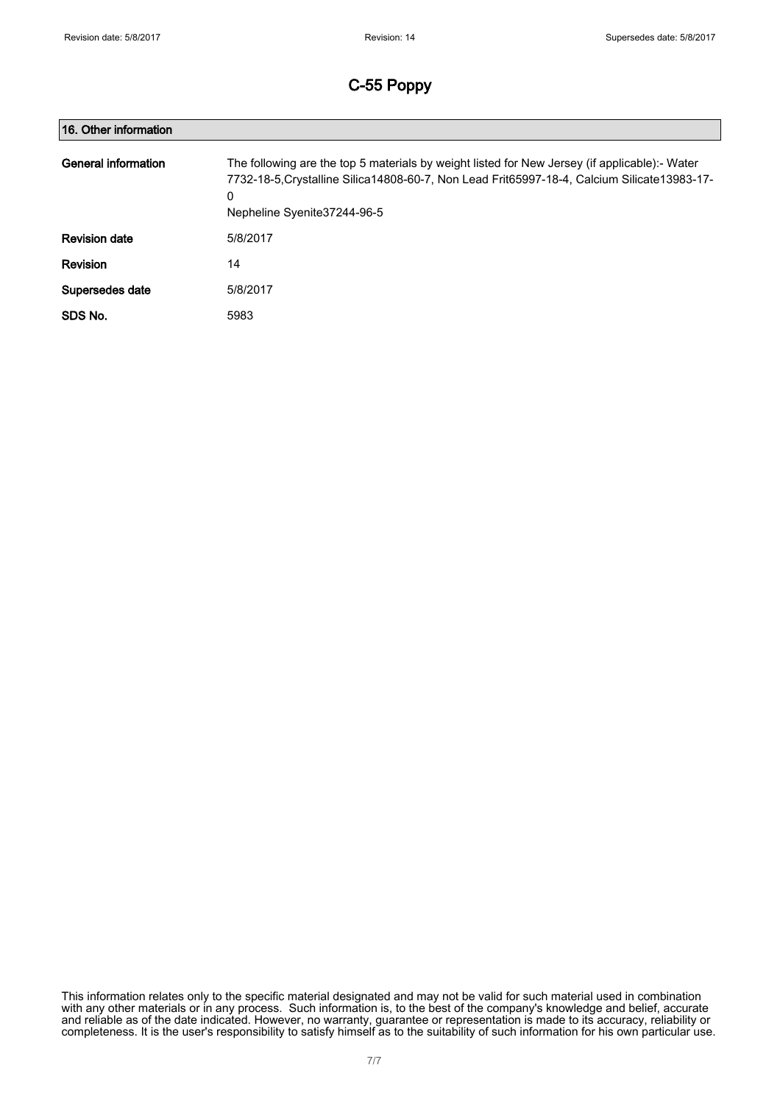| 16. Other information |                                                                                                                                                                                                                                     |
|-----------------------|-------------------------------------------------------------------------------------------------------------------------------------------------------------------------------------------------------------------------------------|
| General information   | The following are the top 5 materials by weight listed for New Jersey (if applicable):- Water<br>7732-18-5. Crystalline Silica 14808-60-7, Non Lead Frit65997-18-4, Calcium Silicate 13983-17-<br>0<br>Nepheline Syenite 37244-96-5 |
| <b>Revision date</b>  | 5/8/2017                                                                                                                                                                                                                            |
| Revision              | 14                                                                                                                                                                                                                                  |
| Supersedes date       | 5/8/2017                                                                                                                                                                                                                            |
| SDS No.               | 5983                                                                                                                                                                                                                                |

This information relates only to the specific material designated and may not be valid for such material used in combination with any other materials or in any process. Such information is, to the best of the company's knowledge and belief, accurate and reliable as of the date indicated. However, no warranty, guarantee or representation is made to its accuracy, reliability or completeness. It is the user's responsibility to satisfy himself as to the suitability of such information for his own particular use.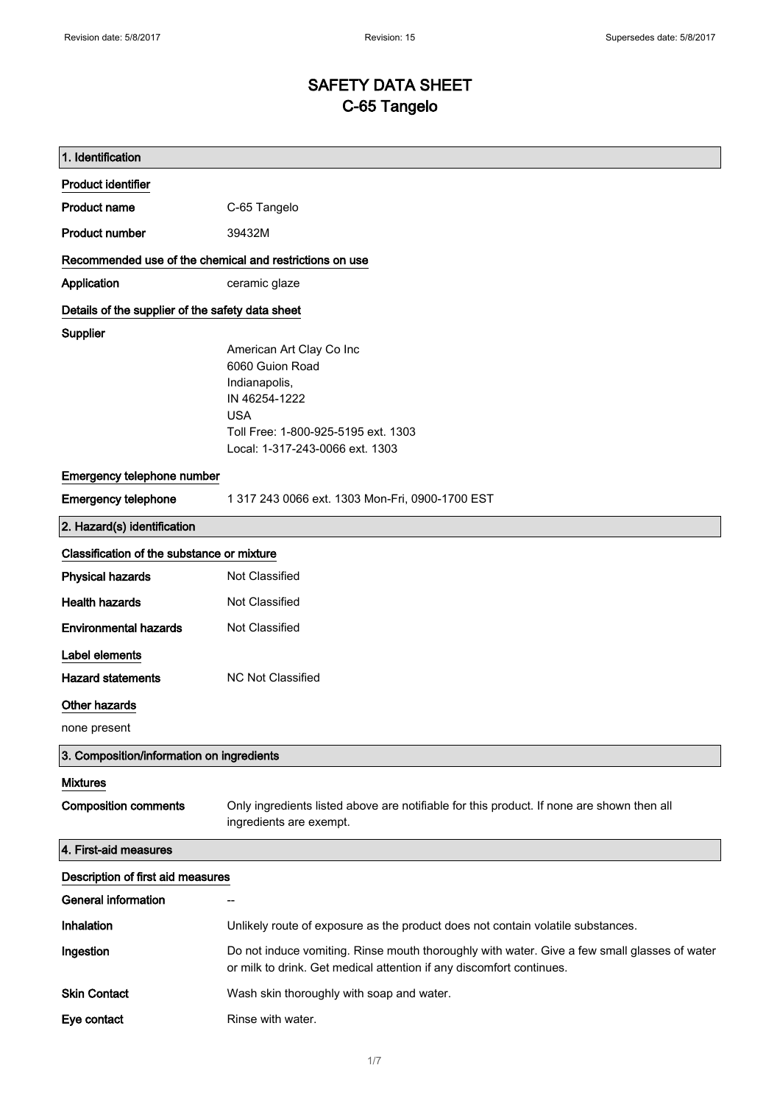## SAFETY DATA SHEET C-65 Tangelo

| 1. Identification                                       |                                                                                                                                                                       |
|---------------------------------------------------------|-----------------------------------------------------------------------------------------------------------------------------------------------------------------------|
| <b>Product identifier</b>                               |                                                                                                                                                                       |
| <b>Product name</b>                                     | C-65 Tangelo                                                                                                                                                          |
| <b>Product number</b>                                   | 39432M                                                                                                                                                                |
| Recommended use of the chemical and restrictions on use |                                                                                                                                                                       |
| Application                                             | ceramic glaze                                                                                                                                                         |
| Details of the supplier of the safety data sheet        |                                                                                                                                                                       |
| Supplier                                                | American Art Clay Co Inc<br>6060 Guion Road<br>Indianapolis,<br>IN 46254-1222<br><b>USA</b><br>Toll Free: 1-800-925-5195 ext. 1303<br>Local: 1-317-243-0066 ext. 1303 |
| Emergency telephone number                              |                                                                                                                                                                       |
| <b>Emergency telephone</b>                              | 1 317 243 0066 ext. 1303 Mon-Fri, 0900-1700 EST                                                                                                                       |
| 2. Hazard(s) identification                             |                                                                                                                                                                       |
| Classification of the substance or mixture              |                                                                                                                                                                       |
| <b>Physical hazards</b>                                 | Not Classified                                                                                                                                                        |
| <b>Health hazards</b>                                   | Not Classified                                                                                                                                                        |
| <b>Environmental hazards</b>                            | Not Classified                                                                                                                                                        |
| Label elements                                          |                                                                                                                                                                       |
| <b>Hazard statements</b>                                | <b>NC Not Classified</b>                                                                                                                                              |
| Other hazards                                           |                                                                                                                                                                       |
| none present                                            |                                                                                                                                                                       |
| 3. Composition/information on ingredients               |                                                                                                                                                                       |
| <b>Mixtures</b>                                         |                                                                                                                                                                       |
| <b>Composition comments</b>                             | Only ingredients listed above are notifiable for this product. If none are shown then all<br>ingredients are exempt.                                                  |
| 4. First-aid measures                                   |                                                                                                                                                                       |
| Description of first aid measures                       |                                                                                                                                                                       |
| <b>General information</b>                              |                                                                                                                                                                       |
| Inhalation                                              | Unlikely route of exposure as the product does not contain volatile substances.                                                                                       |
| Ingestion                                               | Do not induce vomiting. Rinse mouth thoroughly with water. Give a few small glasses of water<br>or milk to drink. Get medical attention if any discomfort continues.  |
| <b>Skin Contact</b>                                     | Wash skin thoroughly with soap and water.                                                                                                                             |
| Eye contact                                             | Rinse with water.                                                                                                                                                     |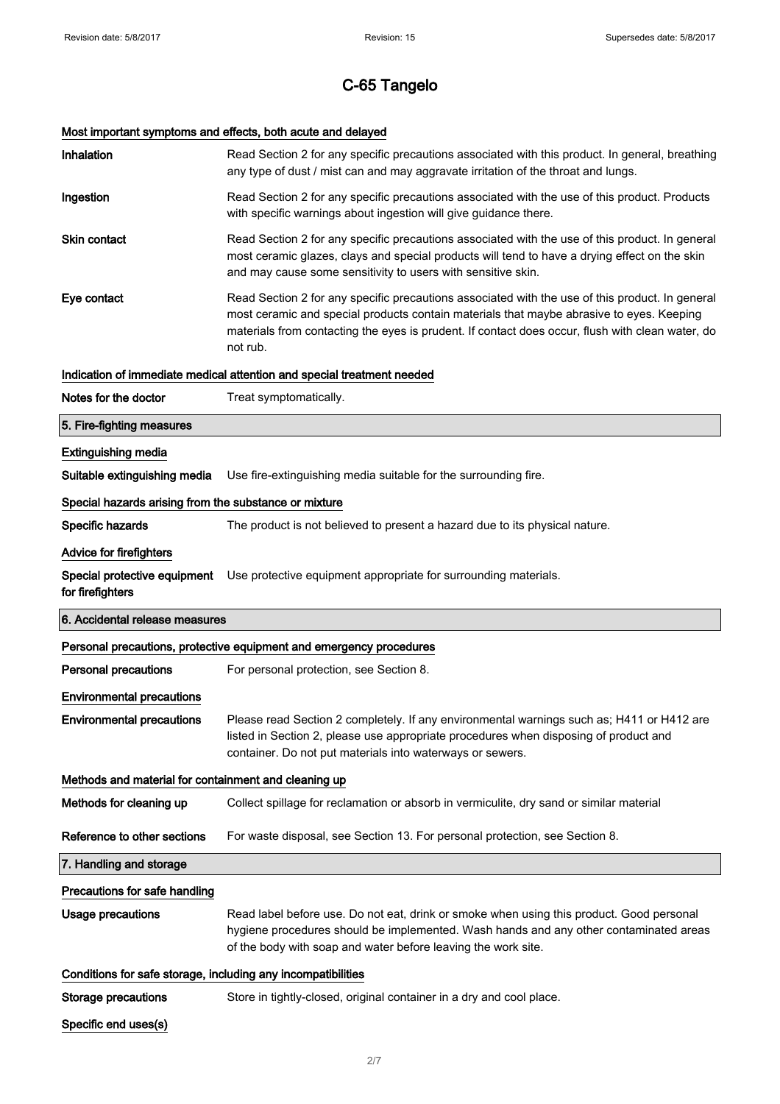## Most important symptoms and effects, both acute and delayed

| Inhalation                                                   | Read Section 2 for any specific precautions associated with this product. In general, breathing<br>any type of dust / mist can and may aggravate irritation of the throat and lungs.                                                                                                                        |
|--------------------------------------------------------------|-------------------------------------------------------------------------------------------------------------------------------------------------------------------------------------------------------------------------------------------------------------------------------------------------------------|
| Ingestion                                                    | Read Section 2 for any specific precautions associated with the use of this product. Products<br>with specific warnings about ingestion will give guidance there.                                                                                                                                           |
| <b>Skin contact</b>                                          | Read Section 2 for any specific precautions associated with the use of this product. In general<br>most ceramic glazes, clays and special products will tend to have a drying effect on the skin<br>and may cause some sensitivity to users with sensitive skin.                                            |
| Eye contact                                                  | Read Section 2 for any specific precautions associated with the use of this product. In general<br>most ceramic and special products contain materials that maybe abrasive to eyes. Keeping<br>materials from contacting the eyes is prudent. If contact does occur, flush with clean water, do<br>not rub. |
|                                                              | Indication of immediate medical attention and special treatment needed                                                                                                                                                                                                                                      |
| Notes for the doctor                                         | Treat symptomatically.                                                                                                                                                                                                                                                                                      |
| 5. Fire-fighting measures                                    |                                                                                                                                                                                                                                                                                                             |
| <b>Extinguishing media</b>                                   |                                                                                                                                                                                                                                                                                                             |
| Suitable extinguishing media                                 | Use fire-extinguishing media suitable for the surrounding fire.                                                                                                                                                                                                                                             |
| Special hazards arising from the substance or mixture        |                                                                                                                                                                                                                                                                                                             |
| Specific hazards                                             | The product is not believed to present a hazard due to its physical nature.                                                                                                                                                                                                                                 |
| Advice for firefighters                                      |                                                                                                                                                                                                                                                                                                             |
| Special protective equipment<br>for firefighters             | Use protective equipment appropriate for surrounding materials.                                                                                                                                                                                                                                             |
|                                                              |                                                                                                                                                                                                                                                                                                             |
| 6. Accidental release measures                               |                                                                                                                                                                                                                                                                                                             |
|                                                              | Personal precautions, protective equipment and emergency procedures                                                                                                                                                                                                                                         |
| <b>Personal precautions</b>                                  | For personal protection, see Section 8.                                                                                                                                                                                                                                                                     |
| <b>Environmental precautions</b>                             |                                                                                                                                                                                                                                                                                                             |
| <b>Environmental precautions</b>                             | Please read Section 2 completely. If any environmental warnings such as; H411 or H412 are<br>listed in Section 2, please use appropriate procedures when disposing of product and<br>container. Do not put materials into waterways or sewers.                                                              |
| Methods and material for containment and cleaning up         |                                                                                                                                                                                                                                                                                                             |
| Methods for cleaning up                                      | Collect spillage for reclamation or absorb in vermiculite, dry sand or similar material                                                                                                                                                                                                                     |
| Reference to other sections                                  | For waste disposal, see Section 13. For personal protection, see Section 8.                                                                                                                                                                                                                                 |
| 7. Handling and storage                                      |                                                                                                                                                                                                                                                                                                             |
| Precautions for safe handling                                |                                                                                                                                                                                                                                                                                                             |
| <b>Usage precautions</b>                                     | Read label before use. Do not eat, drink or smoke when using this product. Good personal<br>hygiene procedures should be implemented. Wash hands and any other contaminated areas<br>of the body with soap and water before leaving the work site.                                                          |
| Conditions for safe storage, including any incompatibilities |                                                                                                                                                                                                                                                                                                             |
| <b>Storage precautions</b>                                   | Store in tightly-closed, original container in a dry and cool place.                                                                                                                                                                                                                                        |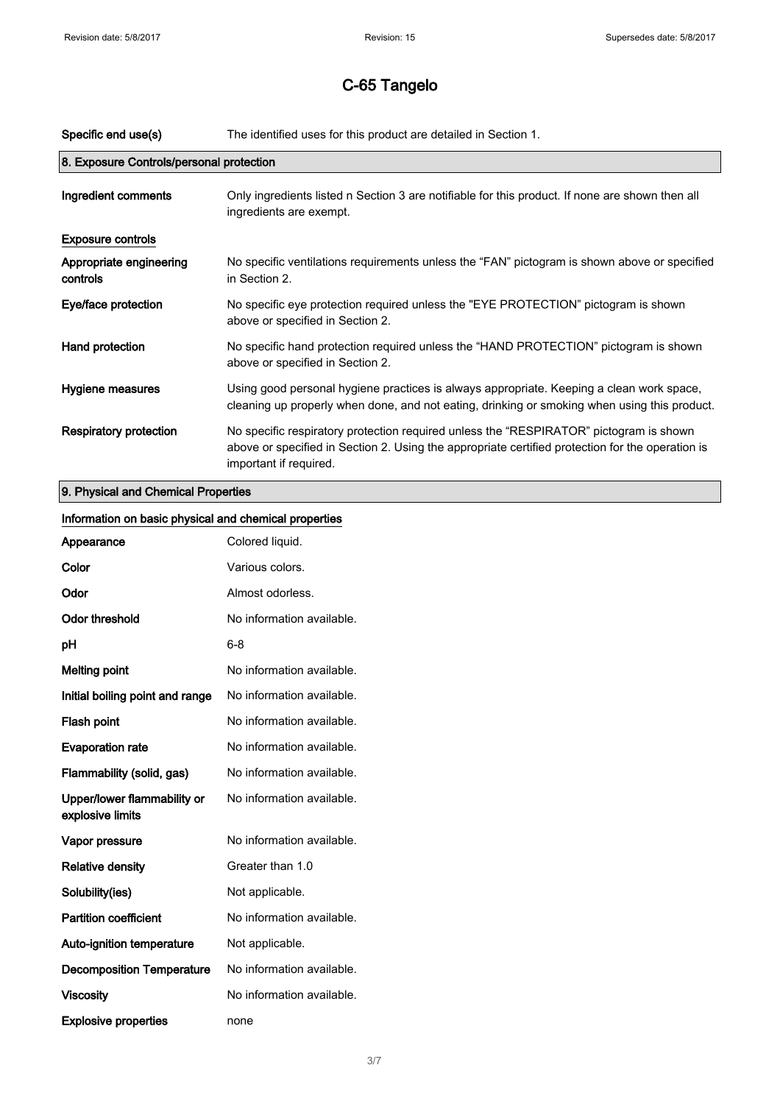$\blacksquare$ 

# C-65 Tangelo

| Specific end use(s)                      | The identified uses for this product are detailed in Section 1.                                                                                                                                                      |
|------------------------------------------|----------------------------------------------------------------------------------------------------------------------------------------------------------------------------------------------------------------------|
| 8. Exposure Controls/personal protection |                                                                                                                                                                                                                      |
| Ingredient comments                      | Only ingredients listed n Section 3 are notifiable for this product. If none are shown then all<br>ingredients are exempt.                                                                                           |
| <b>Exposure controls</b>                 |                                                                                                                                                                                                                      |
| Appropriate engineering<br>controls      | No specific ventilations requirements unless the "FAN" pictogram is shown above or specified<br>in Section 2.                                                                                                        |
| Eye/face protection                      | No specific eye protection required unless the "EYE PROTECTION" pictogram is shown<br>above or specified in Section 2.                                                                                               |
| Hand protection                          | No specific hand protection required unless the "HAND PROTECTION" pictogram is shown<br>above or specified in Section 2.                                                                                             |
| Hygiene measures                         | Using good personal hygiene practices is always appropriate. Keeping a clean work space,<br>cleaning up properly when done, and not eating, drinking or smoking when using this product.                             |
| <b>Respiratory protection</b>            | No specific respiratory protection required unless the "RESPIRATOR" pictogram is shown<br>above or specified in Section 2. Using the appropriate certified protection for the operation is<br>important if required. |
| 0. Bhusical and Chamical Drepartical     |                                                                                                                                                                                                                      |

## 9. Physical and Chemical Properties

| Information on basic physical and chemical properties |                           |
|-------------------------------------------------------|---------------------------|
| Appearance                                            | Colored liquid.           |
| Color                                                 | Various colors.           |
| Odor                                                  | Almost odorless.          |
| <b>Odor threshold</b>                                 | No information available. |
| pH                                                    | $6 - 8$                   |
| <b>Melting point</b>                                  | No information available. |
| Initial boiling point and range                       | No information available. |
| Flash point                                           | No information available. |
| <b>Evaporation rate</b>                               | No information available. |
| Flammability (solid, gas)                             | No information available. |
| Upper/lower flammability or<br>explosive limits       | No information available. |
| Vapor pressure                                        | No information available. |
| <b>Relative density</b>                               | Greater than 1.0          |
| Solubility(ies)                                       | Not applicable.           |
| <b>Partition coefficient</b>                          | No information available. |
| Auto-ignition temperature                             | Not applicable.           |
| <b>Decomposition Temperature</b>                      | No information available. |
| <b>Viscosity</b>                                      | No information available. |
| <b>Explosive properties</b>                           | none                      |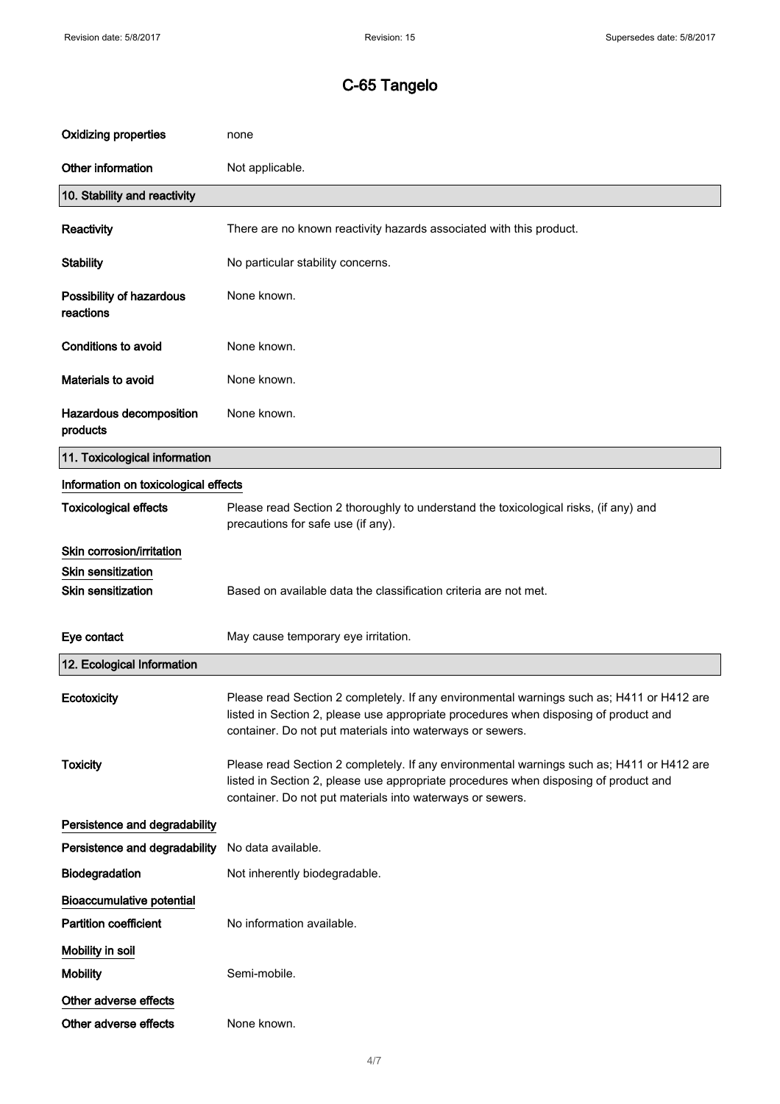| <b>Oxidizing properties</b>           | none                                                                                                                                                                                                                                           |
|---------------------------------------|------------------------------------------------------------------------------------------------------------------------------------------------------------------------------------------------------------------------------------------------|
| Other information                     | Not applicable.                                                                                                                                                                                                                                |
| 10. Stability and reactivity          |                                                                                                                                                                                                                                                |
| Reactivity                            | There are no known reactivity hazards associated with this product.                                                                                                                                                                            |
| <b>Stability</b>                      | No particular stability concerns.                                                                                                                                                                                                              |
| Possibility of hazardous<br>reactions | None known.                                                                                                                                                                                                                                    |
| <b>Conditions to avoid</b>            | None known.                                                                                                                                                                                                                                    |
| Materials to avoid                    | None known.                                                                                                                                                                                                                                    |
| Hazardous decomposition<br>products   | None known.                                                                                                                                                                                                                                    |
| 11. Toxicological information         |                                                                                                                                                                                                                                                |
| Information on toxicological effects  |                                                                                                                                                                                                                                                |
| <b>Toxicological effects</b>          | Please read Section 2 thoroughly to understand the toxicological risks, (if any) and<br>precautions for safe use (if any).                                                                                                                     |
| Skin corrosion/irritation             |                                                                                                                                                                                                                                                |
| <b>Skin sensitization</b>             |                                                                                                                                                                                                                                                |
|                                       | Based on available data the classification criteria are not met.                                                                                                                                                                               |
| <b>Skin sensitization</b>             |                                                                                                                                                                                                                                                |
| Eye contact                           | May cause temporary eye irritation.                                                                                                                                                                                                            |
| 12. Ecological Information            |                                                                                                                                                                                                                                                |
| Ecotoxicity                           | Please read Section 2 completely. If any environmental warnings such as; H411 or H412 are<br>listed in Section 2, please use appropriate procedures when disposing of product and<br>container. Do not put materials into waterways or sewers. |
| <b>Toxicity</b>                       | Please read Section 2 completely. If any environmental warnings such as; H411 or H412 are<br>listed in Section 2, please use appropriate procedures when disposing of product and<br>container. Do not put materials into waterways or sewers. |
| Persistence and degradability         |                                                                                                                                                                                                                                                |
| Persistence and degradability         | No data available.                                                                                                                                                                                                                             |
| Biodegradation                        | Not inherently biodegradable.                                                                                                                                                                                                                  |
| <b>Bioaccumulative potential</b>      |                                                                                                                                                                                                                                                |
| <b>Partition coefficient</b>          | No information available.                                                                                                                                                                                                                      |
| Mobility in soil                      |                                                                                                                                                                                                                                                |
| <b>Mobility</b>                       | Semi-mobile.                                                                                                                                                                                                                                   |
| Other adverse effects                 |                                                                                                                                                                                                                                                |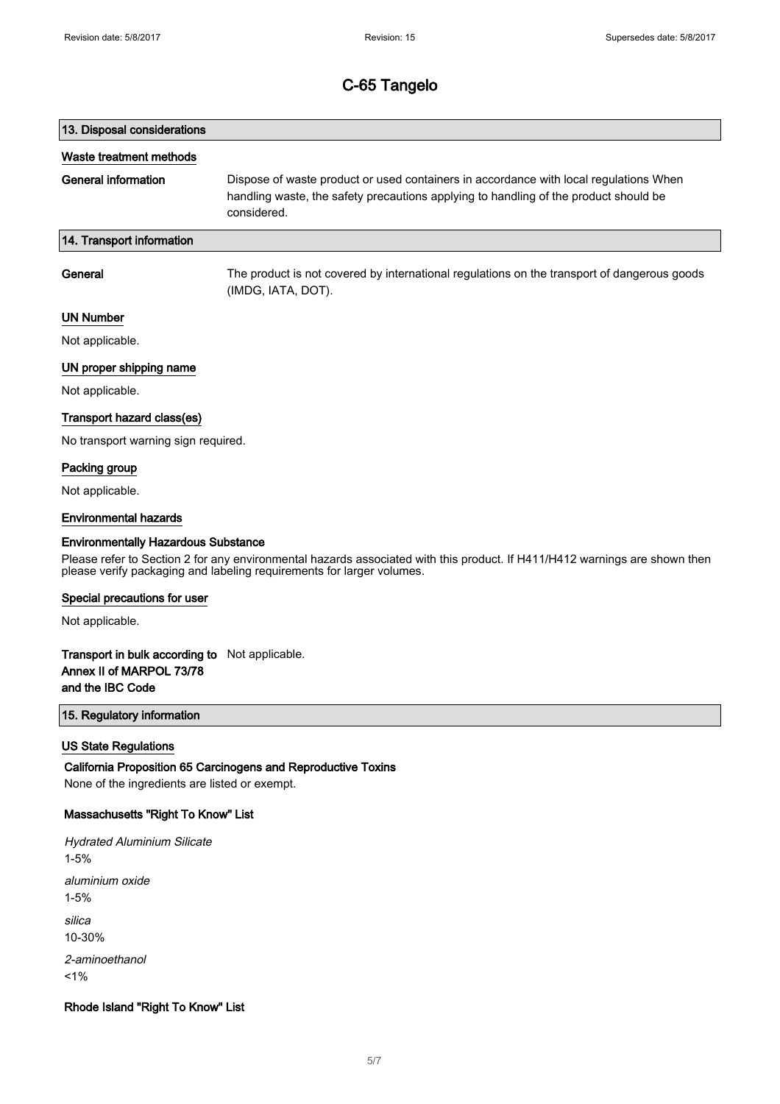# 13. Disposal considerations Waste treatment methods General information Dispose of waste product or used containers in accordance with local regulations When handling waste, the safety precautions applying to handling of the product should be considered. 14. Transport information General The product is not covered by international regulations on the transport of dangerous goods

(IMDG, IATA, DOT).

### UN Number

Not applicable.

## UN proper shipping name

Not applicable.

### Transport hazard class(es)

No transport warning sign required.

## Packing group

Not applicable.

#### Environmental hazards

#### Environmentally Hazardous Substance

Please refer to Section 2 for any environmental hazards associated with this product. If H411/H412 warnings are shown then please verify packaging and labeling requirements for larger volumes.

#### Special precautions for user

Not applicable.

## Transport in bulk according to Not applicable. Annex II of MARPOL 73/78 and the IBC Code

## 15. Regulatory information

#### US State Regulations

California Proposition 65 Carcinogens and Reproductive Toxins None of the ingredients are listed or exempt.

### Massachusetts "Right To Know" List

Hydrated Aluminium Silicate 1-5% aluminium oxide 1-5% silica 10-30% 2-aminoethanol  $1%$ 

### Rhode Island "Right To Know" List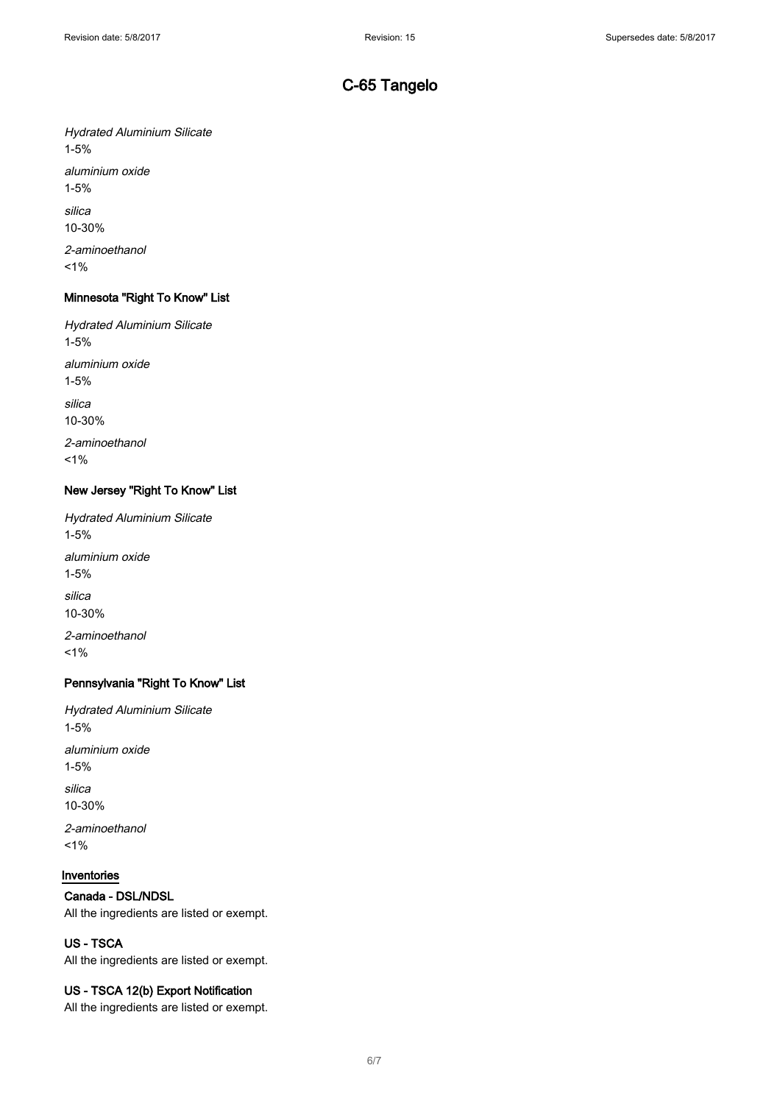Hydrated Aluminium Silicate 1-5% aluminium oxide 1-5% silica 10-30% 2-aminoethanol  $1%$ 

## Minnesota "Right To Know" List

Hydrated Aluminium Silicate 1-5% aluminium oxide 1-5% silica 10-30% 2-aminoethanol

 $1%$ 

## New Jersey "Right To Know" List

Hydrated Aluminium Silicate 1-5% aluminium oxide 1-5% silica 10-30% 2-aminoethanol  $1%$ 

## Pennsylvania "Right To Know" List

Hydrated Aluminium Silicate 1-5% aluminium oxide 1-5%

silica 10-30%

2-aminoethanol  $1%$ 

## Inventories

## Canada - DSL/NDSL

All the ingredients are listed or exempt.

## US - TSCA

All the ingredients are listed or exempt.

## US - TSCA 12(b) Export Notification

All the ingredients are listed or exempt.